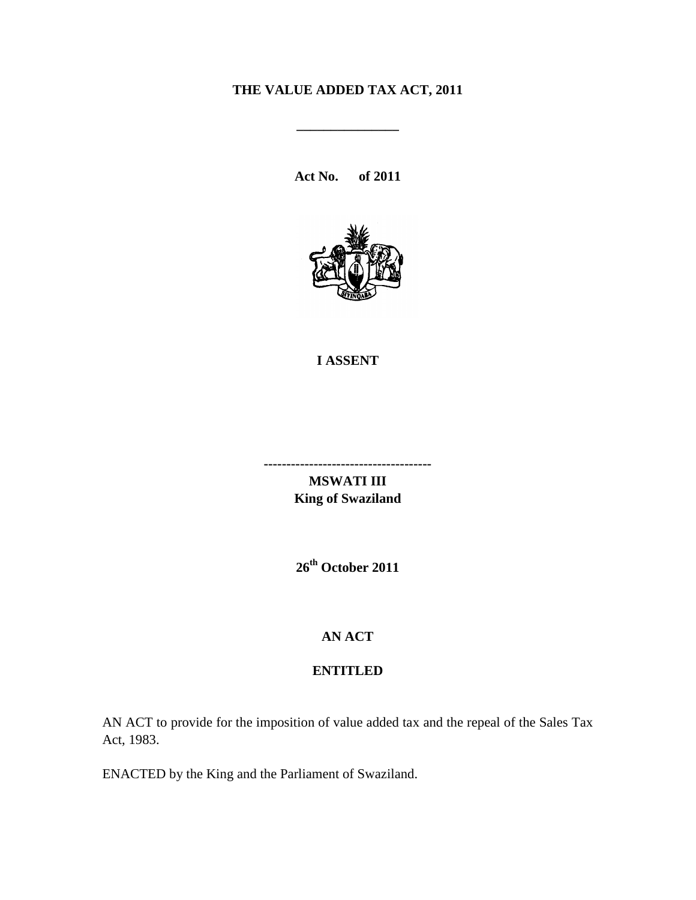## **THE VALUE ADDED TAX ACT, 2011**

**\_\_\_\_\_\_\_\_\_\_\_\_\_\_\_**

**Act No. of 2011**



#### **I ASSENT**

**-------------------------------------**

**MSWATI III King of Swaziland**

**26th October 2011**

### **AN ACT**

### **ENTITLED**

AN ACT to provide for the imposition of value added tax and the repeal of the Sales Tax Act, 1983.

ENACTED by the King and the Parliament of Swaziland.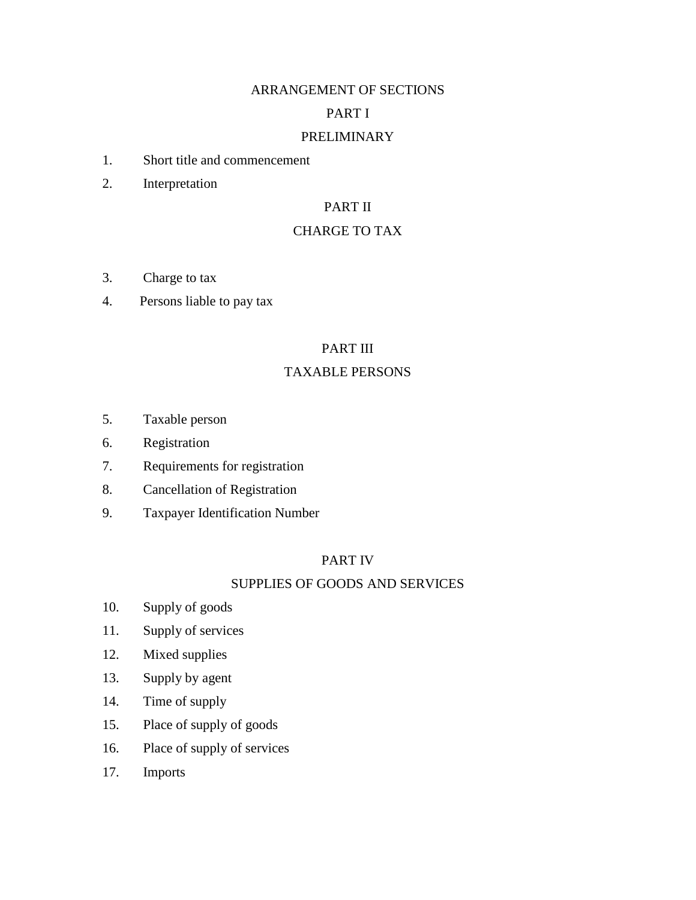### ARRANGEMENT OF SECTIONS

### PART I

### PRELIMINARY

- 1. Short title and commencement
- 2. Interpretation

### PART II

### CHARGE TO TAX

- 3. Charge to tax
- 4. Persons liable to pay tax

### PART III

### TAXABLE PERSONS

- 5. Taxable person
- 6. Registration
- 7. Requirements for registration
- 8. Cancellation of Registration
- 9. Taxpayer Identification Number

### PART IV

### SUPPLIES OF GOODS AND SERVICES

- 10. Supply of goods
- 11. Supply of services
- 12. Mixed supplies
- 13. Supply by agent
- 14. Time of supply
- 15. Place of supply of goods
- 16. Place of supply of services
- 17. Imports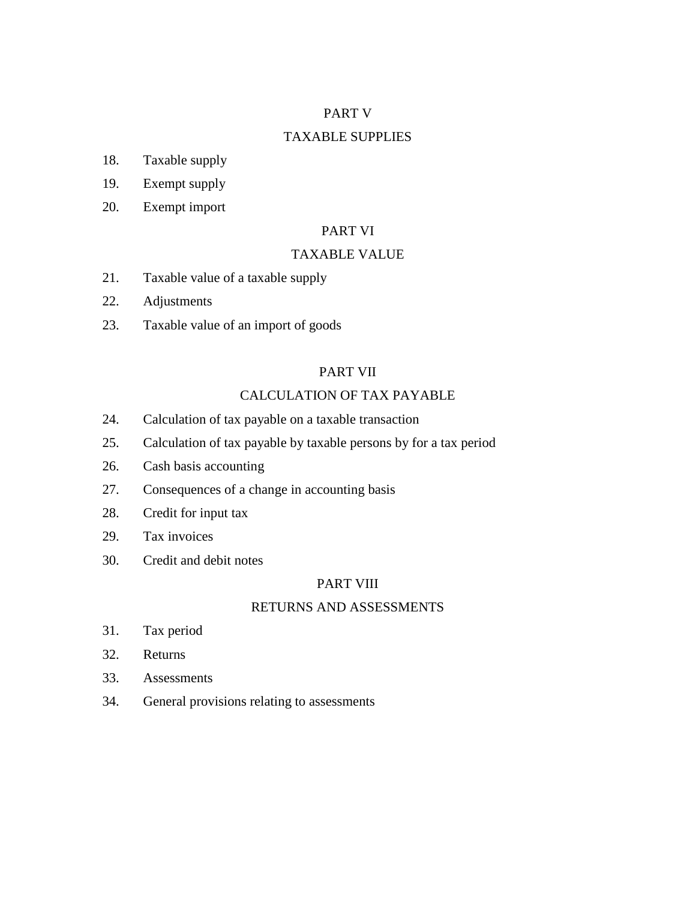### PART V

### TAXABLE SUPPLIES

- 18. Taxable supply
- 19. Exempt supply
- 20. Exempt import

### PART VI

#### TAXABLE VALUE

- 21. Taxable value of a taxable supply
- 22. Adjustments
- 23. Taxable value of an import of goods

### PART VII

### CALCULATION OF TAX PAYABLE

- 24. Calculation of tax payable on a taxable transaction
- 25. Calculation of tax payable by taxable persons by for a tax period
- 26. Cash basis accounting
- 27. Consequences of a change in accounting basis
- 28. Credit for input tax
- 29. Tax invoices
- 30. Credit and debit notes

### PART VIII

### RETURNS AND ASSESSMENTS

- 31. Tax period
- 32. Returns
- 33. Assessments
- 34. General provisions relating to assessments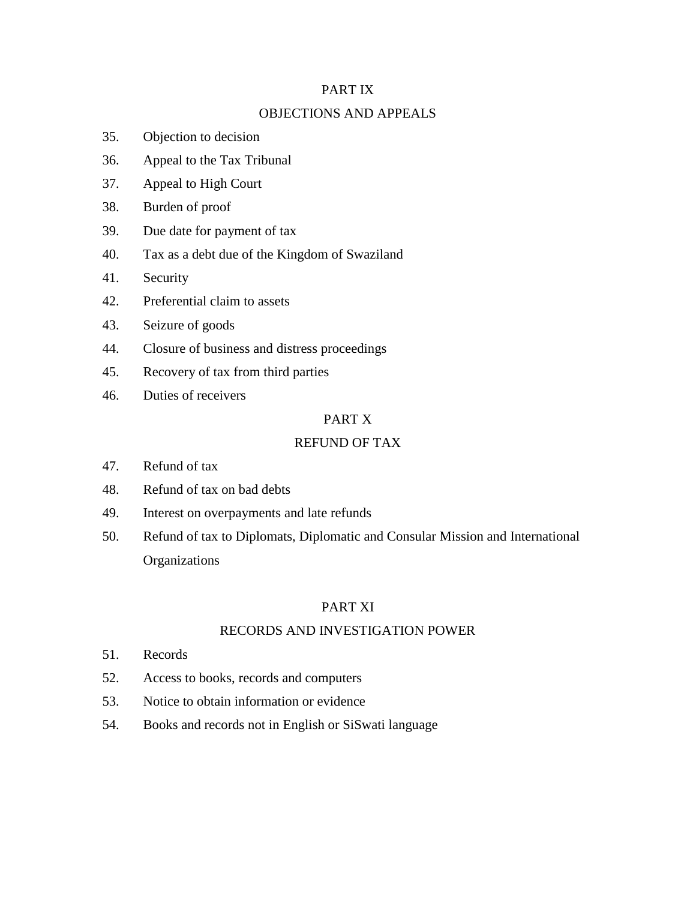### PART IX

### OBJECTIONS AND APPEALS

- 35. Objection to decision
- 36. Appeal to the Tax Tribunal
- 37. Appeal to High Court
- 38. Burden of proof
- 39. Due date for payment of tax
- 40. Tax as a debt due of the Kingdom of Swaziland
- 41. Security
- 42. Preferential claim to assets
- 43. Seizure of goods
- 44. Closure of business and distress proceedings
- 45. Recovery of tax from third parties
- 46. Duties of receivers

### PART X

#### REFUND OF TAX

- 47. Refund of tax
- 48. Refund of tax on bad debts
- 49. Interest on overpayments and late refunds
- 50. Refund of tax to Diplomats, Diplomatic and Consular Mission and International **Organizations**

### PART XI

#### RECORDS AND INVESTIGATION POWER

- 51. Records
- 52. Access to books, records and computers
- 53. Notice to obtain information or evidence
- 54. Books and records not in English or SiSwati language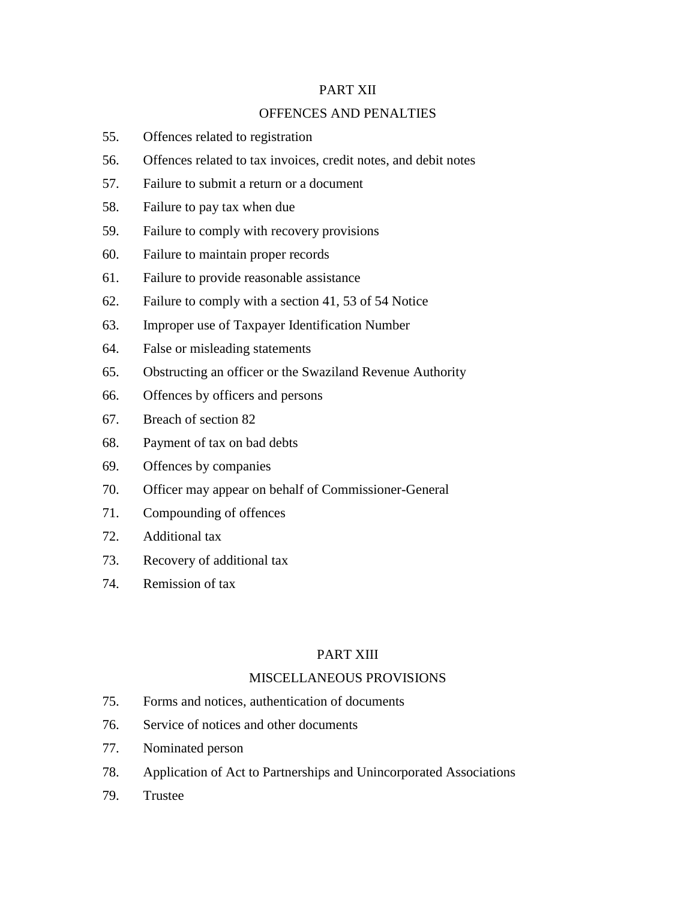### PART XII

### OFFENCES AND PENALTIES

- 55. Offences related to registration
- 56. Offences related to tax invoices, credit notes, and debit notes
- 57. Failure to submit a return or a document
- 58. Failure to pay tax when due
- 59. Failure to comply with recovery provisions
- 60. Failure to maintain proper records
- 61. Failure to provide reasonable assistance
- 62. Failure to comply with a section 41, 53 of 54 Notice
- 63. Improper use of Taxpayer Identification Number
- 64. False or misleading statements
- 65. Obstructing an officer or the Swaziland Revenue Authority
- 66. Offences by officers and persons
- 67. Breach of section 82
- 68. Payment of tax on bad debts
- 69. Offences by companies
- 70. Officer may appear on behalf of Commissioner-General
- 71. Compounding of offences
- 72. Additional tax
- 73. Recovery of additional tax
- 74. Remission of tax

#### PART XIII

### MISCELLANEOUS PROVISIONS

- 75. Forms and notices, authentication of documents
- 76. Service of notices and other documents
- 77. Nominated person
- 78. Application of Act to Partnerships and Unincorporated Associations
- 79. Trustee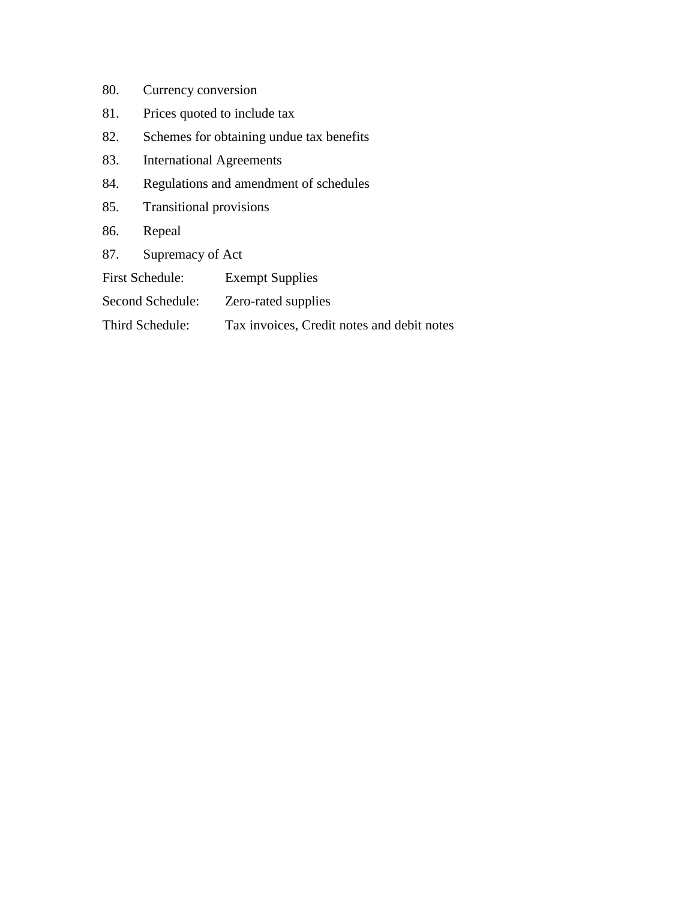- 80. Currency conversion
- 81. Prices quoted to include tax
- 82. Schemes for obtaining undue tax benefits
- 83. International Agreements
- 84. Regulations and amendment of schedules
- 85. Transitional provisions
- 86. Repeal
- 87. Supremacy of Act
- First Schedule: Exempt Supplies
- Second Schedule: Zero-rated supplies
- Third Schedule: Tax invoices, Credit notes and debit notes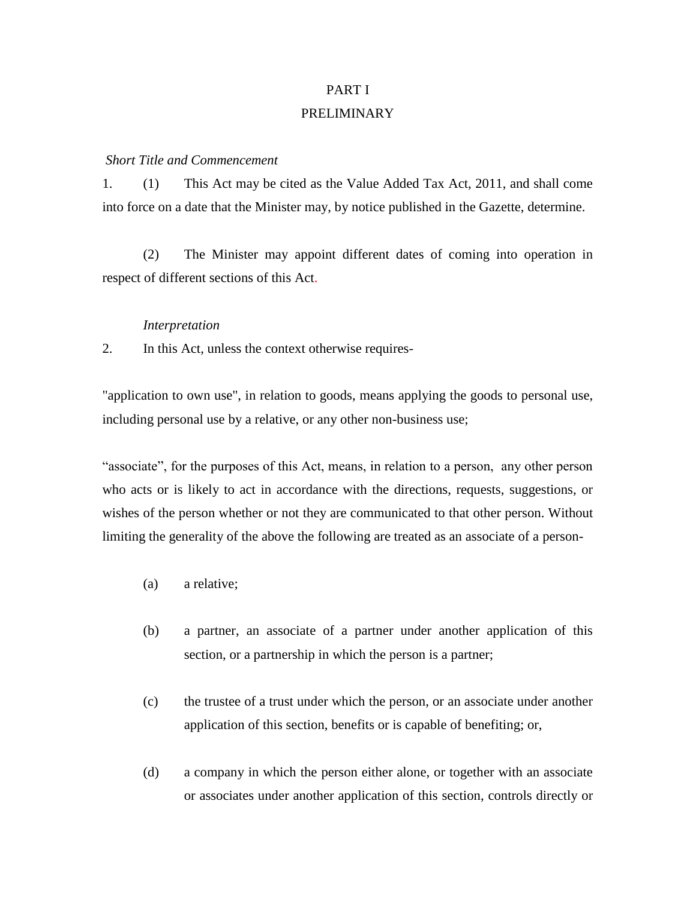# PART I PRELIMINARY

#### *Short Title and Commencement*

1. (1) This Act may be cited as the Value Added Tax Act, 2011, and shall come into force on a date that the Minister may, by notice published in the Gazette, determine.

(2) The Minister may appoint different dates of coming into operation in respect of different sections of this Act.

#### *Interpretation*

2. In this Act, unless the context otherwise requires-

"application to own use", in relation to goods, means applying the goods to personal use, including personal use by a relative, or any other non-business use;

"associate", for the purposes of this Act, means, in relation to a person, any other person who acts or is likely to act in accordance with the directions, requests, suggestions, or wishes of the person whether or not they are communicated to that other person. Without limiting the generality of the above the following are treated as an associate of a person-

- (a) a relative;
- (b) a partner, an associate of a partner under another application of this section, or a partnership in which the person is a partner;
- (c) the trustee of a trust under which the person, or an associate under another application of this section, benefits or is capable of benefiting; or,
- (d) a company in which the person either alone, or together with an associate or associates under another application of this section, controls directly or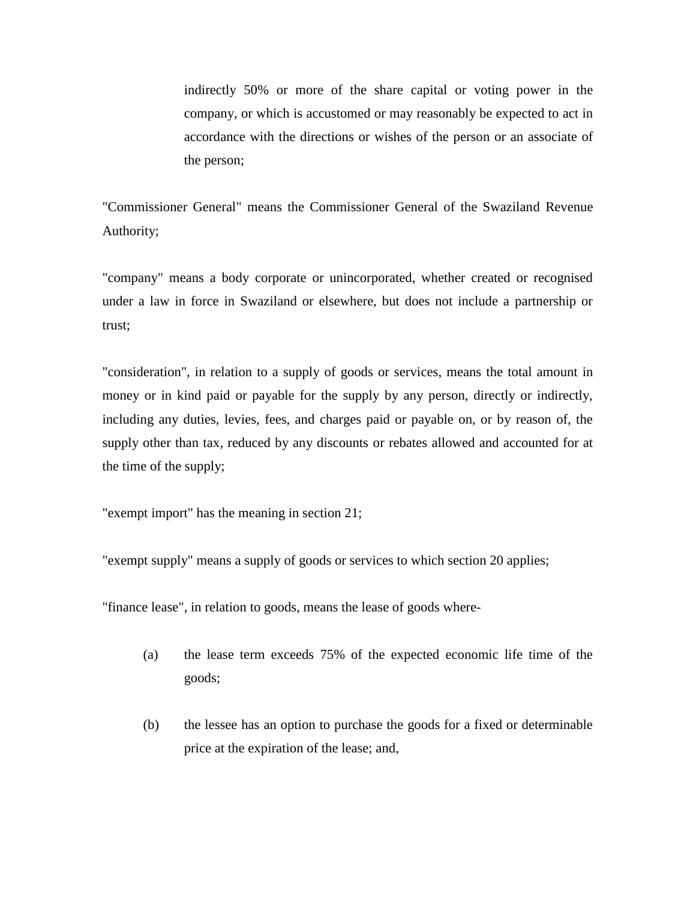indirectly 50% or more of the share capital or voting power in the company, or which is accustomed or may reasonably be expected to act in accordance with the directions or wishes of the person or an associate of the person;

"Commissioner General" means the Commissioner General of the Swaziland Revenue Authority;

"company" means a body corporate or unincorporated, whether created or recognised under a law in force in Swaziland or elsewhere, but does not include a partnership or trust;

"consideration", in relation to a supply of goods or services, means the total amount in money or in kind paid or payable for the supply by any person, directly or indirectly, including any duties, levies, fees, and charges paid or payable on, or by reason of, the supply other than tax, reduced by any discounts or rebates allowed and accounted for at the time of the supply;

"exempt import" has the meaning in section 21;

"exempt supply" means a supply of goods or services to which section 20 applies;

"finance lease", in relation to goods, means the lease of goods where-

- (a) the lease term exceeds 75% of the expected economic life time of the goods;
- (b) the lessee has an option to purchase the goods for a fixed or determinable price at the expiration of the lease; and,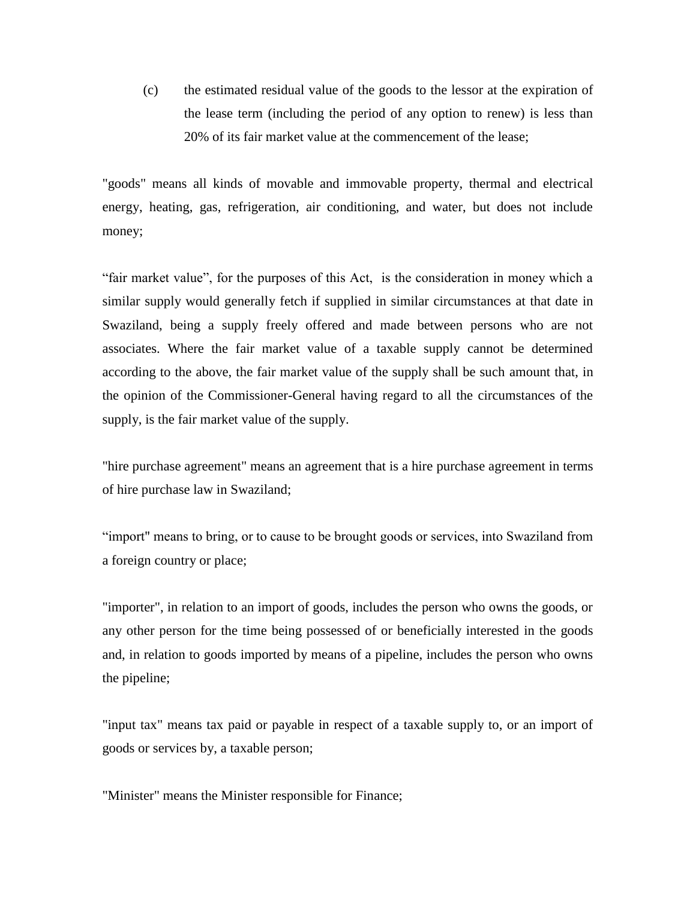(c) the estimated residual value of the goods to the lessor at the expiration of the lease term (including the period of any option to renew) is less than 20% of its fair market value at the commencement of the lease;

"goods" means all kinds of movable and immovable property, thermal and electrical energy, heating, gas, refrigeration, air conditioning, and water, but does not include money;

"fair market value", for the purposes of this Act, is the consideration in money which a similar supply would generally fetch if supplied in similar circumstances at that date in Swaziland, being a supply freely offered and made between persons who are not associates. Where the fair market value of a taxable supply cannot be determined according to the above, the fair market value of the supply shall be such amount that, in the opinion of the Commissioner-General having regard to all the circumstances of the supply, is the fair market value of the supply.

"hire purchase agreement" means an agreement that is a hire purchase agreement in terms of hire purchase law in Swaziland;

"import" means to bring, or to cause to be brought goods or services, into Swaziland from a foreign country or place;

"importer", in relation to an import of goods, includes the person who owns the goods, or any other person for the time being possessed of or beneficially interested in the goods and, in relation to goods imported by means of a pipeline, includes the person who owns the pipeline;

"input tax" means tax paid or payable in respect of a taxable supply to, or an import of goods or services by, a taxable person;

"Minister" means the Minister responsible for Finance;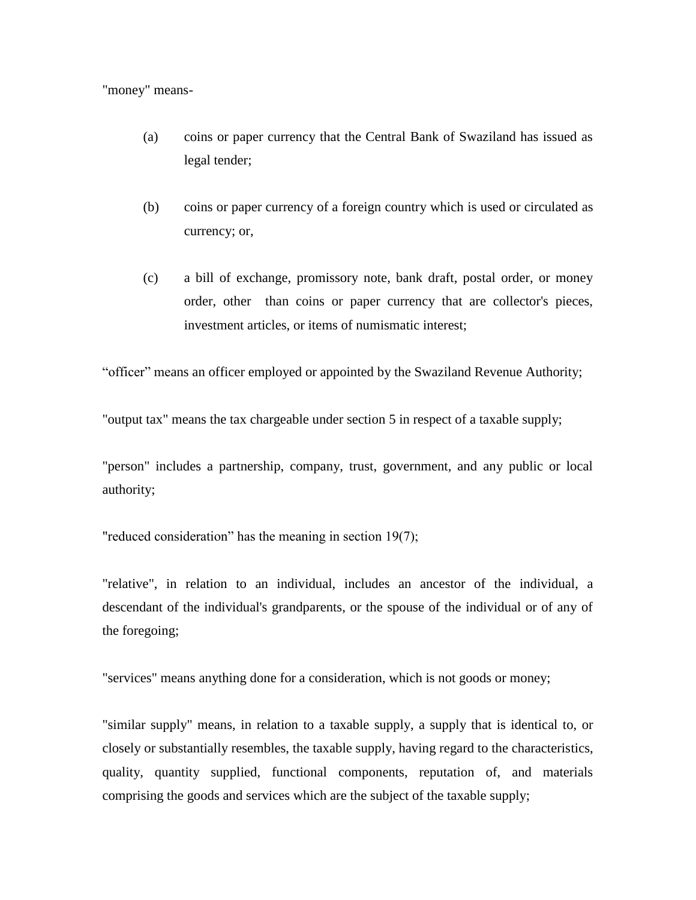### "money" means-

- (a) coins or paper currency that the Central Bank of Swaziland has issued as legal tender;
- (b) coins or paper currency of a foreign country which is used or circulated as currency; or,
- (c) a bill of exchange, promissory note, bank draft, postal order, or money order, other than coins or paper currency that are collector's pieces, investment articles, or items of numismatic interest;

"officer" means an officer employed or appointed by the Swaziland Revenue Authority;

"output tax" means the tax chargeable under section 5 in respect of a taxable supply;

"person" includes a partnership, company, trust, government, and any public or local authority;

"reduced consideration" has the meaning in section 19(7);

"relative", in relation to an individual, includes an ancestor of the individual, a descendant of the individual's grandparents, or the spouse of the individual or of any of the foregoing;

"services" means anything done for a consideration, which is not goods or money;

"similar supply" means, in relation to a taxable supply, a supply that is identical to, or closely or substantially resembles, the taxable supply, having regard to the characteristics, quality, quantity supplied, functional components, reputation of, and materials comprising the goods and services which are the subject of the taxable supply;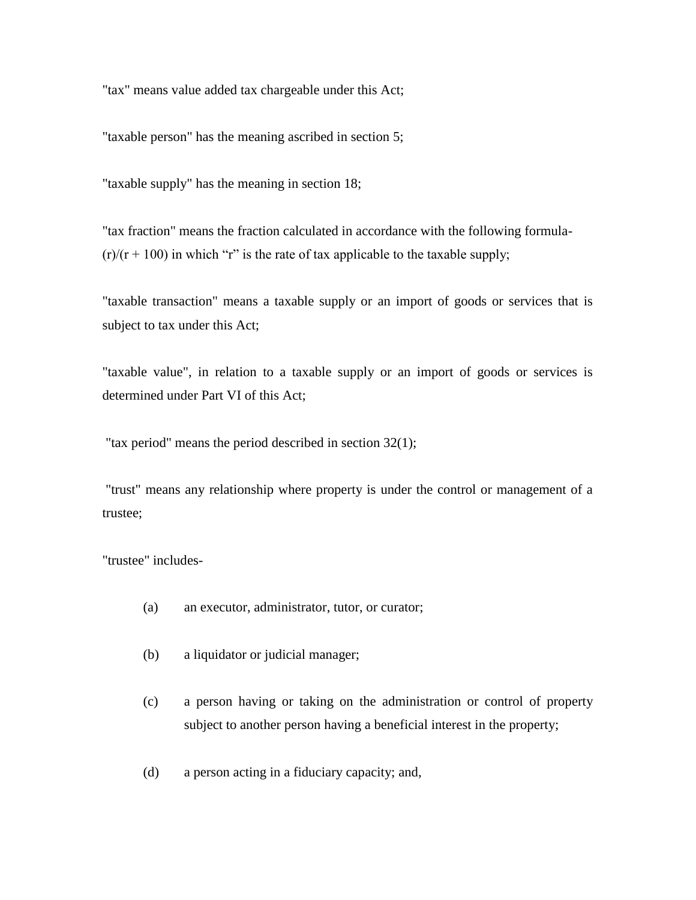"tax" means value added tax chargeable under this Act;

"taxable person" has the meaning ascribed in section 5;

"taxable supply" has the meaning in section 18;

"tax fraction" means the fraction calculated in accordance with the following formula-  $(r)/(r + 100)$  in which "r" is the rate of tax applicable to the taxable supply;

"taxable transaction" means a taxable supply or an import of goods or services that is subject to tax under this Act;

"taxable value", in relation to a taxable supply or an import of goods or services is determined under Part VI of this Act;

"tax period" means the period described in section 32(1);

"trust" means any relationship where property is under the control or management of a trustee;

"trustee" includes-

- (a) an executor, administrator, tutor, or curator;
- (b) a liquidator or judicial manager;
- (c) a person having or taking on the administration or control of property subject to another person having a beneficial interest in the property;
- (d) a person acting in a fiduciary capacity; and,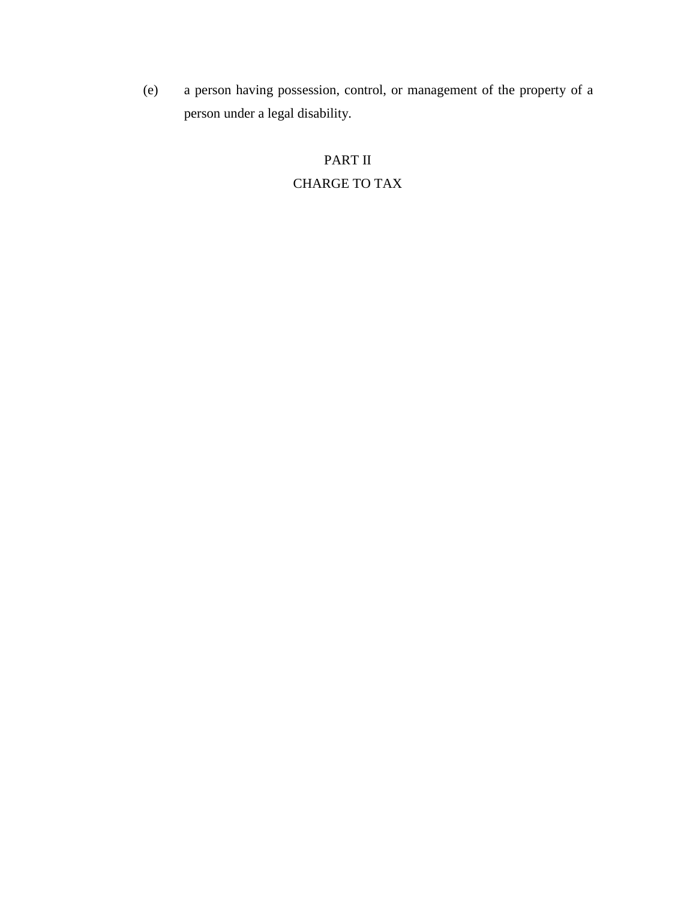(e) a person having possession, control, or management of the property of a person under a legal disability.

# PART II CHARGE TO TAX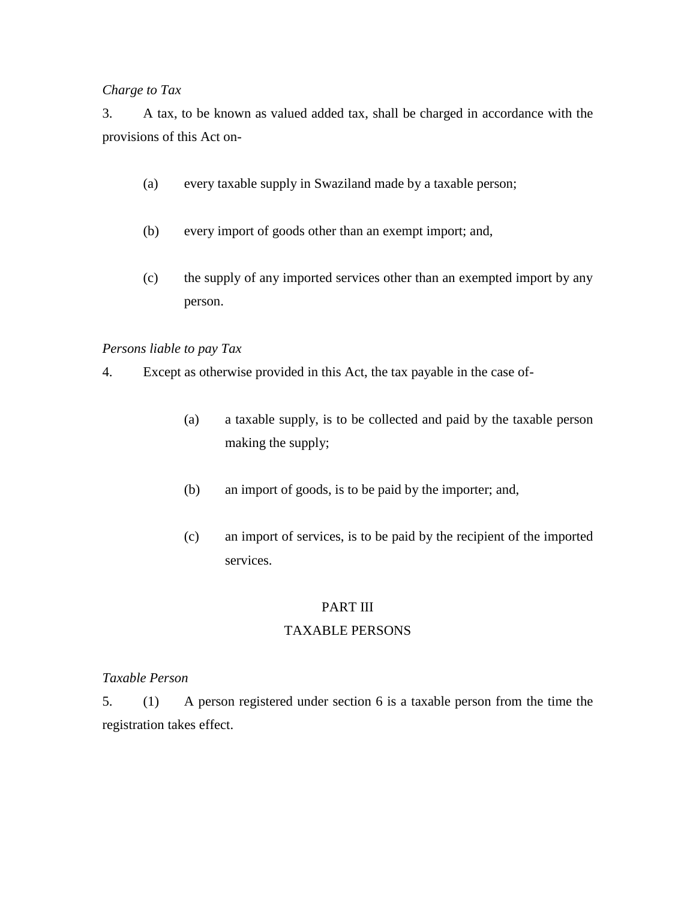### *Charge to Tax*

3. A tax, to be known as valued added tax, shall be charged in accordance with the provisions of this Act on-

- (a) every taxable supply in Swaziland made by a taxable person;
- (b) every import of goods other than an exempt import; and,
- (c) the supply of any imported services other than an exempted import by any person.

### *Persons liable to pay Tax*

- 4. Except as otherwise provided in this Act, the tax payable in the case of-
	- (a) a taxable supply, is to be collected and paid by the taxable person making the supply;
	- (b) an import of goods, is to be paid by the importer; and,
	- (c) an import of services, is to be paid by the recipient of the imported services.

### PART III

### TAXABLE PERSONS

### *Taxable Person*

5. (1) A person registered under section 6 is a taxable person from the time the registration takes effect.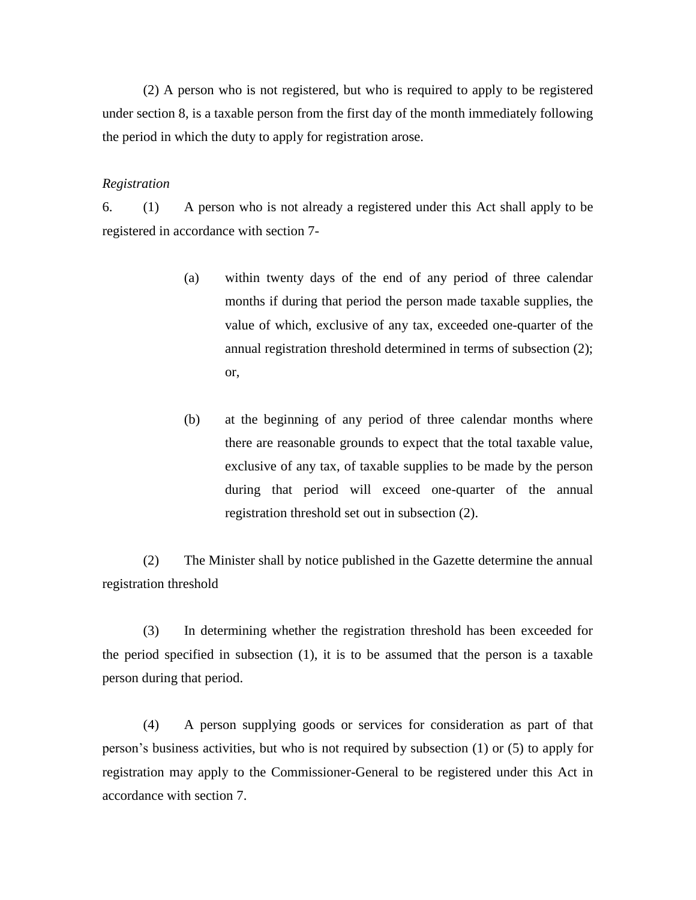(2) A person who is not registered, but who is required to apply to be registered under section 8, is a taxable person from the first day of the month immediately following the period in which the duty to apply for registration arose.

#### *Registration*

6. (1) A person who is not already a registered under this Act shall apply to be registered in accordance with section 7-

- (a) within twenty days of the end of any period of three calendar months if during that period the person made taxable supplies, the value of which, exclusive of any tax, exceeded one-quarter of the annual registration threshold determined in terms of subsection (2); or,
- (b) at the beginning of any period of three calendar months where there are reasonable grounds to expect that the total taxable value, exclusive of any tax, of taxable supplies to be made by the person during that period will exceed one-quarter of the annual registration threshold set out in subsection (2).

(2) The Minister shall by notice published in the Gazette determine the annual registration threshold

(3) In determining whether the registration threshold has been exceeded for the period specified in subsection (1), it is to be assumed that the person is a taxable person during that period.

(4) A person supplying goods or services for consideration as part of that person's business activities, but who is not required by subsection (1) or (5) to apply for registration may apply to the Commissioner-General to be registered under this Act in accordance with section 7.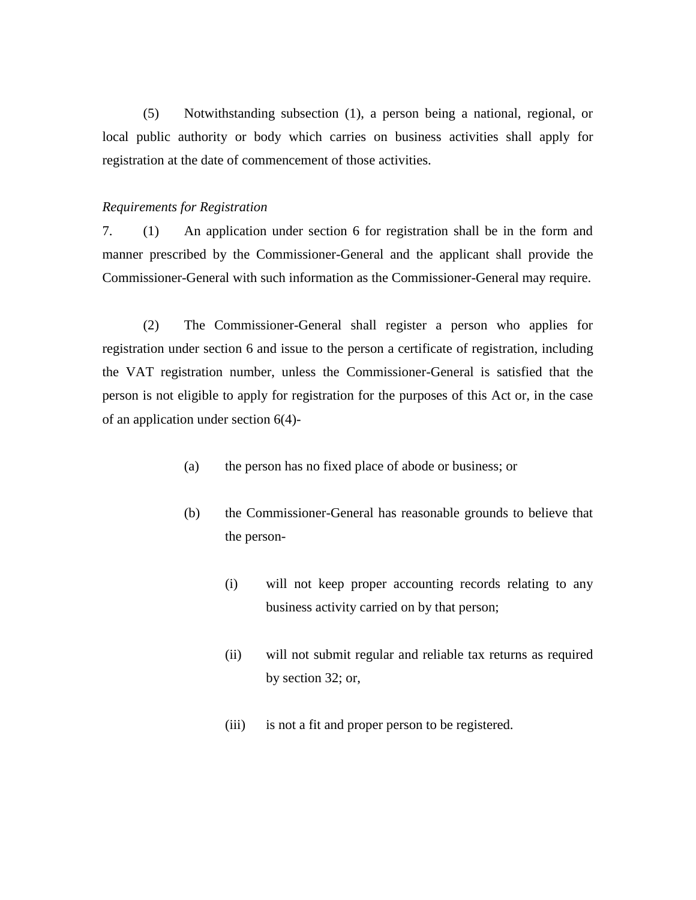(5) Notwithstanding subsection (1), a person being a national, regional, or local public authority or body which carries on business activities shall apply for registration at the date of commencement of those activities.

#### *Requirements for Registration*

7. (1) An application under section 6 for registration shall be in the form and manner prescribed by the Commissioner-General and the applicant shall provide the Commissioner-General with such information as the Commissioner-General may require.

(2) The Commissioner-General shall register a person who applies for registration under section 6 and issue to the person a certificate of registration, including the VAT registration number, unless the Commissioner-General is satisfied that the person is not eligible to apply for registration for the purposes of this Act or, in the case of an application under section 6(4)-

- (a) the person has no fixed place of abode or business; or
- (b) the Commissioner-General has reasonable grounds to believe that the person-
	- (i) will not keep proper accounting records relating to any business activity carried on by that person;
	- (ii) will not submit regular and reliable tax returns as required by section 32; or,
	- (iii) is not a fit and proper person to be registered.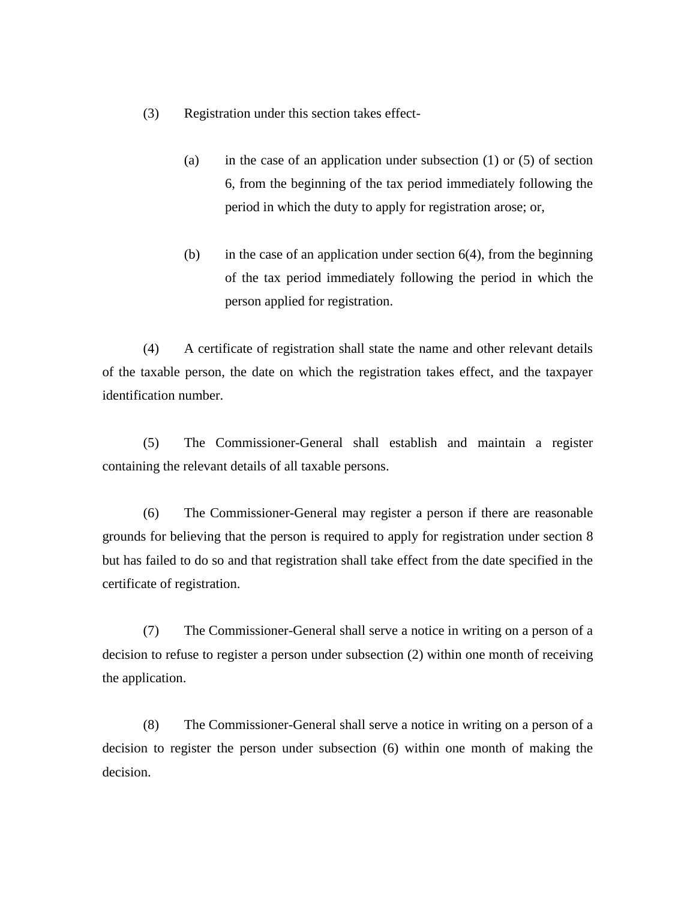- (3) Registration under this section takes effect-
	- (a) in the case of an application under subsection  $(1)$  or  $(5)$  of section 6, from the beginning of the tax period immediately following the period in which the duty to apply for registration arose; or,
	- (b) in the case of an application under section  $6(4)$ , from the beginning of the tax period immediately following the period in which the person applied for registration.

(4) A certificate of registration shall state the name and other relevant details of the taxable person, the date on which the registration takes effect, and the taxpayer identification number.

(5) The Commissioner-General shall establish and maintain a register containing the relevant details of all taxable persons.

(6) The Commissioner-General may register a person if there are reasonable grounds for believing that the person is required to apply for registration under section 8 but has failed to do so and that registration shall take effect from the date specified in the certificate of registration.

(7) The Commissioner-General shall serve a notice in writing on a person of a decision to refuse to register a person under subsection (2) within one month of receiving the application.

(8) The Commissioner-General shall serve a notice in writing on a person of a decision to register the person under subsection (6) within one month of making the decision.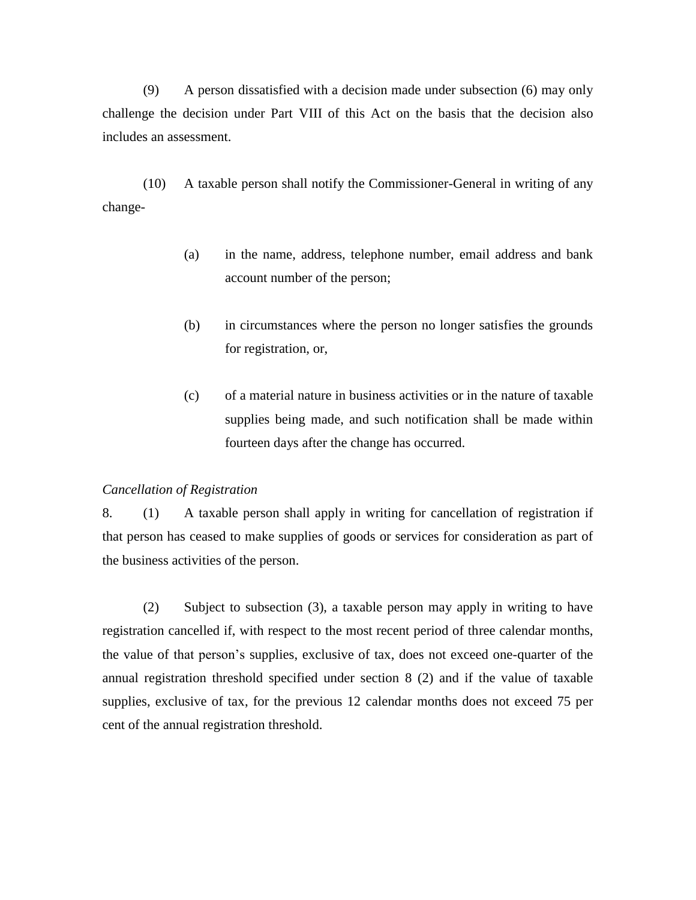(9) A person dissatisfied with a decision made under subsection (6) may only challenge the decision under Part VIII of this Act on the basis that the decision also includes an assessment.

(10) A taxable person shall notify the Commissioner-General in writing of any change-

- (a) in the name, address, telephone number, email address and bank account number of the person;
- (b) in circumstances where the person no longer satisfies the grounds for registration, or,
- (c) of a material nature in business activities or in the nature of taxable supplies being made, and such notification shall be made within fourteen days after the change has occurred.

#### *Cancellation of Registration*

8. (1) A taxable person shall apply in writing for cancellation of registration if that person has ceased to make supplies of goods or services for consideration as part of the business activities of the person.

(2) Subject to subsection (3), a taxable person may apply in writing to have registration cancelled if, with respect to the most recent period of three calendar months, the value of that person's supplies, exclusive of tax, does not exceed one-quarter of the annual registration threshold specified under section 8 (2) and if the value of taxable supplies, exclusive of tax, for the previous 12 calendar months does not exceed 75 per cent of the annual registration threshold.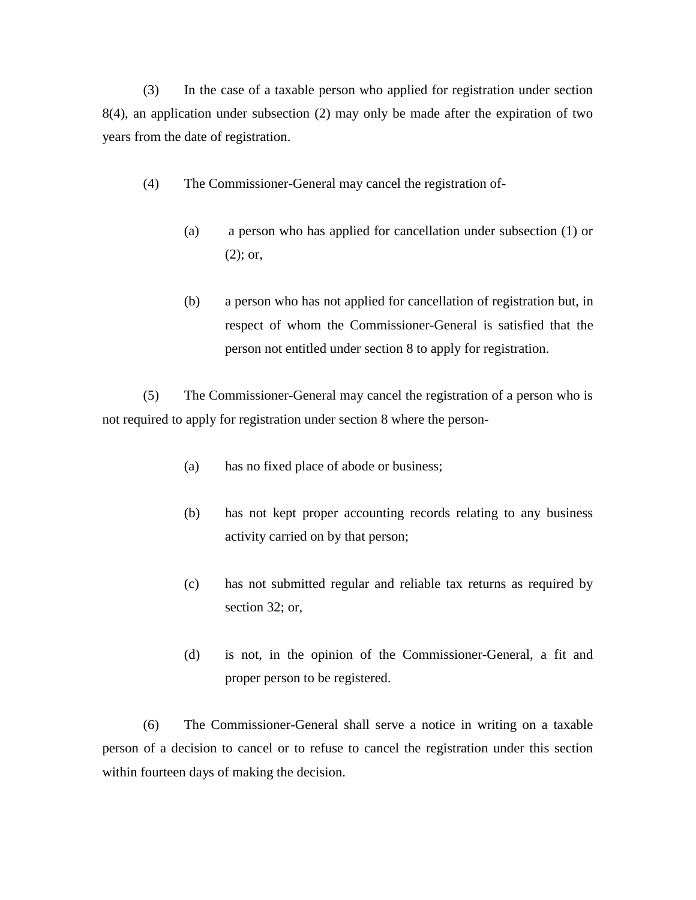(3) In the case of a taxable person who applied for registration under section 8(4), an application under subsection (2) may only be made after the expiration of two years from the date of registration.

- (4) The Commissioner-General may cancel the registration of-
	- (a) a person who has applied for cancellation under subsection (1) or (2); or,
	- (b) a person who has not applied for cancellation of registration but, in respect of whom the Commissioner-General is satisfied that the person not entitled under section 8 to apply for registration.

(5) The Commissioner-General may cancel the registration of a person who is not required to apply for registration under section 8 where the person-

- (a) has no fixed place of abode or business;
- (b) has not kept proper accounting records relating to any business activity carried on by that person;
- (c) has not submitted regular and reliable tax returns as required by section 32; or,
- (d) is not, in the opinion of the Commissioner-General, a fit and proper person to be registered.

(6) The Commissioner-General shall serve a notice in writing on a taxable person of a decision to cancel or to refuse to cancel the registration under this section within fourteen days of making the decision.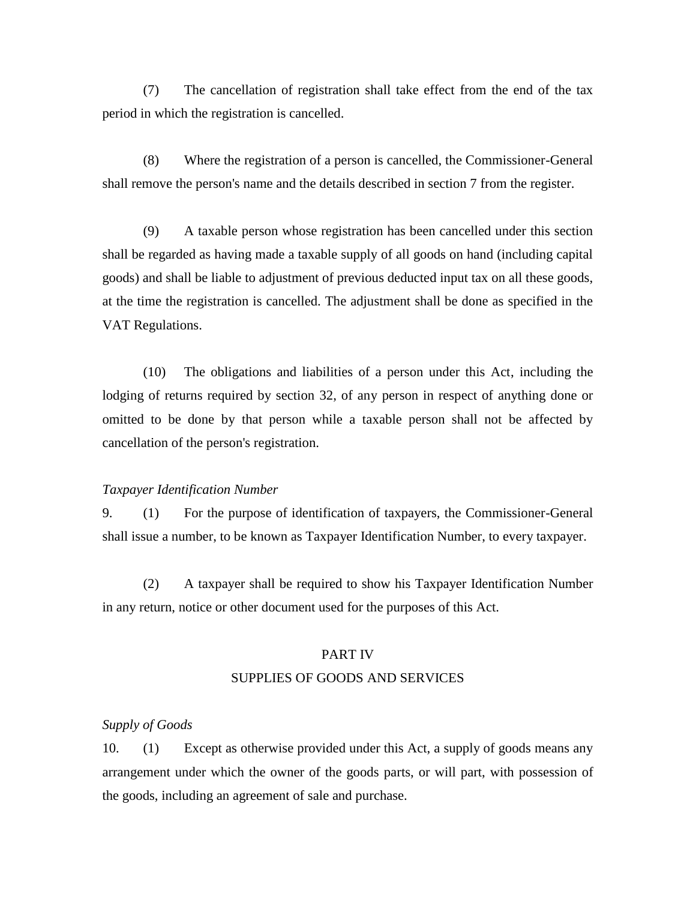(7) The cancellation of registration shall take effect from the end of the tax period in which the registration is cancelled.

(8) Where the registration of a person is cancelled, the Commissioner-General shall remove the person's name and the details described in section 7 from the register.

(9) A taxable person whose registration has been cancelled under this section shall be regarded as having made a taxable supply of all goods on hand (including capital goods) and shall be liable to adjustment of previous deducted input tax on all these goods, at the time the registration is cancelled. The adjustment shall be done as specified in the VAT Regulations.

(10) The obligations and liabilities of a person under this Act, including the lodging of returns required by section 32, of any person in respect of anything done or omitted to be done by that person while a taxable person shall not be affected by cancellation of the person's registration.

#### *Taxpayer Identification Number*

9. (1) For the purpose of identification of taxpayers, the Commissioner-General shall issue a number, to be known as Taxpayer Identification Number, to every taxpayer.

(2) A taxpayer shall be required to show his Taxpayer Identification Number in any return, notice or other document used for the purposes of this Act.

## PART IV SUPPLIES OF GOODS AND SERVICES

#### *Supply of Goods*

10. (1) Except as otherwise provided under this Act, a supply of goods means any arrangement under which the owner of the goods parts, or will part, with possession of the goods, including an agreement of sale and purchase.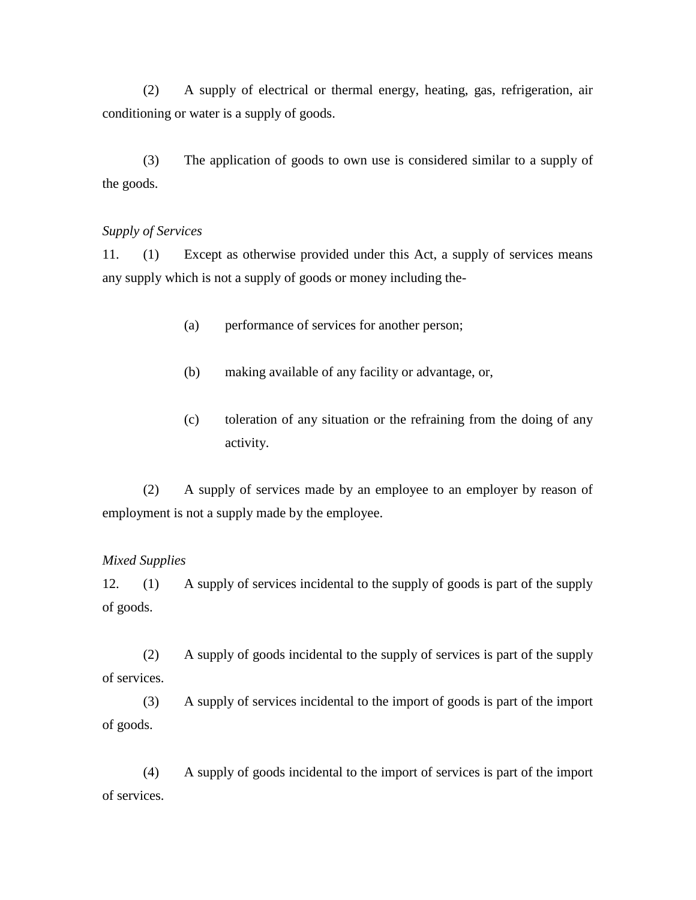(2) A supply of electrical or thermal energy, heating, gas, refrigeration, air conditioning or water is a supply of goods.

(3) The application of goods to own use is considered similar to a supply of the goods.

#### *Supply of Services*

11. (1) Except as otherwise provided under this Act, a supply of services means any supply which is not a supply of goods or money including the-

- (a) performance of services for another person;
- (b) making available of any facility or advantage, or,
- (c) toleration of any situation or the refraining from the doing of any activity.

(2) A supply of services made by an employee to an employer by reason of employment is not a supply made by the employee.

#### *Mixed Supplies*

12. (1) A supply of services incidental to the supply of goods is part of the supply of goods.

(2) A supply of goods incidental to the supply of services is part of the supply of services.

(3) A supply of services incidental to the import of goods is part of the import of goods.

(4) A supply of goods incidental to the import of services is part of the import of services.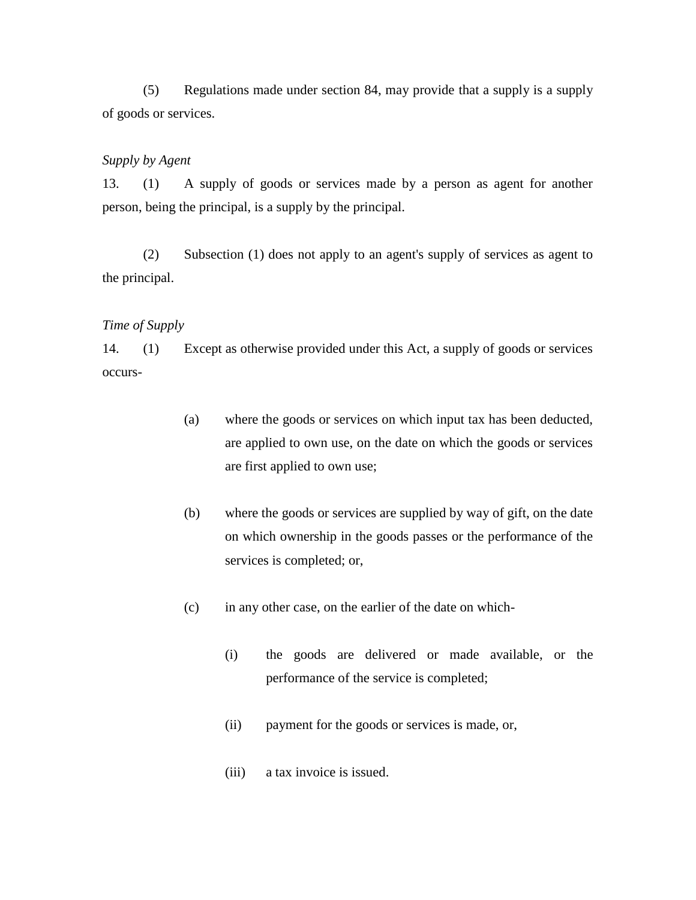(5) Regulations made under section 84, may provide that a supply is a supply of goods or services.

#### *Supply by Agent*

13. (1) A supply of goods or services made by a person as agent for another person, being the principal, is a supply by the principal.

(2) Subsection (1) does not apply to an agent's supply of services as agent to the principal.

### *Time of Supply*

14. (1) Except as otherwise provided under this Act, a supply of goods or services occurs-

- (a) where the goods or services on which input tax has been deducted, are applied to own use, on the date on which the goods or services are first applied to own use;
- (b) where the goods or services are supplied by way of gift, on the date on which ownership in the goods passes or the performance of the services is completed; or,
- (c) in any other case, on the earlier of the date on which-
	- (i) the goods are delivered or made available, or the performance of the service is completed;
	- (ii) payment for the goods or services is made, or,
	- (iii) a tax invoice is issued.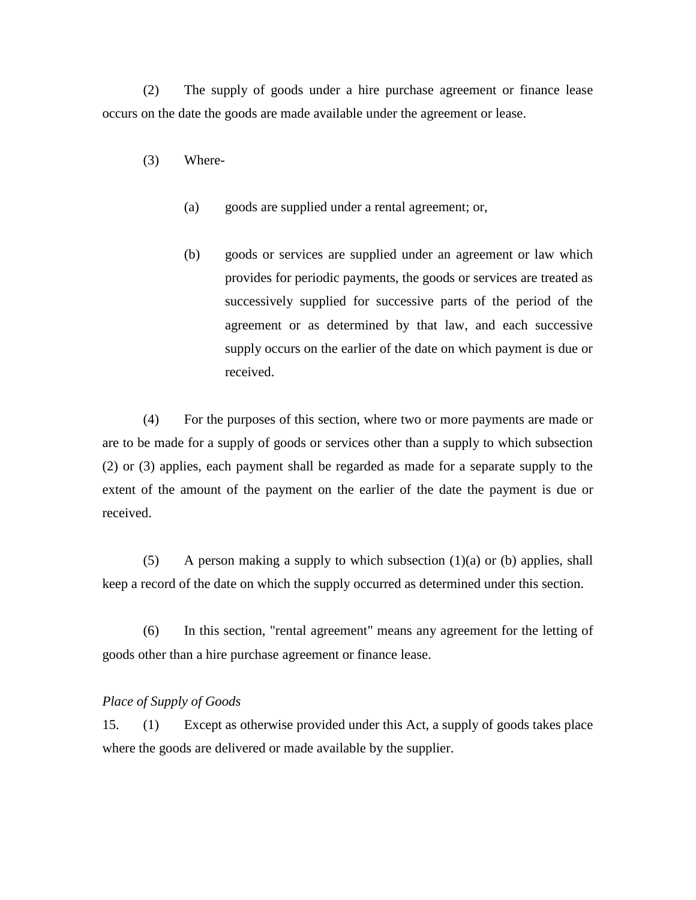(2) The supply of goods under a hire purchase agreement or finance lease occurs on the date the goods are made available under the agreement or lease.

- (3) Where-
	- (a) goods are supplied under a rental agreement; or,
	- (b) goods or services are supplied under an agreement or law which provides for periodic payments, the goods or services are treated as successively supplied for successive parts of the period of the agreement or as determined by that law, and each successive supply occurs on the earlier of the date on which payment is due or received.

(4) For the purposes of this section, where two or more payments are made or are to be made for a supply of goods or services other than a supply to which subsection (2) or (3) applies, each payment shall be regarded as made for a separate supply to the extent of the amount of the payment on the earlier of the date the payment is due or received.

(5) A person making a supply to which subsection  $(1)(a)$  or (b) applies, shall keep a record of the date on which the supply occurred as determined under this section.

(6) In this section, "rental agreement" means any agreement for the letting of goods other than a hire purchase agreement or finance lease.

#### *Place of Supply of Goods*

15. (1) Except as otherwise provided under this Act, a supply of goods takes place where the goods are delivered or made available by the supplier.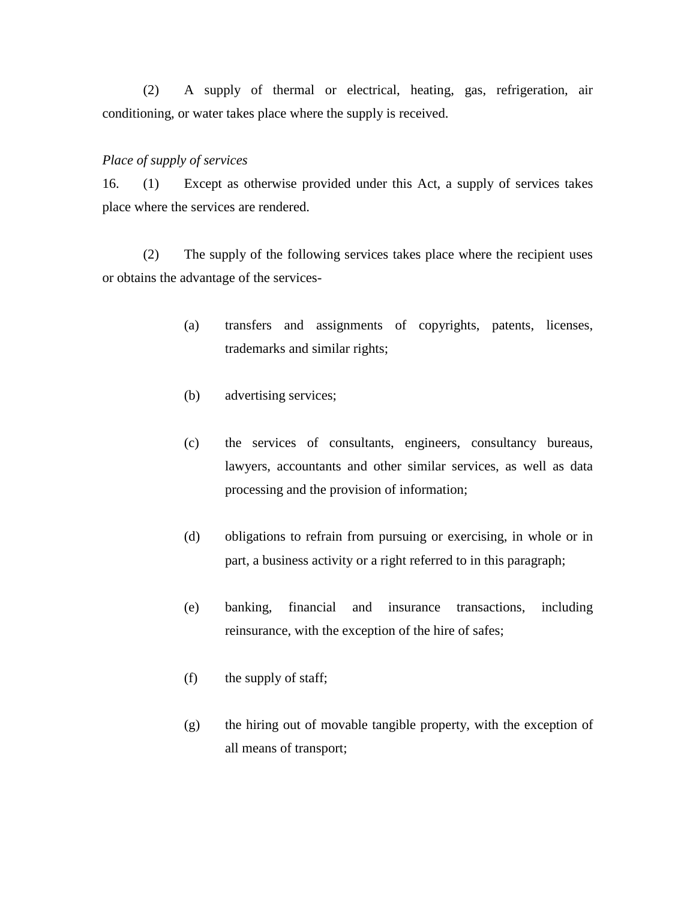(2) A supply of thermal or electrical, heating, gas, refrigeration, air conditioning, or water takes place where the supply is received.

#### *Place of supply of services*

16. (1) Except as otherwise provided under this Act, a supply of services takes place where the services are rendered.

(2) The supply of the following services takes place where the recipient uses or obtains the advantage of the services-

- (a) transfers and assignments of copyrights, patents, licenses, trademarks and similar rights;
- (b) advertising services;
- (c) the services of consultants, engineers, consultancy bureaus, lawyers, accountants and other similar services, as well as data processing and the provision of information;
- (d) obligations to refrain from pursuing or exercising, in whole or in part, a business activity or a right referred to in this paragraph;
- (e) banking, financial and insurance transactions, including reinsurance, with the exception of the hire of safes;
- (f) the supply of staff;
- (g) the hiring out of movable tangible property, with the exception of all means of transport;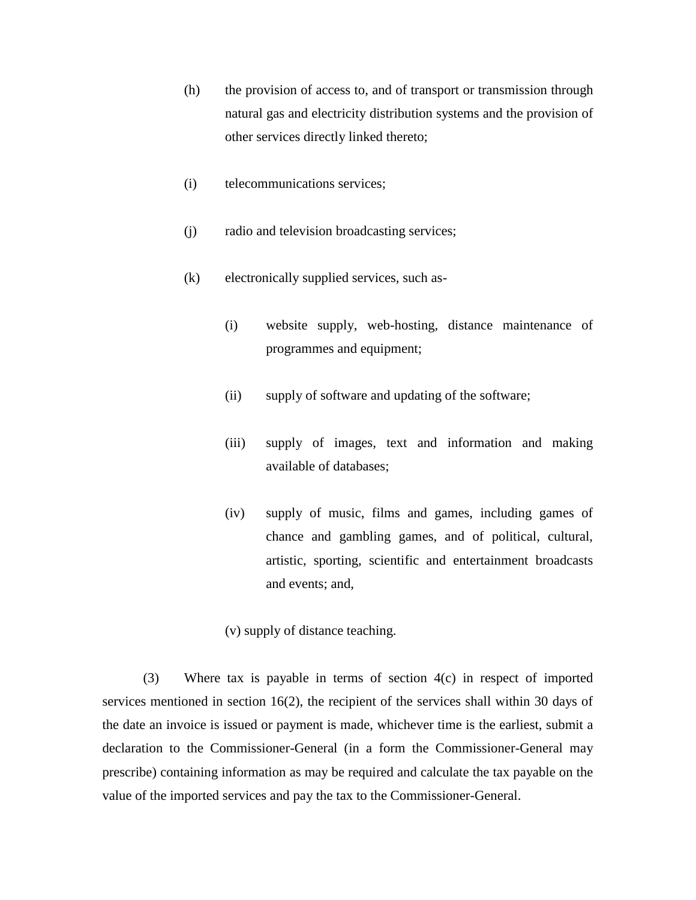- (h) the provision of access to, and of transport or transmission through natural gas and electricity distribution systems and the provision of other services directly linked thereto;
- (i) telecommunications services;
- (j) radio and television broadcasting services;
- (k) electronically supplied services, such as-
	- (i) website supply, web-hosting, distance maintenance of programmes and equipment;
	- (ii) supply of software and updating of the software;
	- (iii) supply of images, text and information and making available of databases;
	- (iv) supply of music, films and games, including games of chance and gambling games, and of political, cultural, artistic, sporting, scientific and entertainment broadcasts and events; and,

(v) supply of distance teaching.

(3) Where tax is payable in terms of section 4(c) in respect of imported services mentioned in section 16(2), the recipient of the services shall within 30 days of the date an invoice is issued or payment is made, whichever time is the earliest, submit a declaration to the Commissioner-General (in a form the Commissioner-General may prescribe) containing information as may be required and calculate the tax payable on the value of the imported services and pay the tax to the Commissioner-General.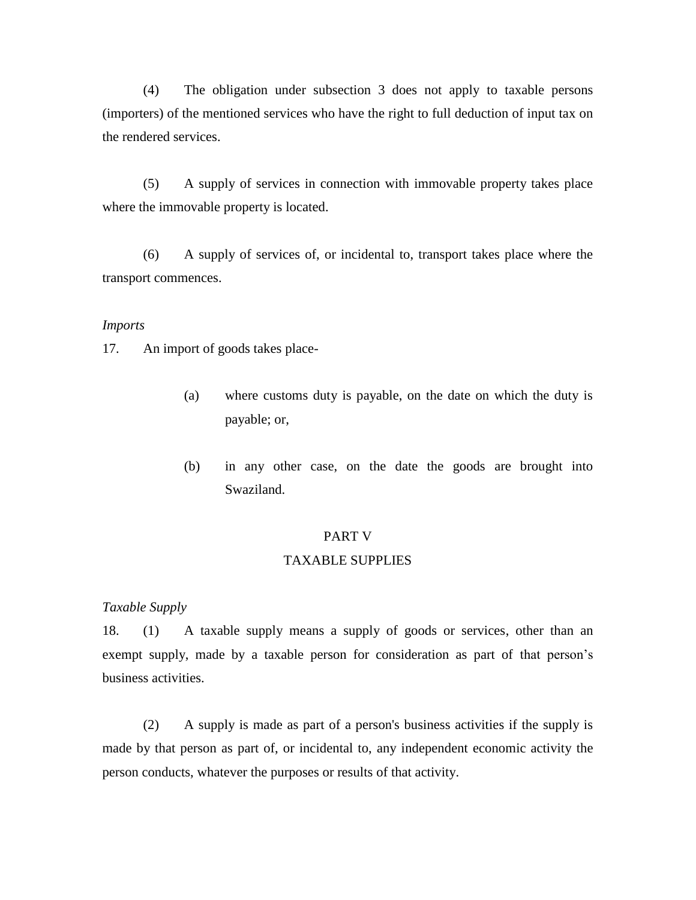(4) The obligation under subsection 3 does not apply to taxable persons (importers) of the mentioned services who have the right to full deduction of input tax on the rendered services.

(5) A supply of services in connection with immovable property takes place where the immovable property is located.

(6) A supply of services of, or incidental to, transport takes place where the transport commences.

### *Imports*

17. An import of goods takes place-

- (a) where customs duty is payable, on the date on which the duty is payable; or,
- (b) in any other case, on the date the goods are brought into Swaziland.

#### PART V

#### TAXABLE SUPPLIES

#### *Taxable Supply*

18. (1) A taxable supply means a supply of goods or services, other than an exempt supply, made by a taxable person for consideration as part of that person's business activities.

(2) A supply is made as part of a person's business activities if the supply is made by that person as part of, or incidental to, any independent economic activity the person conducts, whatever the purposes or results of that activity.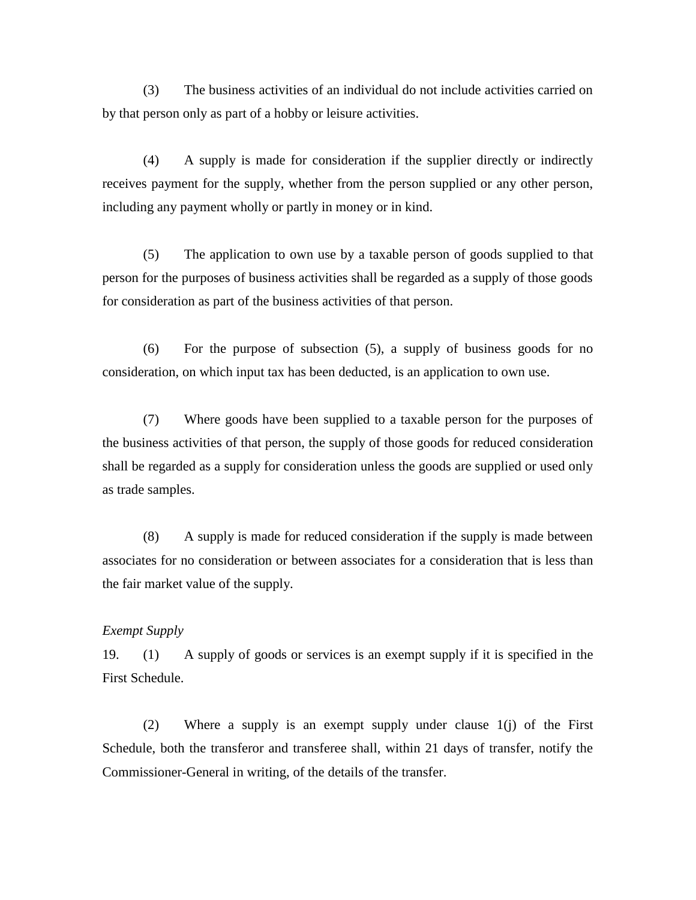(3) The business activities of an individual do not include activities carried on by that person only as part of a hobby or leisure activities.

(4) A supply is made for consideration if the supplier directly or indirectly receives payment for the supply, whether from the person supplied or any other person, including any payment wholly or partly in money or in kind.

(5) The application to own use by a taxable person of goods supplied to that person for the purposes of business activities shall be regarded as a supply of those goods for consideration as part of the business activities of that person.

(6) For the purpose of subsection (5), a supply of business goods for no consideration, on which input tax has been deducted, is an application to own use.

(7) Where goods have been supplied to a taxable person for the purposes of the business activities of that person, the supply of those goods for reduced consideration shall be regarded as a supply for consideration unless the goods are supplied or used only as trade samples.

(8) A supply is made for reduced consideration if the supply is made between associates for no consideration or between associates for a consideration that is less than the fair market value of the supply.

#### *Exempt Supply*

19. (1) A supply of goods or services is an exempt supply if it is specified in the First Schedule.

(2) Where a supply is an exempt supply under clause 1(j) of the First Schedule, both the transferor and transferee shall, within 21 days of transfer, notify the Commissioner-General in writing, of the details of the transfer.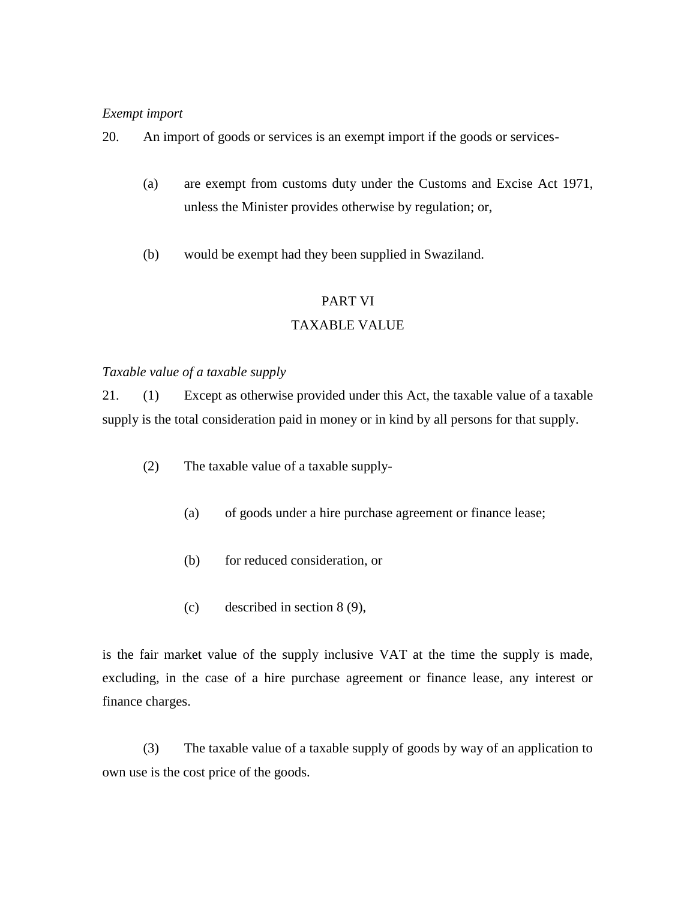### *Exempt import*

20. An import of goods or services is an exempt import if the goods or services-

- (a) are exempt from customs duty under the Customs and Excise Act 1971, unless the Minister provides otherwise by regulation; or,
- (b) would be exempt had they been supplied in Swaziland.

### PART VI

### TAXABLE VALUE

### *Taxable value of a taxable supply*

21. (1) Except as otherwise provided under this Act, the taxable value of a taxable supply is the total consideration paid in money or in kind by all persons for that supply.

- (2) The taxable value of a taxable supply-
	- (a) of goods under a hire purchase agreement or finance lease;
	- (b) for reduced consideration, or
	- (c) described in section 8 (9),

is the fair market value of the supply inclusive VAT at the time the supply is made, excluding, in the case of a hire purchase agreement or finance lease, any interest or finance charges.

(3) The taxable value of a taxable supply of goods by way of an application to own use is the cost price of the goods.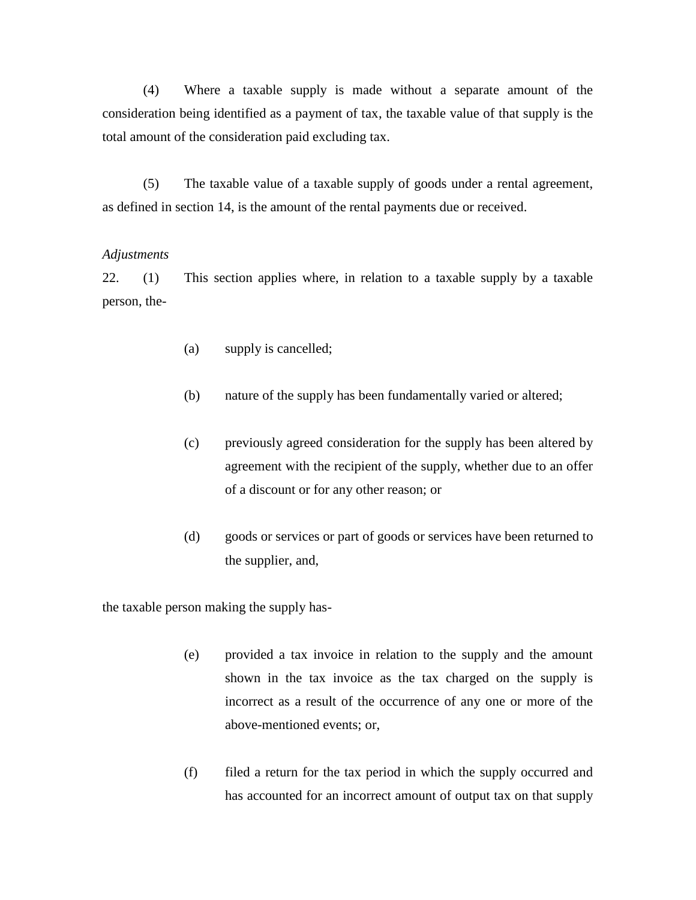(4) Where a taxable supply is made without a separate amount of the consideration being identified as a payment of tax, the taxable value of that supply is the total amount of the consideration paid excluding tax.

(5) The taxable value of a taxable supply of goods under a rental agreement, as defined in section 14, is the amount of the rental payments due or received.

#### *Adjustments*

22. (1) This section applies where, in relation to a taxable supply by a taxable person, the-

- (a) supply is cancelled;
- (b) nature of the supply has been fundamentally varied or altered;
- (c) previously agreed consideration for the supply has been altered by agreement with the recipient of the supply, whether due to an offer of a discount or for any other reason; or
- (d) goods or services or part of goods or services have been returned to the supplier, and,

the taxable person making the supply has-

- (e) provided a tax invoice in relation to the supply and the amount shown in the tax invoice as the tax charged on the supply is incorrect as a result of the occurrence of any one or more of the above-mentioned events; or,
- (f) filed a return for the tax period in which the supply occurred and has accounted for an incorrect amount of output tax on that supply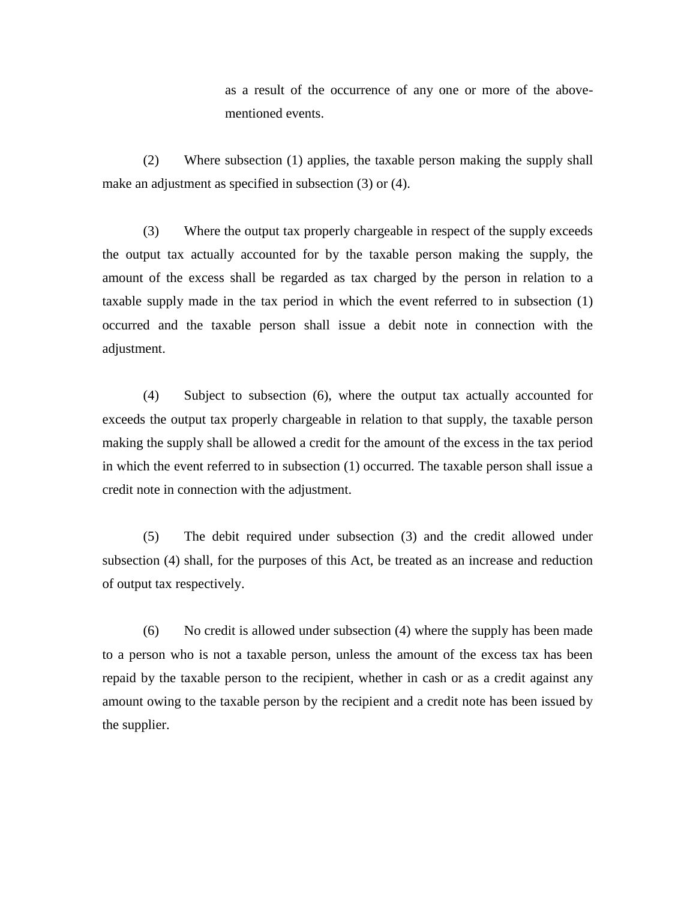as a result of the occurrence of any one or more of the abovementioned events.

(2) Where subsection (1) applies, the taxable person making the supply shall make an adjustment as specified in subsection (3) or (4).

(3) Where the output tax properly chargeable in respect of the supply exceeds the output tax actually accounted for by the taxable person making the supply, the amount of the excess shall be regarded as tax charged by the person in relation to a taxable supply made in the tax period in which the event referred to in subsection (1) occurred and the taxable person shall issue a debit note in connection with the adjustment.

(4) Subject to subsection (6), where the output tax actually accounted for exceeds the output tax properly chargeable in relation to that supply, the taxable person making the supply shall be allowed a credit for the amount of the excess in the tax period in which the event referred to in subsection (1) occurred. The taxable person shall issue a credit note in connection with the adjustment.

(5) The debit required under subsection (3) and the credit allowed under subsection (4) shall, for the purposes of this Act, be treated as an increase and reduction of output tax respectively.

(6) No credit is allowed under subsection (4) where the supply has been made to a person who is not a taxable person, unless the amount of the excess tax has been repaid by the taxable person to the recipient, whether in cash or as a credit against any amount owing to the taxable person by the recipient and a credit note has been issued by the supplier.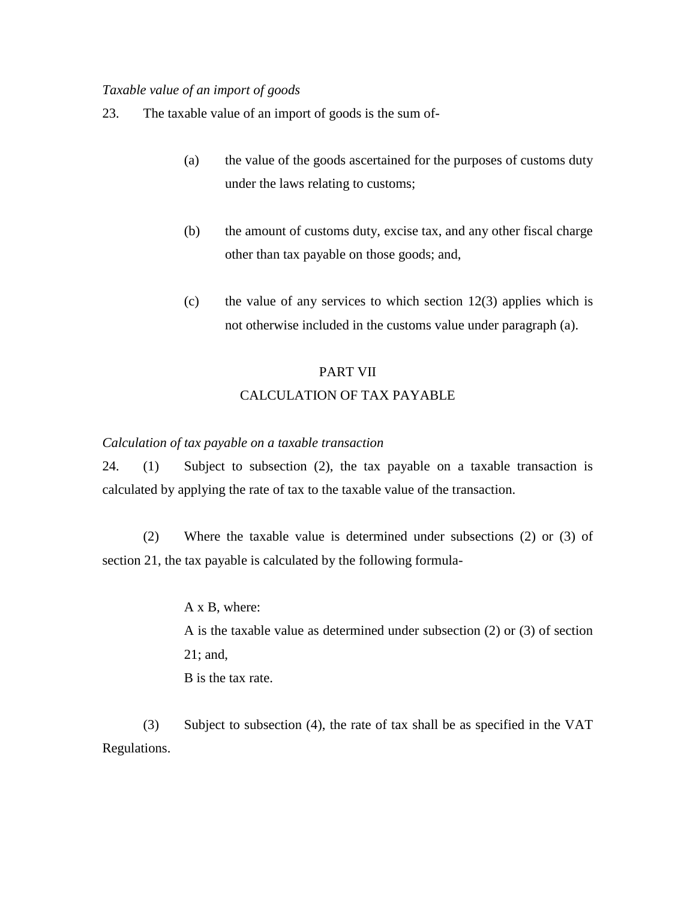#### *Taxable value of an import of goods*

- 23. The taxable value of an import of goods is the sum of-
	- (a) the value of the goods ascertained for the purposes of customs duty under the laws relating to customs;
	- (b) the amount of customs duty, excise tax, and any other fiscal charge other than tax payable on those goods; and,
	- (c) the value of any services to which section  $12(3)$  applies which is not otherwise included in the customs value under paragraph (a).

# PART VII CALCULATION OF TAX PAYABLE

#### *Calculation of tax payable on a taxable transaction*

24. (1) Subject to subsection (2), the tax payable on a taxable transaction is calculated by applying the rate of tax to the taxable value of the transaction.

(2) Where the taxable value is determined under subsections (2) or (3) of section 21, the tax payable is calculated by the following formula-

> A x B, where: A is the taxable value as determined under subsection (2) or (3) of section 21; and, B is the tax rate.

(3) Subject to subsection (4), the rate of tax shall be as specified in the VAT Regulations.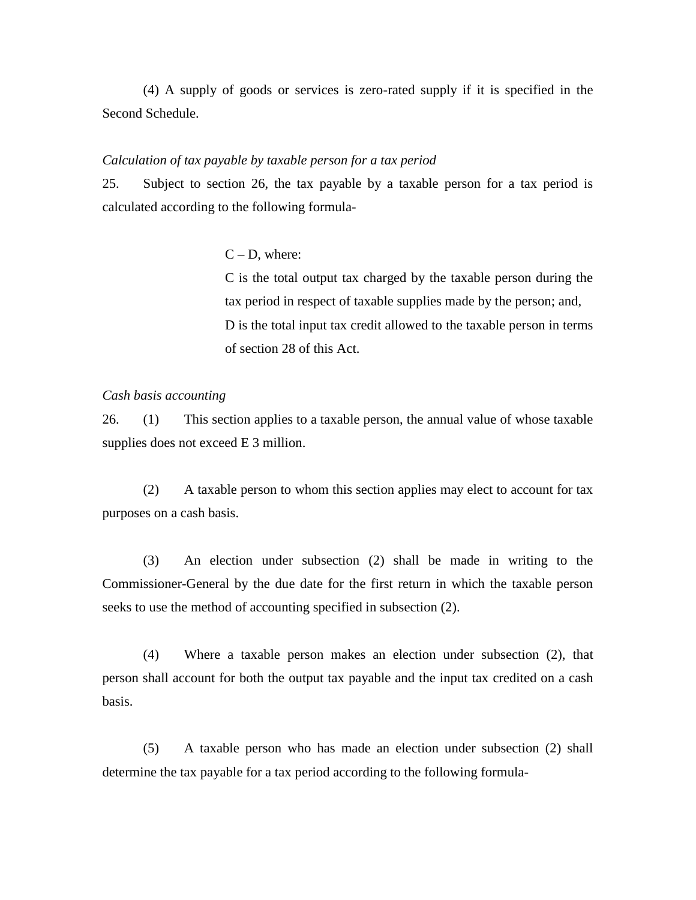(4) A supply of goods or services is zero-rated supply if it is specified in the Second Schedule.

#### *Calculation of tax payable by taxable person for a tax period*

25. Subject to section 26, the tax payable by a taxable person for a tax period is calculated according to the following formula-

#### $C - D$ , where:

C is the total output tax charged by the taxable person during the tax period in respect of taxable supplies made by the person; and, D is the total input tax credit allowed to the taxable person in terms of section 28 of this Act.

#### *Cash basis accounting*

26. (1) This section applies to a taxable person, the annual value of whose taxable supplies does not exceed E 3 million.

(2) A taxable person to whom this section applies may elect to account for tax purposes on a cash basis.

(3) An election under subsection (2) shall be made in writing to the Commissioner-General by the due date for the first return in which the taxable person seeks to use the method of accounting specified in subsection (2).

(4) Where a taxable person makes an election under subsection (2), that person shall account for both the output tax payable and the input tax credited on a cash basis.

(5) A taxable person who has made an election under subsection (2) shall determine the tax payable for a tax period according to the following formula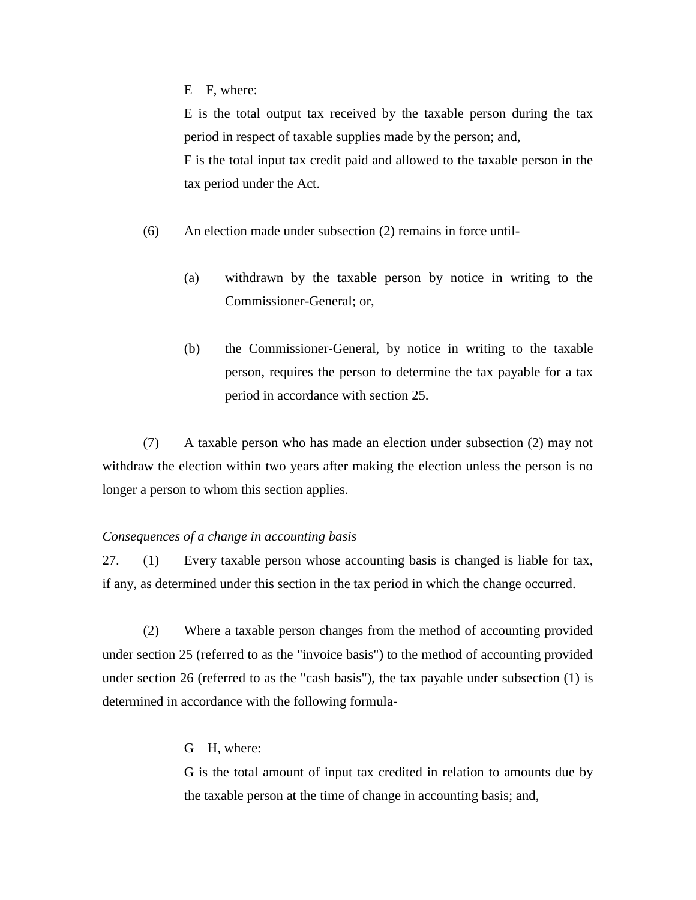$E - F$ , where:

E is the total output tax received by the taxable person during the tax period in respect of taxable supplies made by the person; and, F is the total input tax credit paid and allowed to the taxable person in the tax period under the Act.

- (6) An election made under subsection (2) remains in force until-
	- (a) withdrawn by the taxable person by notice in writing to the Commissioner-General; or,
	- (b) the Commissioner-General, by notice in writing to the taxable person, requires the person to determine the tax payable for a tax period in accordance with section 25.

(7) A taxable person who has made an election under subsection (2) may not withdraw the election within two years after making the election unless the person is no longer a person to whom this section applies.

#### *Consequences of a change in accounting basis*

27. (1) Every taxable person whose accounting basis is changed is liable for tax, if any, as determined under this section in the tax period in which the change occurred.

(2) Where a taxable person changes from the method of accounting provided under section 25 (referred to as the "invoice basis") to the method of accounting provided under section 26 (referred to as the "cash basis"), the tax payable under subsection (1) is determined in accordance with the following formula-

### $G - H$ , where:

G is the total amount of input tax credited in relation to amounts due by the taxable person at the time of change in accounting basis; and,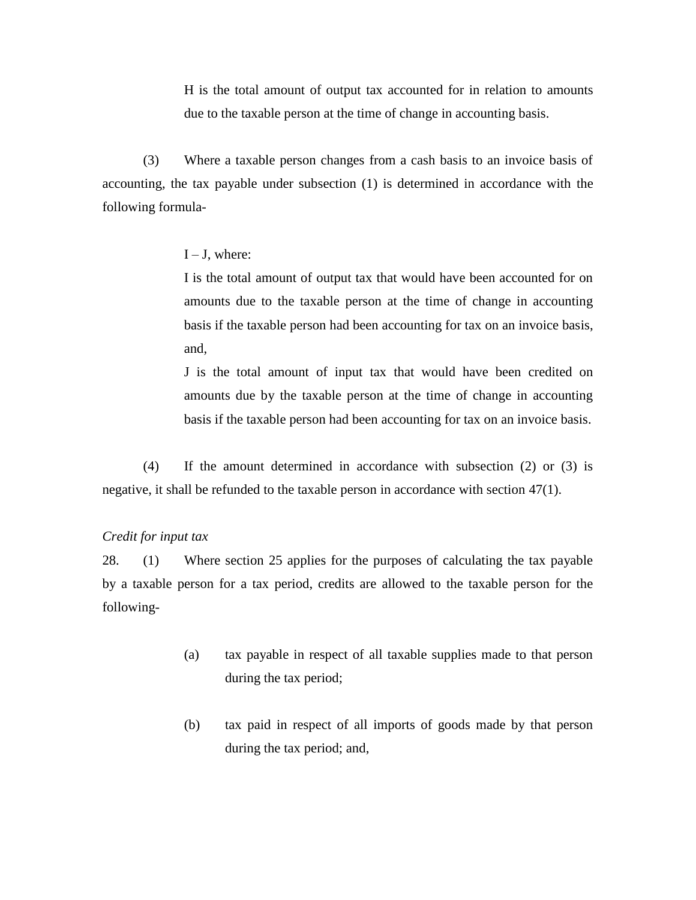H is the total amount of output tax accounted for in relation to amounts due to the taxable person at the time of change in accounting basis.

(3) Where a taxable person changes from a cash basis to an invoice basis of accounting, the tax payable under subsection (1) is determined in accordance with the following formula-

#### $I - J$ , where:

I is the total amount of output tax that would have been accounted for on amounts due to the taxable person at the time of change in accounting basis if the taxable person had been accounting for tax on an invoice basis, and,

J is the total amount of input tax that would have been credited on amounts due by the taxable person at the time of change in accounting basis if the taxable person had been accounting for tax on an invoice basis.

(4) If the amount determined in accordance with subsection (2) or (3) is negative, it shall be refunded to the taxable person in accordance with section 47(1).

#### *Credit for input tax*

28. (1) Where section 25 applies for the purposes of calculating the tax payable by a taxable person for a tax period, credits are allowed to the taxable person for the following-

- (a) tax payable in respect of all taxable supplies made to that person during the tax period;
- (b) tax paid in respect of all imports of goods made by that person during the tax period; and,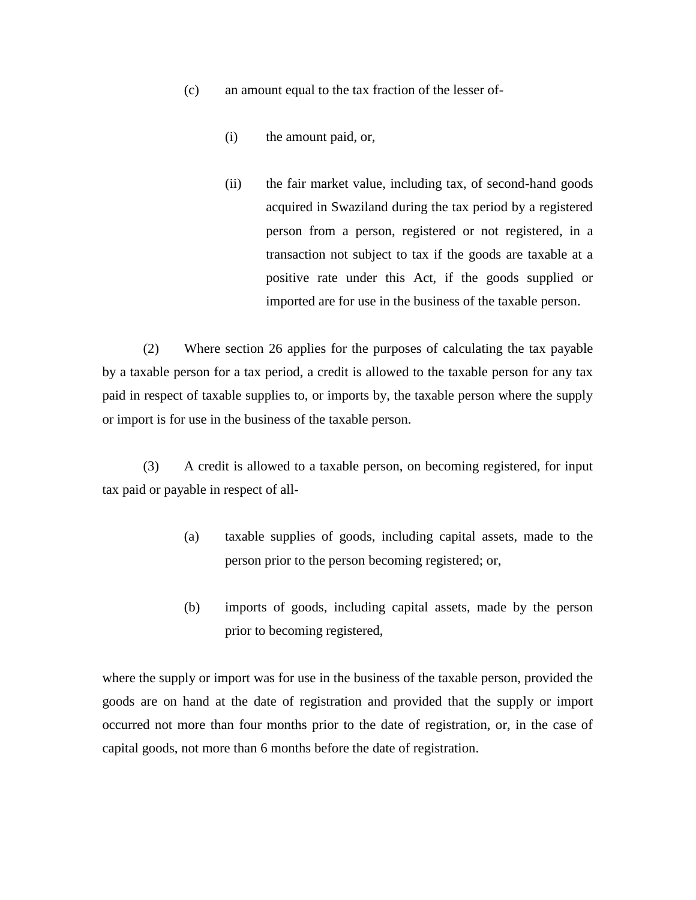- (c) an amount equal to the tax fraction of the lesser of-
	- (i) the amount paid, or,
	- (ii) the fair market value, including tax, of second-hand goods acquired in Swaziland during the tax period by a registered person from a person, registered or not registered, in a transaction not subject to tax if the goods are taxable at a positive rate under this Act, if the goods supplied or imported are for use in the business of the taxable person.

(2) Where section 26 applies for the purposes of calculating the tax payable by a taxable person for a tax period, a credit is allowed to the taxable person for any tax paid in respect of taxable supplies to, or imports by, the taxable person where the supply or import is for use in the business of the taxable person.

(3) A credit is allowed to a taxable person, on becoming registered, for input tax paid or payable in respect of all-

- (a) taxable supplies of goods, including capital assets, made to the person prior to the person becoming registered; or,
- (b) imports of goods, including capital assets, made by the person prior to becoming registered,

where the supply or import was for use in the business of the taxable person, provided the goods are on hand at the date of registration and provided that the supply or import occurred not more than four months prior to the date of registration, or, in the case of capital goods, not more than 6 months before the date of registration.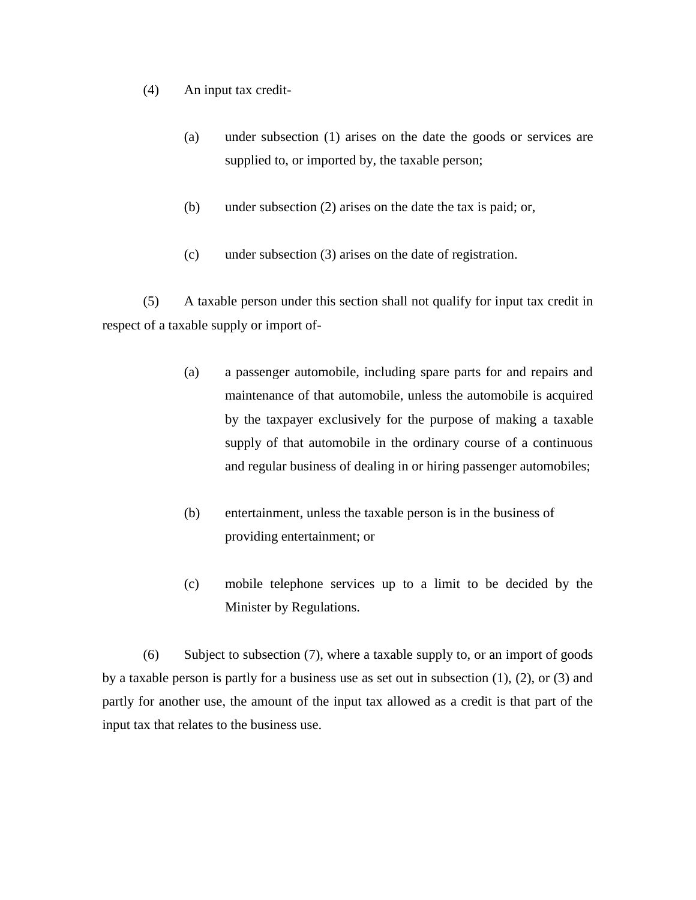- (4) An input tax credit-
	- (a) under subsection (1) arises on the date the goods or services are supplied to, or imported by, the taxable person;
	- (b) under subsection (2) arises on the date the tax is paid; or,
	- (c) under subsection (3) arises on the date of registration.

(5) A taxable person under this section shall not qualify for input tax credit in respect of a taxable supply or import of-

- (a) a passenger automobile, including spare parts for and repairs and maintenance of that automobile, unless the automobile is acquired by the taxpayer exclusively for the purpose of making a taxable supply of that automobile in the ordinary course of a continuous and regular business of dealing in or hiring passenger automobiles;
- (b) entertainment, unless the taxable person is in the business of providing entertainment; or
- (c) mobile telephone services up to a limit to be decided by the Minister by Regulations.

(6) Subject to subsection (7), where a taxable supply to, or an import of goods by a taxable person is partly for a business use as set out in subsection (1), (2), or (3) and partly for another use, the amount of the input tax allowed as a credit is that part of the input tax that relates to the business use.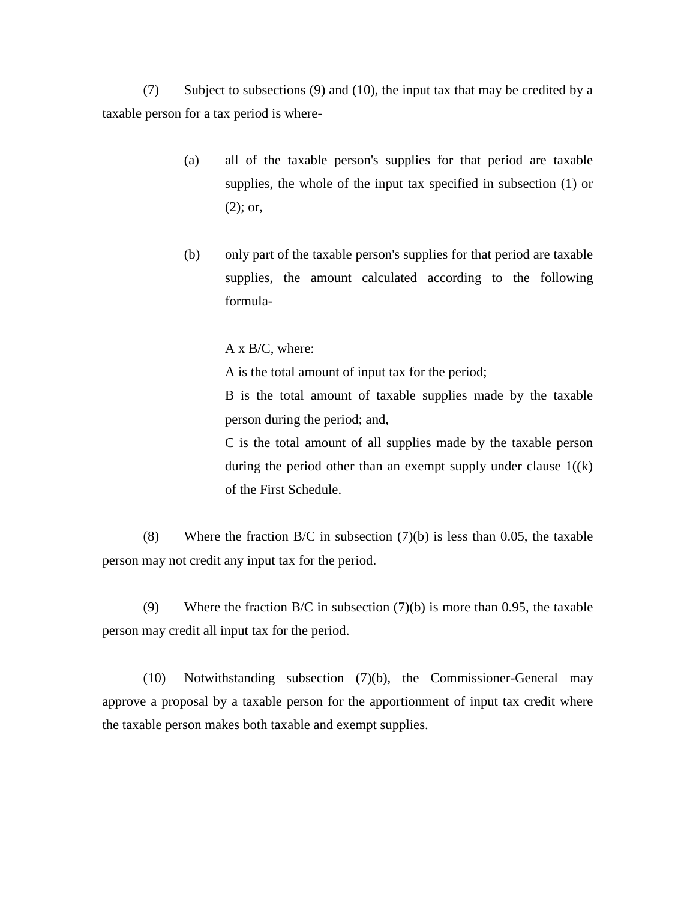(7) Subject to subsections (9) and (10), the input tax that may be credited by a taxable person for a tax period is where-

- (a) all of the taxable person's supplies for that period are taxable supplies, the whole of the input tax specified in subsection (1) or (2); or,
- (b) only part of the taxable person's supplies for that period are taxable supplies, the amount calculated according to the following formula-

A x B/C, where:

A is the total amount of input tax for the period;

B is the total amount of taxable supplies made by the taxable person during the period; and,

C is the total amount of all supplies made by the taxable person during the period other than an exempt supply under clause  $1((k)$ of the First Schedule.

(8) Where the fraction  $B/C$  in subsection (7)(b) is less than 0.05, the taxable person may not credit any input tax for the period.

(9) Where the fraction  $B/C$  in subsection (7)(b) is more than 0.95, the taxable person may credit all input tax for the period.

(10) Notwithstanding subsection (7)(b), the Commissioner-General may approve a proposal by a taxable person for the apportionment of input tax credit where the taxable person makes both taxable and exempt supplies.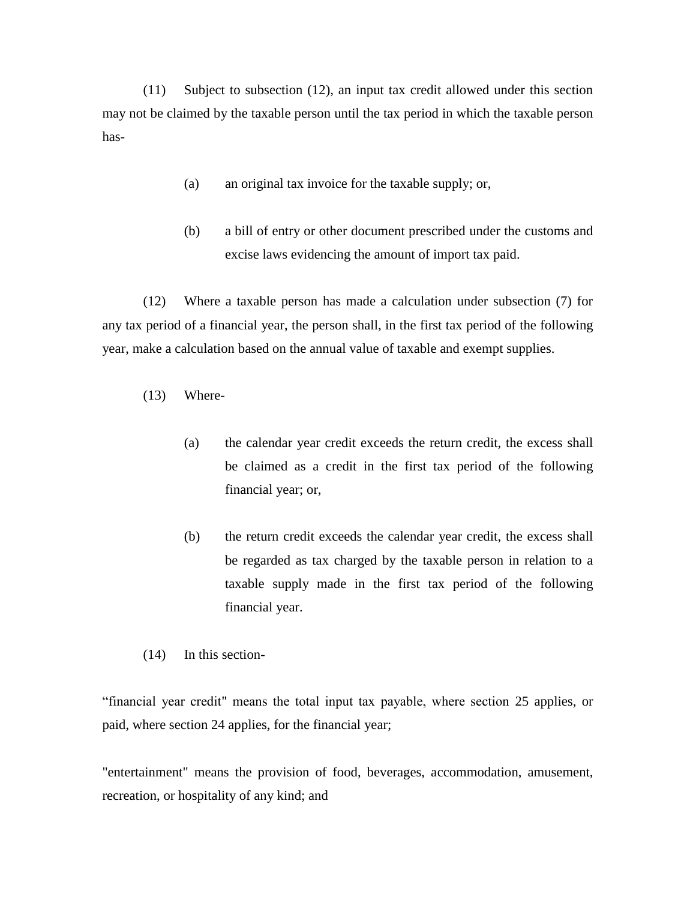(11) Subject to subsection (12), an input tax credit allowed under this section may not be claimed by the taxable person until the tax period in which the taxable person has-

- (a) an original tax invoice for the taxable supply; or,
- (b) a bill of entry or other document prescribed under the customs and excise laws evidencing the amount of import tax paid.

(12) Where a taxable person has made a calculation under subsection (7) for any tax period of a financial year, the person shall, in the first tax period of the following year, make a calculation based on the annual value of taxable and exempt supplies.

- (13) Where-
	- (a) the calendar year credit exceeds the return credit, the excess shall be claimed as a credit in the first tax period of the following financial year; or,
	- (b) the return credit exceeds the calendar year credit, the excess shall be regarded as tax charged by the taxable person in relation to a taxable supply made in the first tax period of the following financial year.
- (14) In this section-

"financial year credit" means the total input tax payable, where section 25 applies, or paid, where section 24 applies, for the financial year;

"entertainment" means the provision of food, beverages, accommodation, amusement, recreation, or hospitality of any kind; and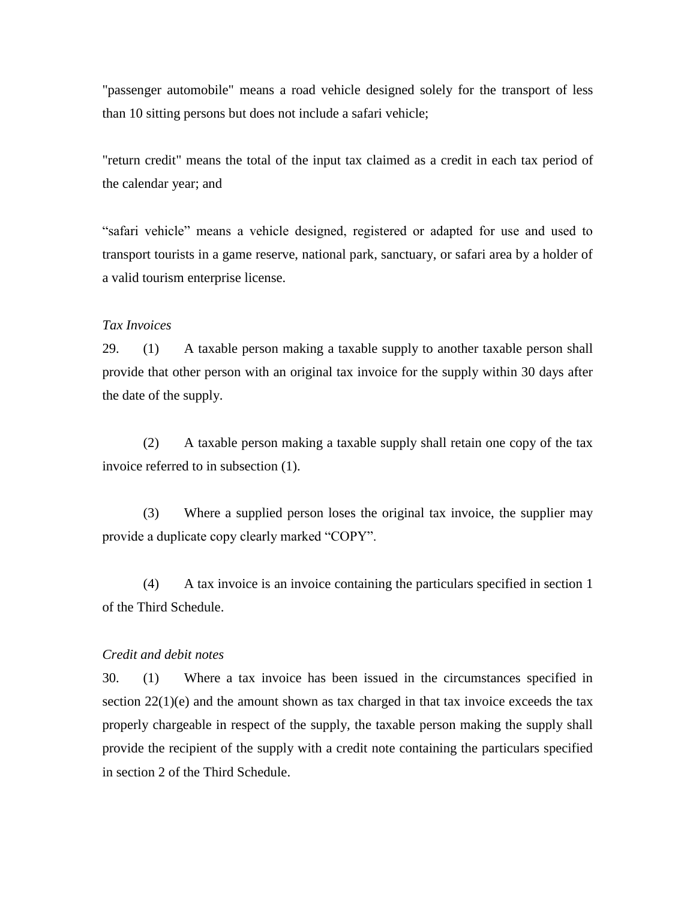"passenger automobile" means a road vehicle designed solely for the transport of less than 10 sitting persons but does not include a safari vehicle;

"return credit" means the total of the input tax claimed as a credit in each tax period of the calendar year; and

"safari vehicle" means a vehicle designed, registered or adapted for use and used to transport tourists in a game reserve, national park, sanctuary, or safari area by a holder of a valid tourism enterprise license.

## *Tax Invoices*

29. (1) A taxable person making a taxable supply to another taxable person shall provide that other person with an original tax invoice for the supply within 30 days after the date of the supply.

(2) A taxable person making a taxable supply shall retain one copy of the tax invoice referred to in subsection (1).

(3) Where a supplied person loses the original tax invoice, the supplier may provide a duplicate copy clearly marked "COPY".

(4) A tax invoice is an invoice containing the particulars specified in section 1 of the Third Schedule.

## *Credit and debit notes*

30. (1) Where a tax invoice has been issued in the circumstances specified in section  $22(1)(e)$  and the amount shown as tax charged in that tax invoice exceeds the tax properly chargeable in respect of the supply, the taxable person making the supply shall provide the recipient of the supply with a credit note containing the particulars specified in section 2 of the Third Schedule.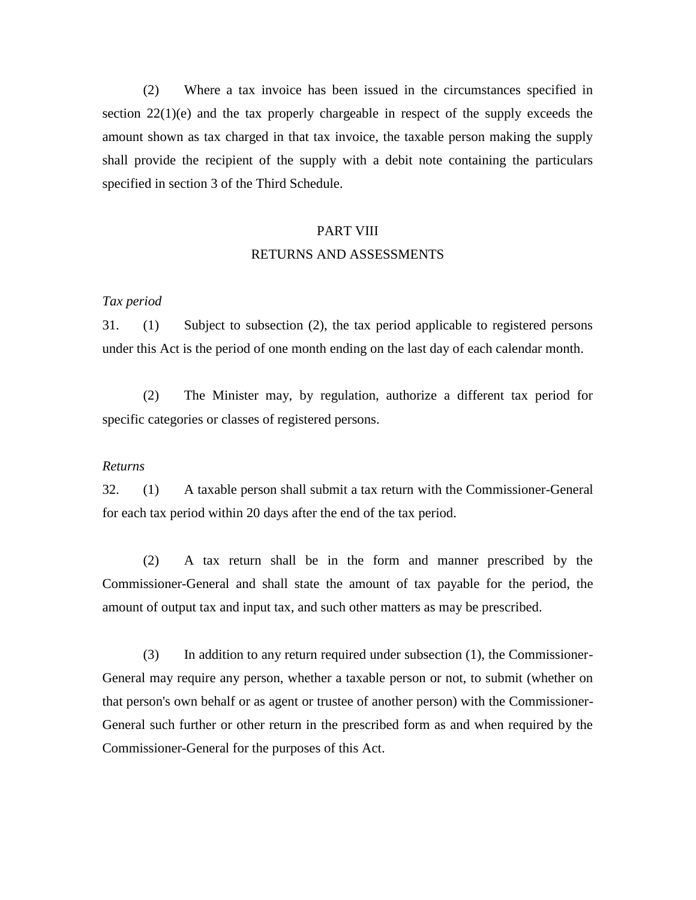(2) Where a tax invoice has been issued in the circumstances specified in section  $22(1)(e)$  and the tax properly chargeable in respect of the supply exceeds the amount shown as tax charged in that tax invoice, the taxable person making the supply shall provide the recipient of the supply with a debit note containing the particulars specified in section 3 of the Third Schedule.

#### PART VIII

#### RETURNS AND ASSESSMENTS

#### *Tax period*

31. (1) Subject to subsection (2), the tax period applicable to registered persons under this Act is the period of one month ending on the last day of each calendar month.

(2) The Minister may, by regulation, authorize a different tax period for specific categories or classes of registered persons.

#### *Returns*

32. (1) A taxable person shall submit a tax return with the Commissioner-General for each tax period within 20 days after the end of the tax period.

(2) A tax return shall be in the form and manner prescribed by the Commissioner-General and shall state the amount of tax payable for the period, the amount of output tax and input tax, and such other matters as may be prescribed.

(3) In addition to any return required under subsection (1), the Commissioner-General may require any person, whether a taxable person or not, to submit (whether on that person's own behalf or as agent or trustee of another person) with the Commissioner-General such further or other return in the prescribed form as and when required by the Commissioner-General for the purposes of this Act.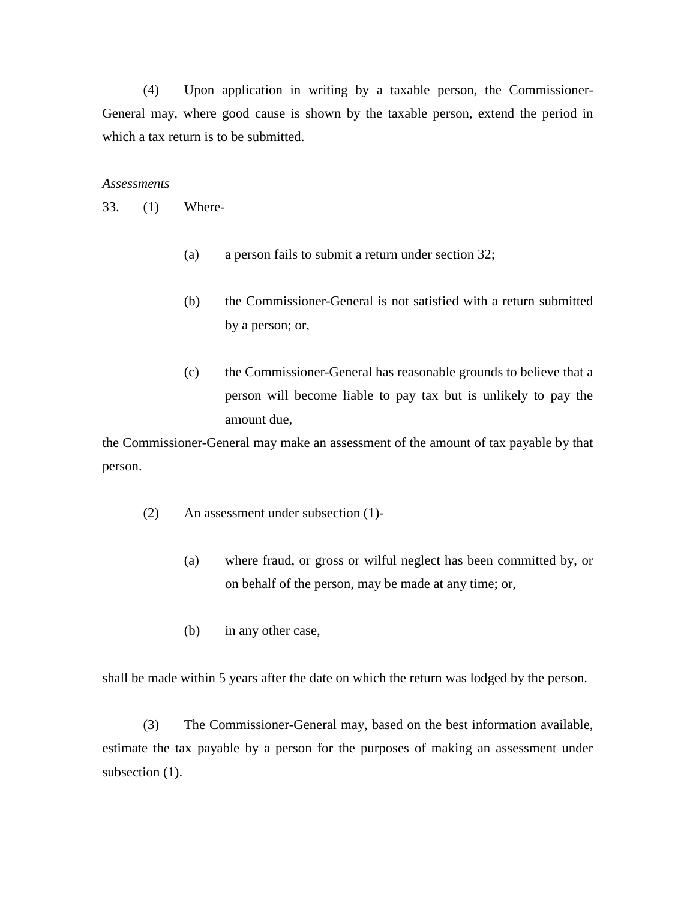(4) Upon application in writing by a taxable person, the Commissioner-General may, where good cause is shown by the taxable person, extend the period in which a tax return is to be submitted.

#### *Assessments*

33. (1) Where-

- (a) a person fails to submit a return under section 32;
- (b) the Commissioner-General is not satisfied with a return submitted by a person; or,
- (c) the Commissioner-General has reasonable grounds to believe that a person will become liable to pay tax but is unlikely to pay the amount due,

the Commissioner-General may make an assessment of the amount of tax payable by that person.

- (2) An assessment under subsection (1)-
	- (a) where fraud, or gross or wilful neglect has been committed by, or on behalf of the person, may be made at any time; or,
	- (b) in any other case,

shall be made within 5 years after the date on which the return was lodged by the person.

(3) The Commissioner-General may, based on the best information available, estimate the tax payable by a person for the purposes of making an assessment under subsection  $(1)$ .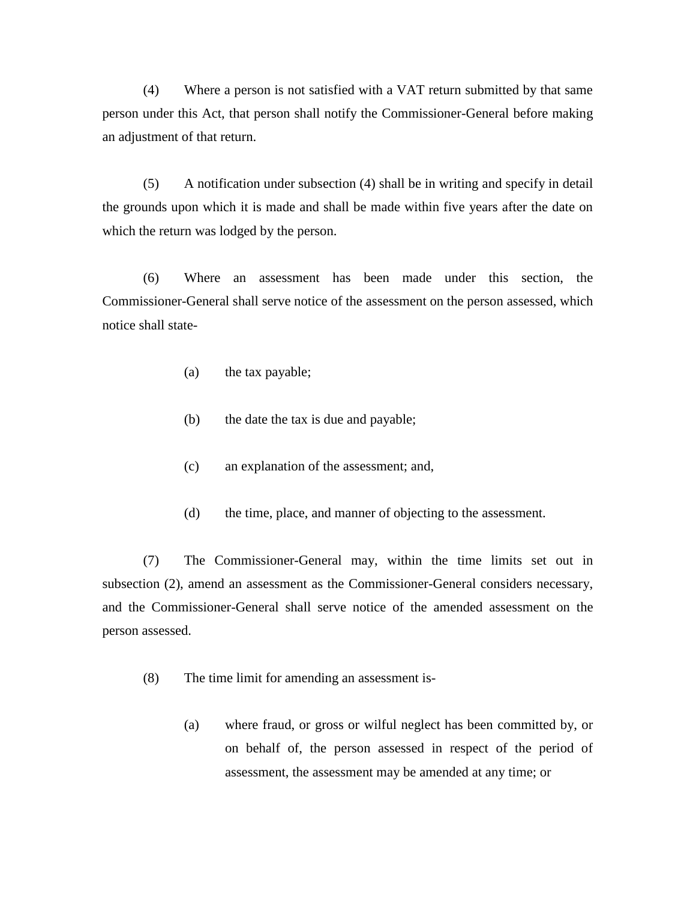(4) Where a person is not satisfied with a VAT return submitted by that same person under this Act, that person shall notify the Commissioner-General before making an adjustment of that return.

(5) A notification under subsection (4) shall be in writing and specify in detail the grounds upon which it is made and shall be made within five years after the date on which the return was lodged by the person.

(6) Where an assessment has been made under this section, the Commissioner-General shall serve notice of the assessment on the person assessed, which notice shall state-

- (a) the tax payable;
- (b) the date the tax is due and payable;
- (c) an explanation of the assessment; and,
- (d) the time, place, and manner of objecting to the assessment.

(7) The Commissioner-General may, within the time limits set out in subsection (2), amend an assessment as the Commissioner-General considers necessary, and the Commissioner-General shall serve notice of the amended assessment on the person assessed.

- (8) The time limit for amending an assessment is-
	- (a) where fraud, or gross or wilful neglect has been committed by, or on behalf of, the person assessed in respect of the period of assessment, the assessment may be amended at any time; or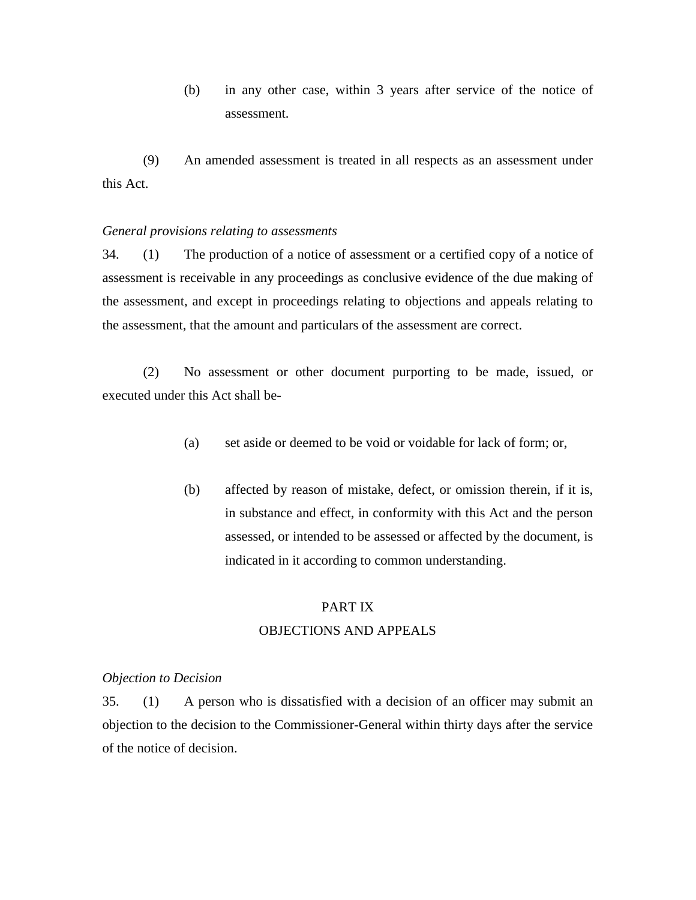(b) in any other case, within 3 years after service of the notice of assessment.

(9) An amended assessment is treated in all respects as an assessment under this Act.

#### *General provisions relating to assessments*

34. (1) The production of a notice of assessment or a certified copy of a notice of assessment is receivable in any proceedings as conclusive evidence of the due making of the assessment, and except in proceedings relating to objections and appeals relating to the assessment, that the amount and particulars of the assessment are correct.

(2) No assessment or other document purporting to be made, issued, or executed under this Act shall be-

- (a) set aside or deemed to be void or voidable for lack of form; or,
- (b) affected by reason of mistake, defect, or omission therein, if it is, in substance and effect, in conformity with this Act and the person assessed, or intended to be assessed or affected by the document, is indicated in it according to common understanding.

## PART IX

## OBJECTIONS AND APPEALS

#### *Objection to Decision*

35. (1) A person who is dissatisfied with a decision of an officer may submit an objection to the decision to the Commissioner-General within thirty days after the service of the notice of decision.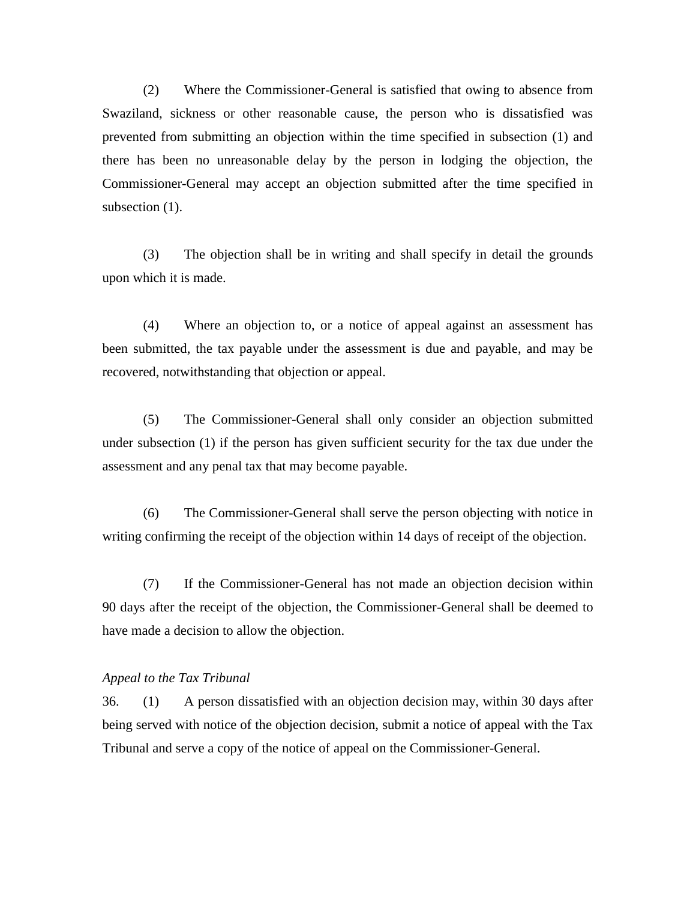(2) Where the Commissioner-General is satisfied that owing to absence from Swaziland, sickness or other reasonable cause, the person who is dissatisfied was prevented from submitting an objection within the time specified in subsection (1) and there has been no unreasonable delay by the person in lodging the objection, the Commissioner-General may accept an objection submitted after the time specified in subsection  $(1)$ .

(3) The objection shall be in writing and shall specify in detail the grounds upon which it is made.

(4) Where an objection to, or a notice of appeal against an assessment has been submitted, the tax payable under the assessment is due and payable, and may be recovered, notwithstanding that objection or appeal.

(5) The Commissioner-General shall only consider an objection submitted under subsection (1) if the person has given sufficient security for the tax due under the assessment and any penal tax that may become payable.

(6) The Commissioner-General shall serve the person objecting with notice in writing confirming the receipt of the objection within 14 days of receipt of the objection.

(7) If the Commissioner-General has not made an objection decision within 90 days after the receipt of the objection, the Commissioner-General shall be deemed to have made a decision to allow the objection.

#### *Appeal to the Tax Tribunal*

36. (1) A person dissatisfied with an objection decision may, within 30 days after being served with notice of the objection decision, submit a notice of appeal with the Tax Tribunal and serve a copy of the notice of appeal on the Commissioner-General.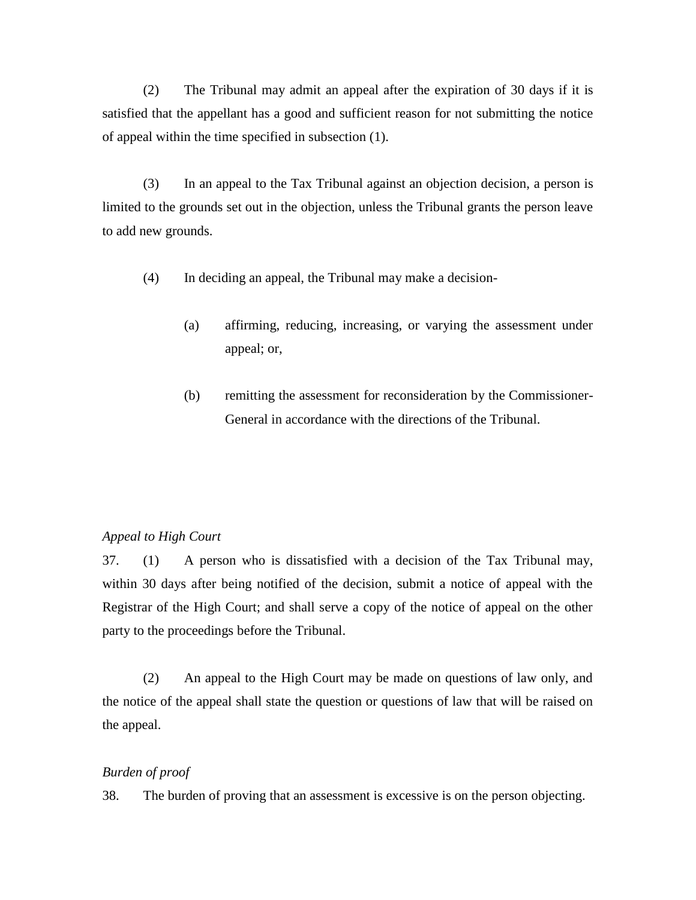(2) The Tribunal may admit an appeal after the expiration of 30 days if it is satisfied that the appellant has a good and sufficient reason for not submitting the notice of appeal within the time specified in subsection (1).

(3) In an appeal to the Tax Tribunal against an objection decision, a person is limited to the grounds set out in the objection, unless the Tribunal grants the person leave to add new grounds.

- (4) In deciding an appeal, the Tribunal may make a decision-
	- (a) affirming, reducing, increasing, or varying the assessment under appeal; or,
	- (b) remitting the assessment for reconsideration by the Commissioner-General in accordance with the directions of the Tribunal.

## *Appeal to High Court*

37. (1) A person who is dissatisfied with a decision of the Tax Tribunal may, within 30 days after being notified of the decision, submit a notice of appeal with the Registrar of the High Court; and shall serve a copy of the notice of appeal on the other party to the proceedings before the Tribunal.

(2) An appeal to the High Court may be made on questions of law only, and the notice of the appeal shall state the question or questions of law that will be raised on the appeal.

#### *Burden of proof*

38. The burden of proving that an assessment is excessive is on the person objecting.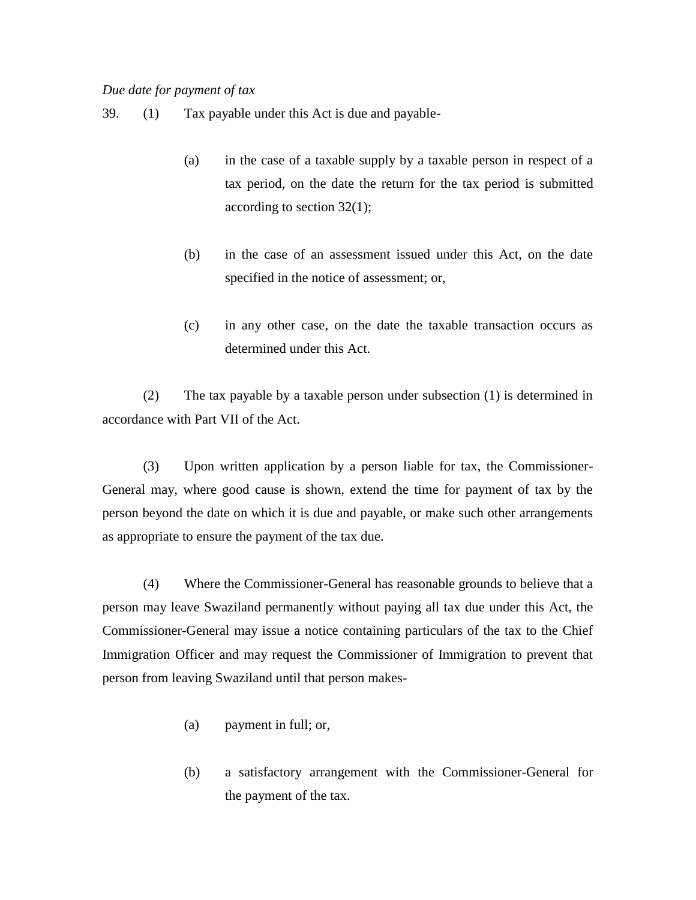## *Due date for payment of tax*

- 39. (1) Tax payable under this Act is due and payable-
	- (a) in the case of a taxable supply by a taxable person in respect of a tax period, on the date the return for the tax period is submitted according to section 32(1);
	- (b) in the case of an assessment issued under this Act, on the date specified in the notice of assessment; or,
	- (c) in any other case, on the date the taxable transaction occurs as determined under this Act.

(2) The tax payable by a taxable person under subsection (1) is determined in accordance with Part VII of the Act.

(3) Upon written application by a person liable for tax, the Commissioner-General may, where good cause is shown, extend the time for payment of tax by the person beyond the date on which it is due and payable, or make such other arrangements as appropriate to ensure the payment of the tax due.

(4) Where the Commissioner-General has reasonable grounds to believe that a person may leave Swaziland permanently without paying all tax due under this Act, the Commissioner-General may issue a notice containing particulars of the tax to the Chief Immigration Officer and may request the Commissioner of Immigration to prevent that person from leaving Swaziland until that person makes-

- (a) payment in full; or,
- (b) a satisfactory arrangement with the Commissioner-General for the payment of the tax.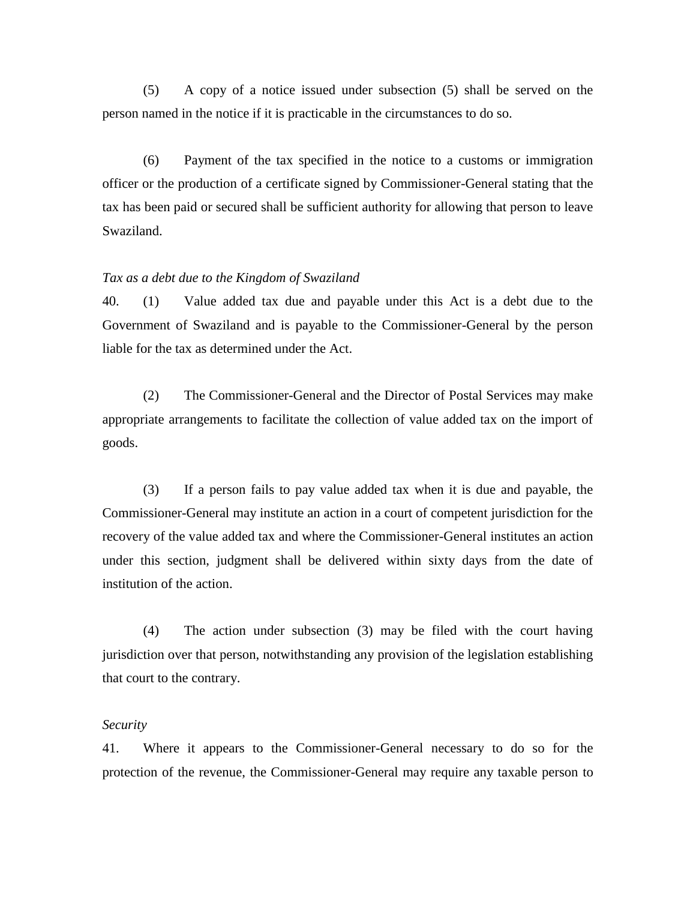(5) A copy of a notice issued under subsection (5) shall be served on the person named in the notice if it is practicable in the circumstances to do so.

(6) Payment of the tax specified in the notice to a customs or immigration officer or the production of a certificate signed by Commissioner-General stating that the tax has been paid or secured shall be sufficient authority for allowing that person to leave Swaziland.

#### *Tax as a debt due to the Kingdom of Swaziland*

40. (1) Value added tax due and payable under this Act is a debt due to the Government of Swaziland and is payable to the Commissioner-General by the person liable for the tax as determined under the Act.

(2) The Commissioner-General and the Director of Postal Services may make appropriate arrangements to facilitate the collection of value added tax on the import of goods.

(3) If a person fails to pay value added tax when it is due and payable, the Commissioner-General may institute an action in a court of competent jurisdiction for the recovery of the value added tax and where the Commissioner-General institutes an action under this section, judgment shall be delivered within sixty days from the date of institution of the action.

(4) The action under subsection (3) may be filed with the court having jurisdiction over that person, notwithstanding any provision of the legislation establishing that court to the contrary.

#### *Security*

41. Where it appears to the Commissioner-General necessary to do so for the protection of the revenue, the Commissioner-General may require any taxable person to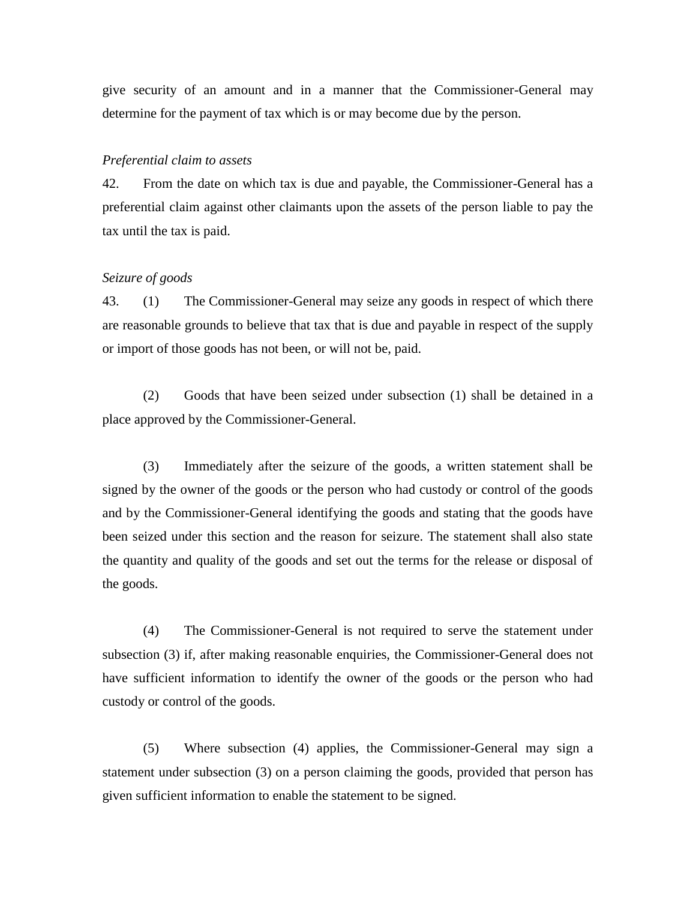give security of an amount and in a manner that the Commissioner-General may determine for the payment of tax which is or may become due by the person.

#### *Preferential claim to assets*

42. From the date on which tax is due and payable, the Commissioner-General has a preferential claim against other claimants upon the assets of the person liable to pay the tax until the tax is paid.

### *Seizure of goods*

43. (1) The Commissioner-General may seize any goods in respect of which there are reasonable grounds to believe that tax that is due and payable in respect of the supply or import of those goods has not been, or will not be, paid.

(2) Goods that have been seized under subsection (1) shall be detained in a place approved by the Commissioner-General.

(3) Immediately after the seizure of the goods, a written statement shall be signed by the owner of the goods or the person who had custody or control of the goods and by the Commissioner-General identifying the goods and stating that the goods have been seized under this section and the reason for seizure. The statement shall also state the quantity and quality of the goods and set out the terms for the release or disposal of the goods.

(4) The Commissioner-General is not required to serve the statement under subsection (3) if, after making reasonable enquiries, the Commissioner-General does not have sufficient information to identify the owner of the goods or the person who had custody or control of the goods.

(5) Where subsection (4) applies, the Commissioner-General may sign a statement under subsection (3) on a person claiming the goods, provided that person has given sufficient information to enable the statement to be signed.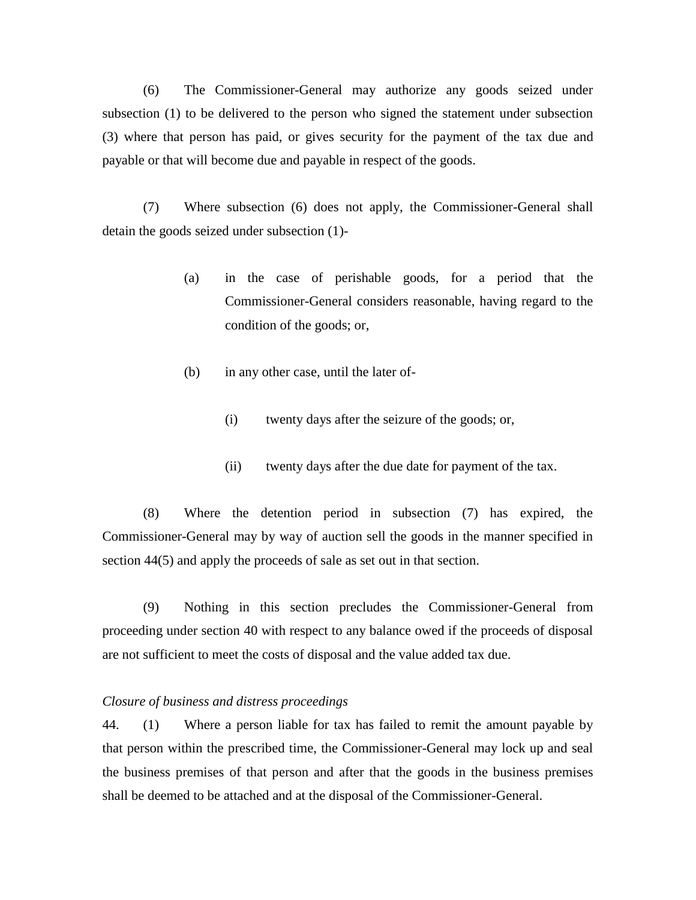(6) The Commissioner-General may authorize any goods seized under subsection (1) to be delivered to the person who signed the statement under subsection (3) where that person has paid, or gives security for the payment of the tax due and payable or that will become due and payable in respect of the goods.

(7) Where subsection (6) does not apply, the Commissioner-General shall detain the goods seized under subsection (1)-

- (a) in the case of perishable goods, for a period that the Commissioner-General considers reasonable, having regard to the condition of the goods; or,
- (b) in any other case, until the later of-
	- (i) twenty days after the seizure of the goods; or,
	- (ii) twenty days after the due date for payment of the tax.

(8) Where the detention period in subsection (7) has expired, the Commissioner-General may by way of auction sell the goods in the manner specified in section 44(5) and apply the proceeds of sale as set out in that section.

(9) Nothing in this section precludes the Commissioner-General from proceeding under section 40 with respect to any balance owed if the proceeds of disposal are not sufficient to meet the costs of disposal and the value added tax due.

## *Closure of business and distress proceedings*

44. (1) Where a person liable for tax has failed to remit the amount payable by that person within the prescribed time, the Commissioner-General may lock up and seal the business premises of that person and after that the goods in the business premises shall be deemed to be attached and at the disposal of the Commissioner-General.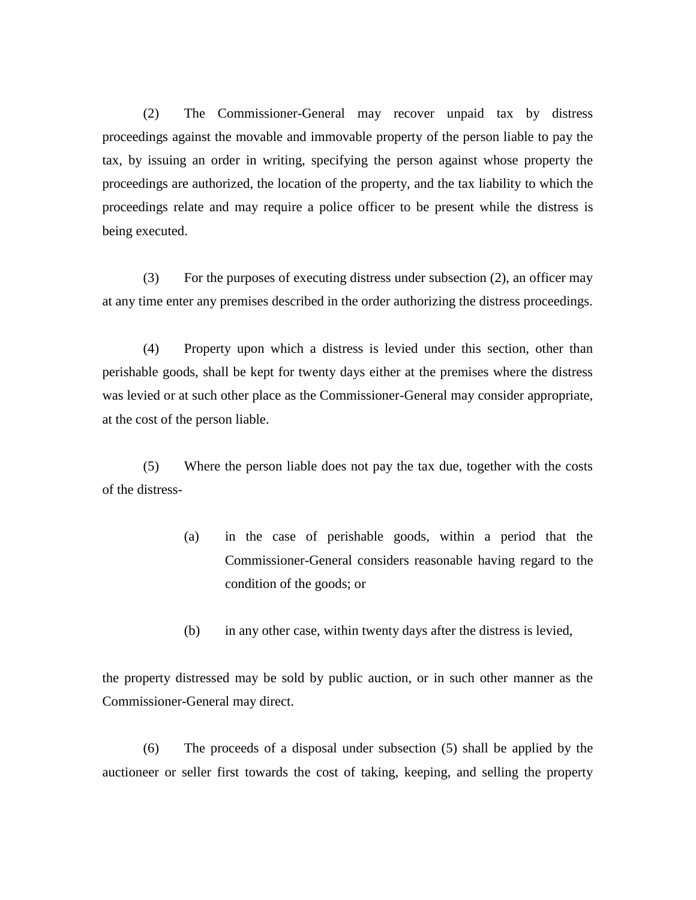(2) The Commissioner-General may recover unpaid tax by distress proceedings against the movable and immovable property of the person liable to pay the tax, by issuing an order in writing, specifying the person against whose property the proceedings are authorized, the location of the property, and the tax liability to which the proceedings relate and may require a police officer to be present while the distress is being executed.

(3) For the purposes of executing distress under subsection (2), an officer may at any time enter any premises described in the order authorizing the distress proceedings.

(4) Property upon which a distress is levied under this section, other than perishable goods, shall be kept for twenty days either at the premises where the distress was levied or at such other place as the Commissioner-General may consider appropriate, at the cost of the person liable.

(5) Where the person liable does not pay the tax due, together with the costs of the distress-

- (a) in the case of perishable goods, within a period that the Commissioner-General considers reasonable having regard to the condition of the goods; or
- (b) in any other case, within twenty days after the distress is levied,

the property distressed may be sold by public auction, or in such other manner as the Commissioner-General may direct.

(6) The proceeds of a disposal under subsection (5) shall be applied by the auctioneer or seller first towards the cost of taking, keeping, and selling the property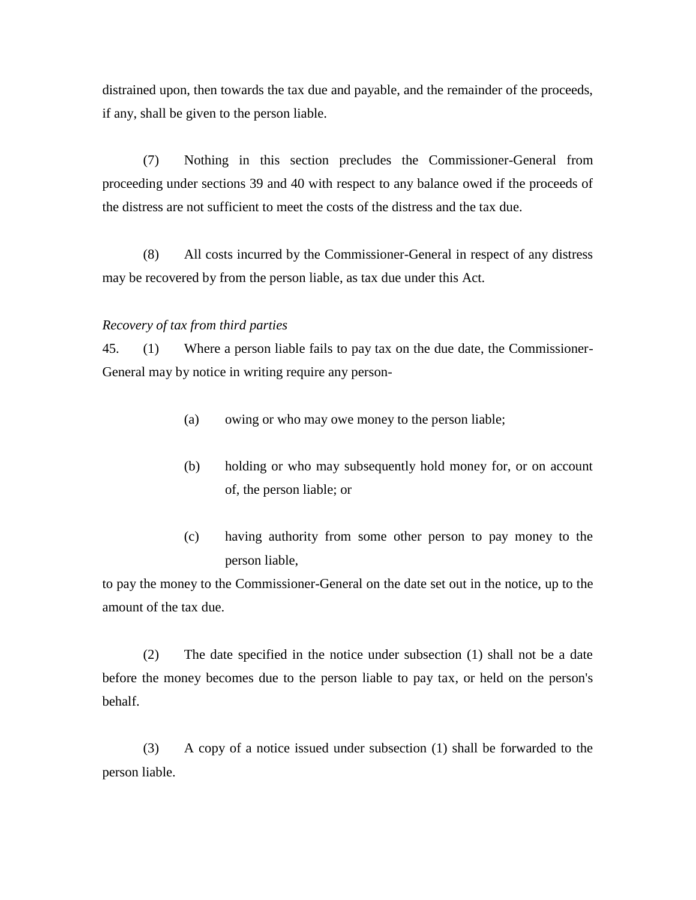distrained upon, then towards the tax due and payable, and the remainder of the proceeds, if any, shall be given to the person liable.

(7) Nothing in this section precludes the Commissioner-General from proceeding under sections 39 and 40 with respect to any balance owed if the proceeds of the distress are not sufficient to meet the costs of the distress and the tax due.

(8) All costs incurred by the Commissioner-General in respect of any distress may be recovered by from the person liable, as tax due under this Act.

## *Recovery of tax from third parties*

45. (1) Where a person liable fails to pay tax on the due date, the Commissioner-General may by notice in writing require any person-

- (a) owing or who may owe money to the person liable;
- (b) holding or who may subsequently hold money for, or on account of, the person liable; or
- (c) having authority from some other person to pay money to the person liable,

to pay the money to the Commissioner-General on the date set out in the notice, up to the amount of the tax due.

(2) The date specified in the notice under subsection (1) shall not be a date before the money becomes due to the person liable to pay tax, or held on the person's behalf.

(3) A copy of a notice issued under subsection (1) shall be forwarded to the person liable.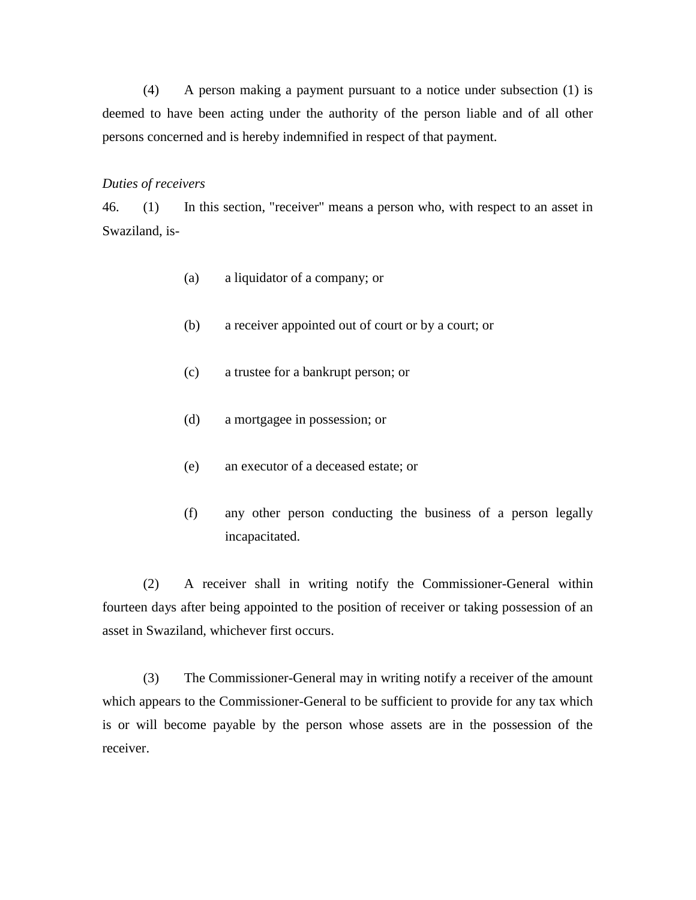(4) A person making a payment pursuant to a notice under subsection (1) is deemed to have been acting under the authority of the person liable and of all other persons concerned and is hereby indemnified in respect of that payment.

#### *Duties of receivers*

46. (1) In this section, "receiver" means a person who, with respect to an asset in Swaziland, is-

- (a) a liquidator of a company; or
- (b) a receiver appointed out of court or by a court; or
- (c) a trustee for a bankrupt person; or
- (d) a mortgagee in possession; or
- (e) an executor of a deceased estate; or
- (f) any other person conducting the business of a person legally incapacitated.

(2) A receiver shall in writing notify the Commissioner-General within fourteen days after being appointed to the position of receiver or taking possession of an asset in Swaziland, whichever first occurs.

(3) The Commissioner-General may in writing notify a receiver of the amount which appears to the Commissioner-General to be sufficient to provide for any tax which is or will become payable by the person whose assets are in the possession of the receiver.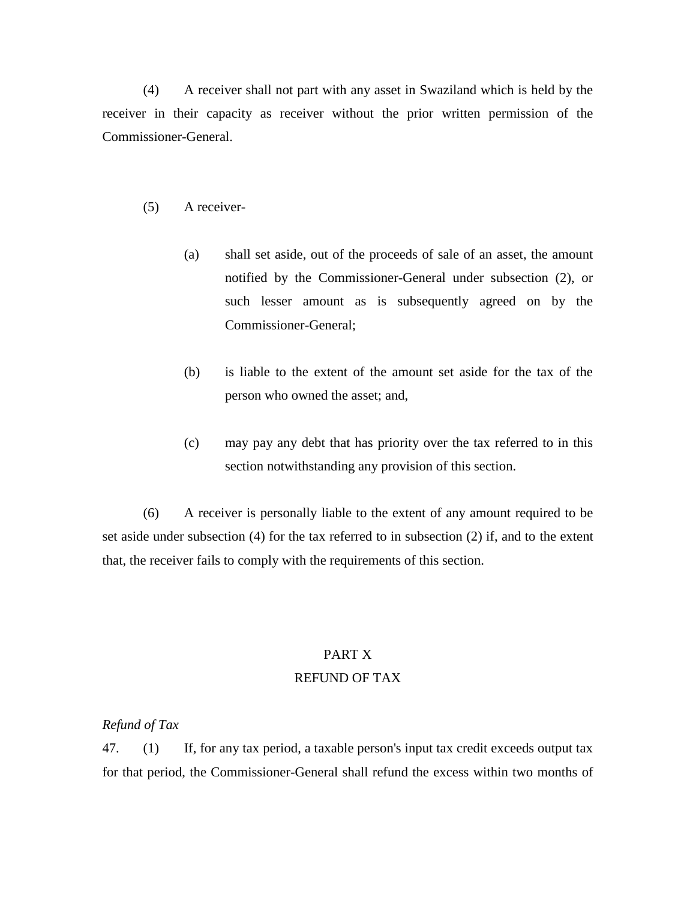(4) A receiver shall not part with any asset in Swaziland which is held by the receiver in their capacity as receiver without the prior written permission of the Commissioner-General.

#### (5) A receiver-

- (a) shall set aside, out of the proceeds of sale of an asset, the amount notified by the Commissioner-General under subsection (2), or such lesser amount as is subsequently agreed on by the Commissioner-General;
- (b) is liable to the extent of the amount set aside for the tax of the person who owned the asset; and,
- (c) may pay any debt that has priority over the tax referred to in this section notwithstanding any provision of this section.

(6) A receiver is personally liable to the extent of any amount required to be set aside under subsection (4) for the tax referred to in subsection (2) if, and to the extent that, the receiver fails to comply with the requirements of this section.

# PART X REFUND OF TAX

## *Refund of Tax*

47. (1) If, for any tax period, a taxable person's input tax credit exceeds output tax for that period, the Commissioner-General shall refund the excess within two months of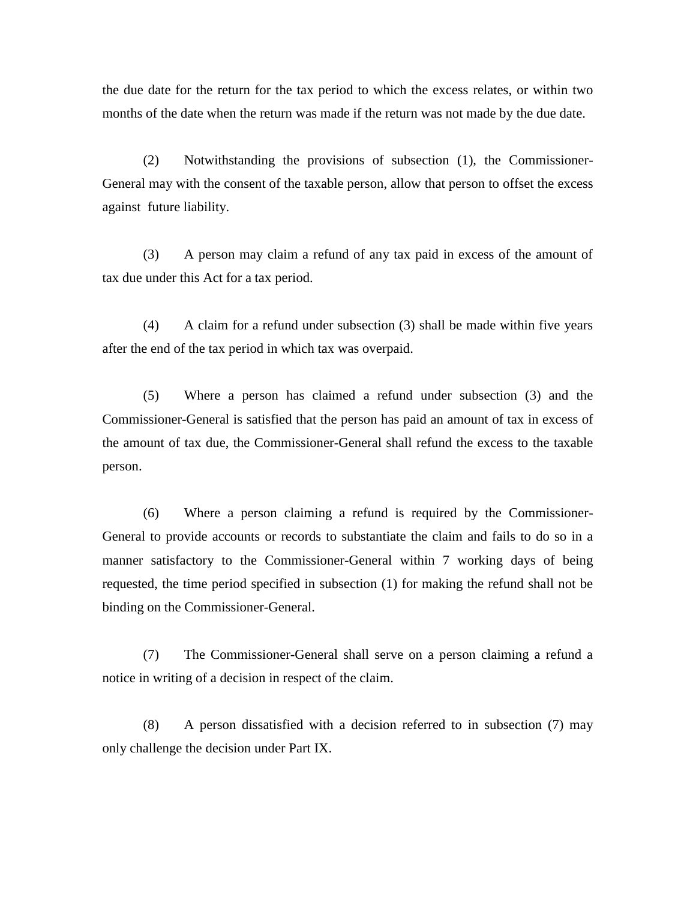the due date for the return for the tax period to which the excess relates, or within two months of the date when the return was made if the return was not made by the due date.

(2) Notwithstanding the provisions of subsection (1), the Commissioner-General may with the consent of the taxable person, allow that person to offset the excess against future liability.

(3) A person may claim a refund of any tax paid in excess of the amount of tax due under this Act for a tax period.

(4) A claim for a refund under subsection (3) shall be made within five years after the end of the tax period in which tax was overpaid.

(5) Where a person has claimed a refund under subsection (3) and the Commissioner-General is satisfied that the person has paid an amount of tax in excess of the amount of tax due, the Commissioner-General shall refund the excess to the taxable person.

(6) Where a person claiming a refund is required by the Commissioner-General to provide accounts or records to substantiate the claim and fails to do so in a manner satisfactory to the Commissioner-General within 7 working days of being requested, the time period specified in subsection (1) for making the refund shall not be binding on the Commissioner-General.

(7) The Commissioner-General shall serve on a person claiming a refund a notice in writing of a decision in respect of the claim.

(8) A person dissatisfied with a decision referred to in subsection (7) may only challenge the decision under Part IX.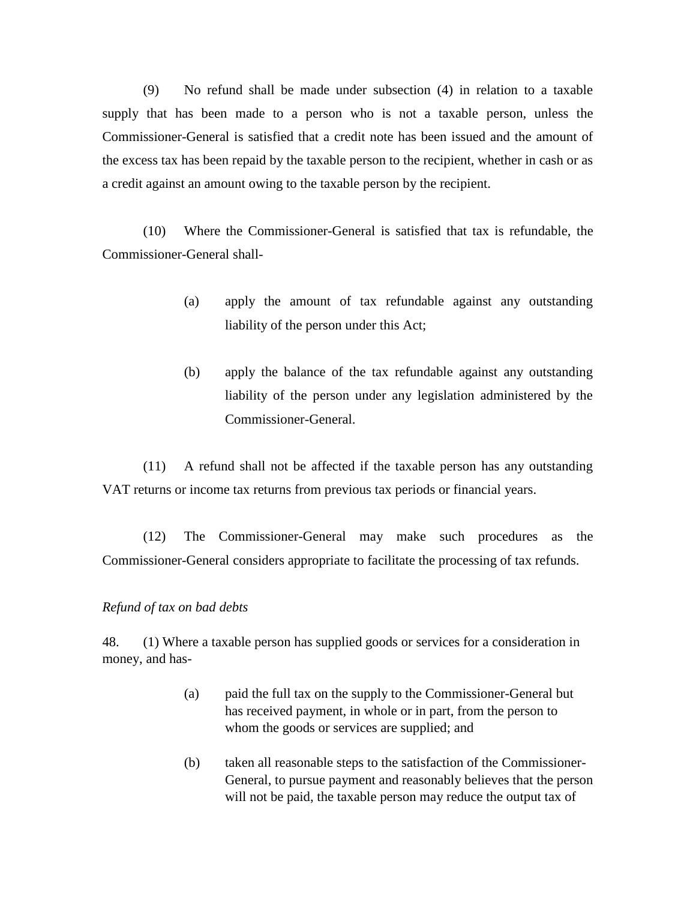(9) No refund shall be made under subsection (4) in relation to a taxable supply that has been made to a person who is not a taxable person, unless the Commissioner-General is satisfied that a credit note has been issued and the amount of the excess tax has been repaid by the taxable person to the recipient, whether in cash or as a credit against an amount owing to the taxable person by the recipient.

(10) Where the Commissioner-General is satisfied that tax is refundable, the Commissioner-General shall-

- (a) apply the amount of tax refundable against any outstanding liability of the person under this Act;
- (b) apply the balance of the tax refundable against any outstanding liability of the person under any legislation administered by the Commissioner-General.

(11) A refund shall not be affected if the taxable person has any outstanding VAT returns or income tax returns from previous tax periods or financial years.

(12) The Commissioner-General may make such procedures as the Commissioner-General considers appropriate to facilitate the processing of tax refunds.

## *Refund of tax on bad debts*

48. (1) Where a taxable person has supplied goods or services for a consideration in money, and has-

- (a) paid the full tax on the supply to the Commissioner-General but has received payment, in whole or in part, from the person to whom the goods or services are supplied; and
- (b) taken all reasonable steps to the satisfaction of the Commissioner-General, to pursue payment and reasonably believes that the person will not be paid, the taxable person may reduce the output tax of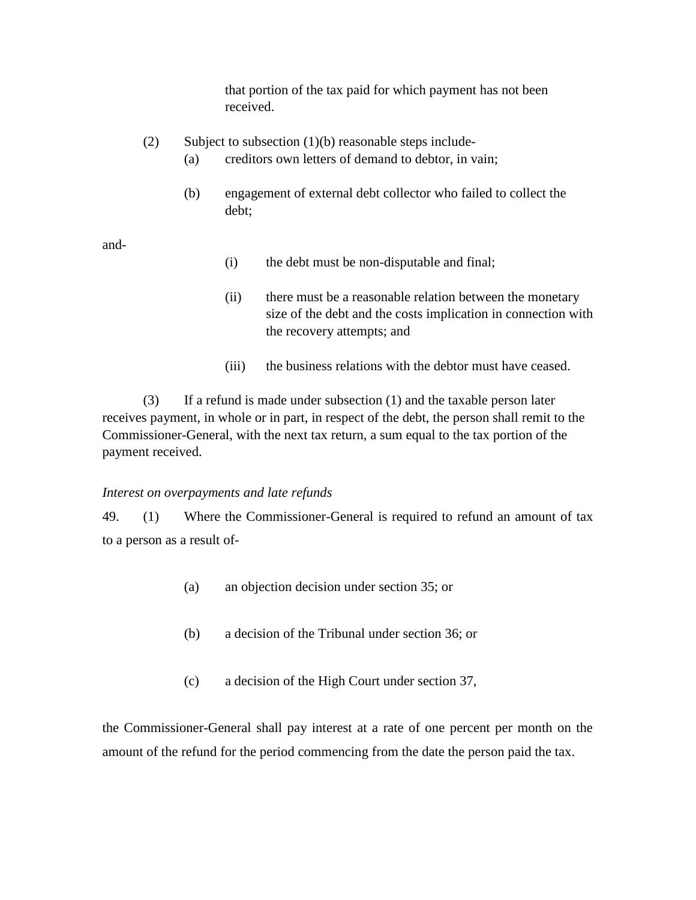that portion of the tax paid for which payment has not been received.

- (2) Subject to subsection  $(1)(b)$  reasonable steps include-
	- (a) creditors own letters of demand to debtor, in vain;
	- (b) engagement of external debt collector who failed to collect the debt;

and-

- (i) the debt must be non-disputable and final;
- (ii) there must be a reasonable relation between the monetary size of the debt and the costs implication in connection with the recovery attempts; and
- (iii) the business relations with the debtor must have ceased.

(3) If a refund is made under subsection (1) and the taxable person later receives payment, in whole or in part, in respect of the debt, the person shall remit to the Commissioner-General, with the next tax return, a sum equal to the tax portion of the payment received.

#### *Interest on overpayments and late refunds*

49. (1) Where the Commissioner-General is required to refund an amount of tax to a person as a result of-

- (a) an objection decision under section 35; or
- (b) a decision of the Tribunal under section 36; or
- (c) a decision of the High Court under section 37,

the Commissioner-General shall pay interest at a rate of one percent per month on the amount of the refund for the period commencing from the date the person paid the tax.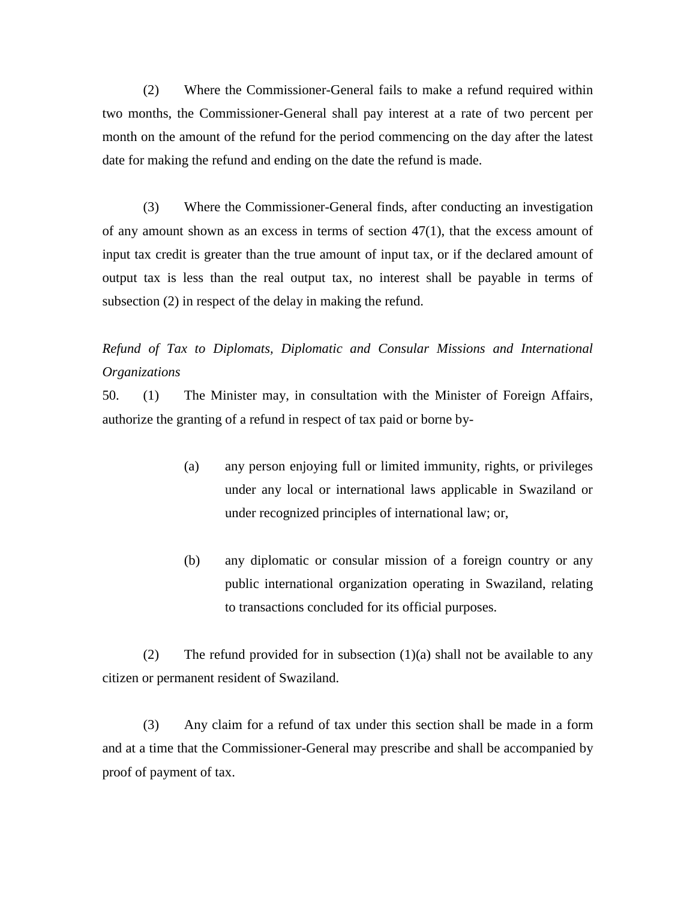(2) Where the Commissioner-General fails to make a refund required within two months, the Commissioner-General shall pay interest at a rate of two percent per month on the amount of the refund for the period commencing on the day after the latest date for making the refund and ending on the date the refund is made.

(3) Where the Commissioner-General finds, after conducting an investigation of any amount shown as an excess in terms of section 47(1), that the excess amount of input tax credit is greater than the true amount of input tax, or if the declared amount of output tax is less than the real output tax, no interest shall be payable in terms of subsection (2) in respect of the delay in making the refund.

## *Refund of Tax to Diplomats, Diplomatic and Consular Missions and International Organizations*

50. (1) The Minister may, in consultation with the Minister of Foreign Affairs, authorize the granting of a refund in respect of tax paid or borne by-

- (a) any person enjoying full or limited immunity, rights, or privileges under any local or international laws applicable in Swaziland or under recognized principles of international law; or,
- (b) any diplomatic or consular mission of a foreign country or any public international organization operating in Swaziland, relating to transactions concluded for its official purposes.

(2) The refund provided for in subsection  $(1)(a)$  shall not be available to any citizen or permanent resident of Swaziland.

(3) Any claim for a refund of tax under this section shall be made in a form and at a time that the Commissioner-General may prescribe and shall be accompanied by proof of payment of tax.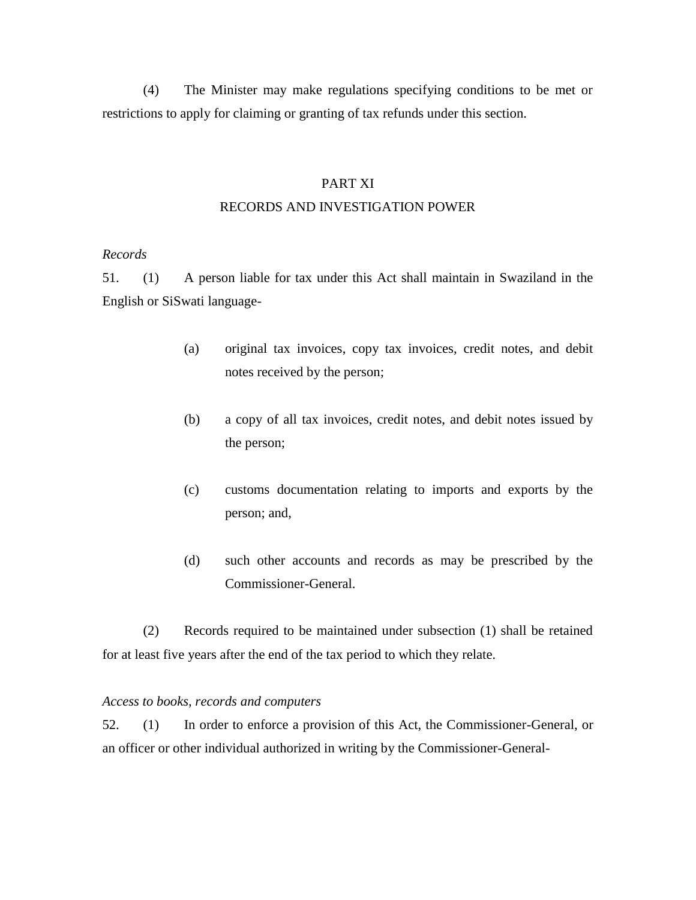(4) The Minister may make regulations specifying conditions to be met or restrictions to apply for claiming or granting of tax refunds under this section.

#### PART XI

## RECORDS AND INVESTIGATION POWER

#### *Records*

51. (1) A person liable for tax under this Act shall maintain in Swaziland in the English or SiSwati language-

- (a) original tax invoices, copy tax invoices, credit notes, and debit notes received by the person;
- (b) a copy of all tax invoices, credit notes, and debit notes issued by the person;
- (c) customs documentation relating to imports and exports by the person; and,
- (d) such other accounts and records as may be prescribed by the Commissioner-General.

(2) Records required to be maintained under subsection (1) shall be retained for at least five years after the end of the tax period to which they relate.

#### *Access to books, records and computers*

52. (1) In order to enforce a provision of this Act, the Commissioner-General, or an officer or other individual authorized in writing by the Commissioner-General-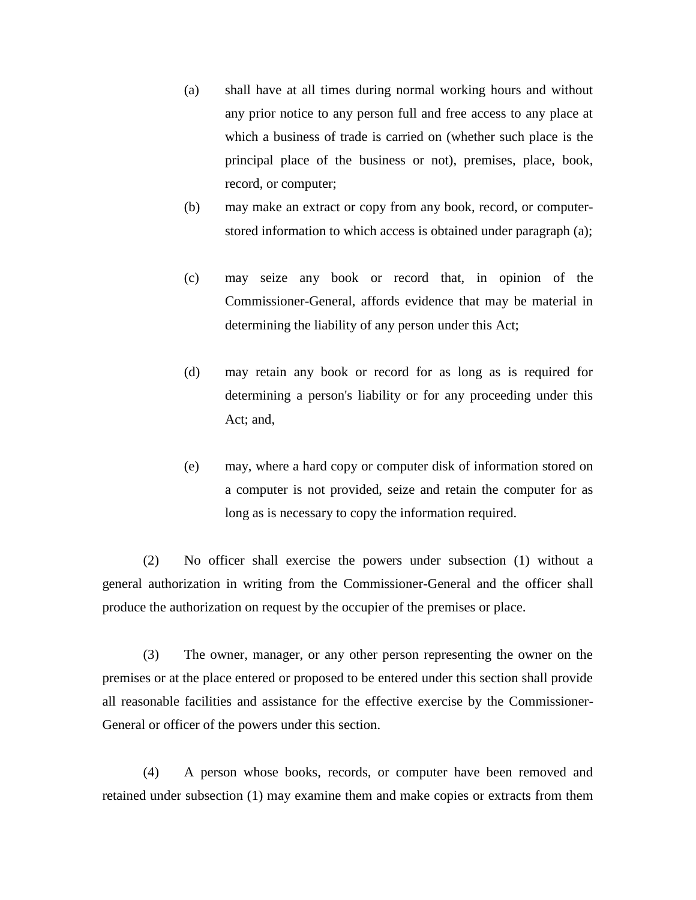- (a) shall have at all times during normal working hours and without any prior notice to any person full and free access to any place at which a business of trade is carried on (whether such place is the principal place of the business or not), premises, place, book, record, or computer;
- (b) may make an extract or copy from any book, record, or computerstored information to which access is obtained under paragraph (a);
- (c) may seize any book or record that, in opinion of the Commissioner-General, affords evidence that may be material in determining the liability of any person under this Act;
- (d) may retain any book or record for as long as is required for determining a person's liability or for any proceeding under this Act; and,
- (e) may, where a hard copy or computer disk of information stored on a computer is not provided, seize and retain the computer for as long as is necessary to copy the information required.

(2) No officer shall exercise the powers under subsection (1) without a general authorization in writing from the Commissioner-General and the officer shall produce the authorization on request by the occupier of the premises or place.

(3) The owner, manager, or any other person representing the owner on the premises or at the place entered or proposed to be entered under this section shall provide all reasonable facilities and assistance for the effective exercise by the Commissioner-General or officer of the powers under this section.

(4) A person whose books, records, or computer have been removed and retained under subsection (1) may examine them and make copies or extracts from them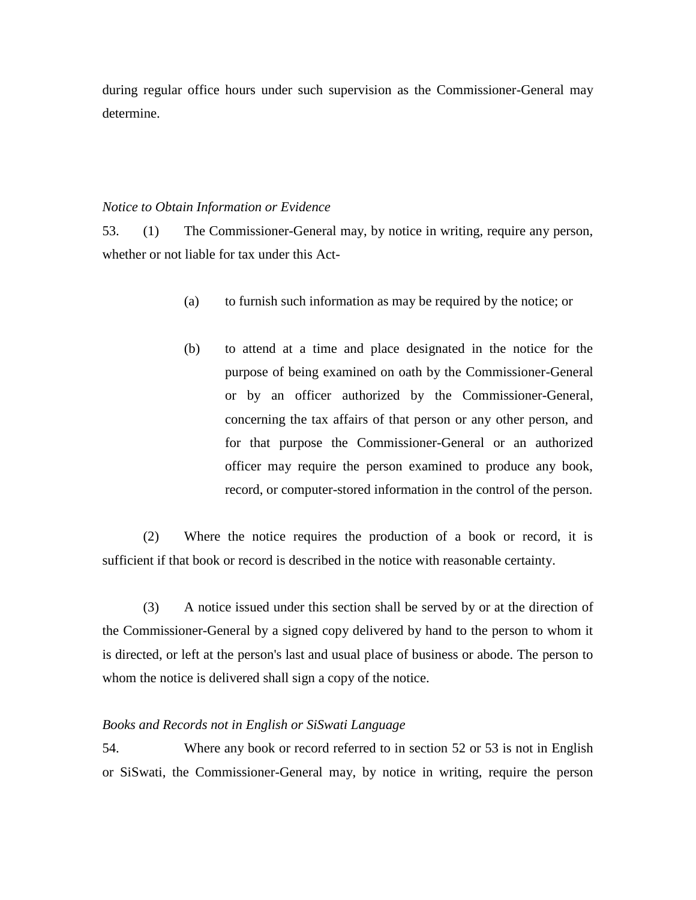during regular office hours under such supervision as the Commissioner-General may determine.

#### *Notice to Obtain Information or Evidence*

53. (1) The Commissioner-General may, by notice in writing, require any person, whether or not liable for tax under this Act-

- (a) to furnish such information as may be required by the notice; or
- (b) to attend at a time and place designated in the notice for the purpose of being examined on oath by the Commissioner-General or by an officer authorized by the Commissioner-General, concerning the tax affairs of that person or any other person, and for that purpose the Commissioner-General or an authorized officer may require the person examined to produce any book, record, or computer-stored information in the control of the person.

(2) Where the notice requires the production of a book or record, it is sufficient if that book or record is described in the notice with reasonable certainty.

(3) A notice issued under this section shall be served by or at the direction of the Commissioner-General by a signed copy delivered by hand to the person to whom it is directed, or left at the person's last and usual place of business or abode. The person to whom the notice is delivered shall sign a copy of the notice.

#### *Books and Records not in English or SiSwati Language*

54. Where any book or record referred to in section 52 or 53 is not in English or SiSwati, the Commissioner-General may, by notice in writing, require the person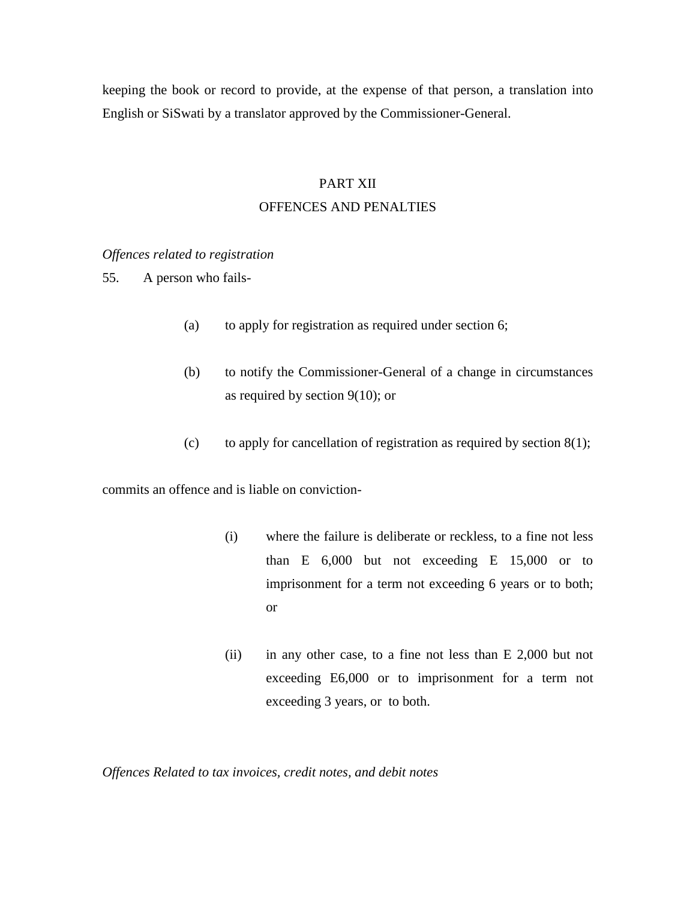keeping the book or record to provide, at the expense of that person, a translation into English or SiSwati by a translator approved by the Commissioner-General.

## PART XII

## OFFENCES AND PENALTIES

*Offences related to registration*

55. A person who fails-

- (a) to apply for registration as required under section 6;
- (b) to notify the Commissioner-General of a change in circumstances as required by section 9(10); or
- (c) to apply for cancellation of registration as required by section  $8(1)$ ;

commits an offence and is liable on conviction-

- (i) where the failure is deliberate or reckless, to a fine not less than E 6,000 but not exceeding E 15,000 or to imprisonment for a term not exceeding 6 years or to both; or
- (ii) in any other case, to a fine not less than E 2,000 but not exceeding E6,000 or to imprisonment for a term not exceeding 3 years, or to both.

*Offences Related to tax invoices, credit notes, and debit notes*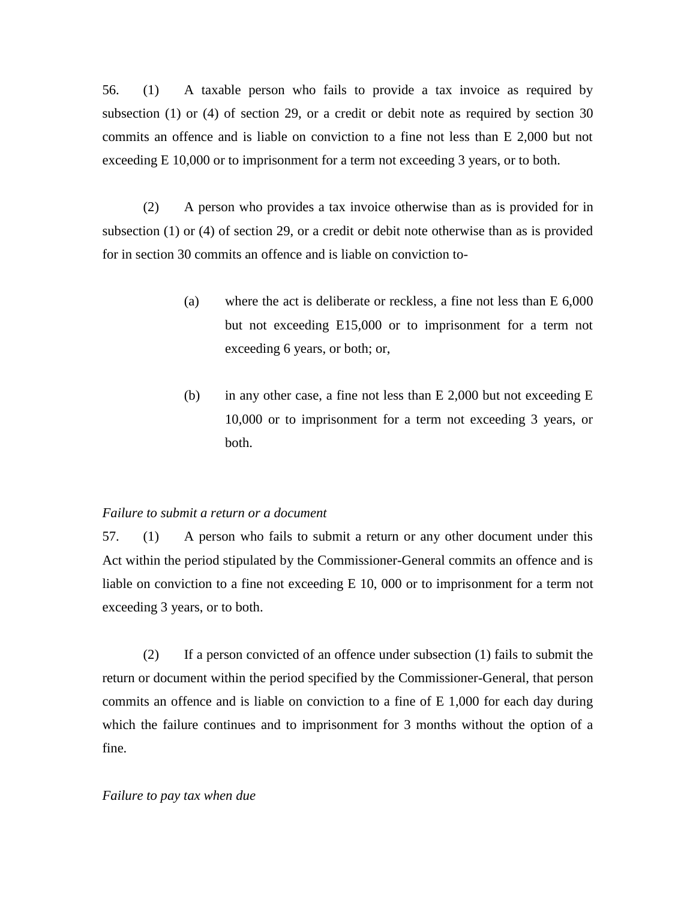56. (1) A taxable person who fails to provide a tax invoice as required by subsection (1) or (4) of section 29, or a credit or debit note as required by section 30 commits an offence and is liable on conviction to a fine not less than E 2,000 but not exceeding E 10,000 or to imprisonment for a term not exceeding 3 years, or to both.

(2) A person who provides a tax invoice otherwise than as is provided for in subsection (1) or (4) of section 29, or a credit or debit note otherwise than as is provided for in section 30 commits an offence and is liable on conviction to-

- (a) where the act is deliberate or reckless, a fine not less than E 6,000 but not exceeding E15,000 or to imprisonment for a term not exceeding 6 years, or both; or,
- (b) in any other case, a fine not less than E 2,000 but not exceeding E 10,000 or to imprisonment for a term not exceeding 3 years, or both.

## *Failure to submit a return or a document*

57. (1) A person who fails to submit a return or any other document under this Act within the period stipulated by the Commissioner-General commits an offence and is liable on conviction to a fine not exceeding E 10, 000 or to imprisonment for a term not exceeding 3 years, or to both.

(2) If a person convicted of an offence under subsection (1) fails to submit the return or document within the period specified by the Commissioner-General, that person commits an offence and is liable on conviction to a fine of E 1,000 for each day during which the failure continues and to imprisonment for 3 months without the option of a fine.

#### *Failure to pay tax when due*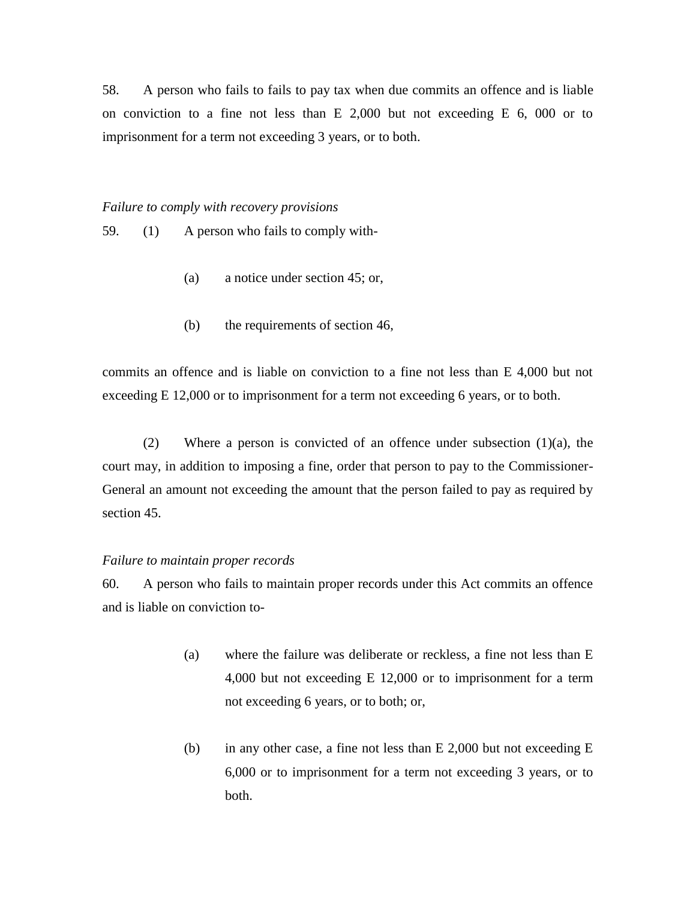58. A person who fails to fails to pay tax when due commits an offence and is liable on conviction to a fine not less than E 2,000 but not exceeding E 6, 000 or to imprisonment for a term not exceeding 3 years, or to both.

*Failure to comply with recovery provisions*

59. (1) A person who fails to comply with-

- (a) a notice under section 45; or,
- (b) the requirements of section 46,

commits an offence and is liable on conviction to a fine not less than E 4,000 but not exceeding E 12,000 or to imprisonment for a term not exceeding 6 years, or to both.

(2) Where a person is convicted of an offence under subsection (1)(a), the court may, in addition to imposing a fine, order that person to pay to the Commissioner-General an amount not exceeding the amount that the person failed to pay as required by section 45.

#### *Failure to maintain proper records*

60. A person who fails to maintain proper records under this Act commits an offence and is liable on conviction to-

- (a) where the failure was deliberate or reckless, a fine not less than E 4,000 but not exceeding E 12,000 or to imprisonment for a term not exceeding 6 years, or to both; or,
- (b) in any other case, a fine not less than E 2,000 but not exceeding E 6,000 or to imprisonment for a term not exceeding 3 years, or to both.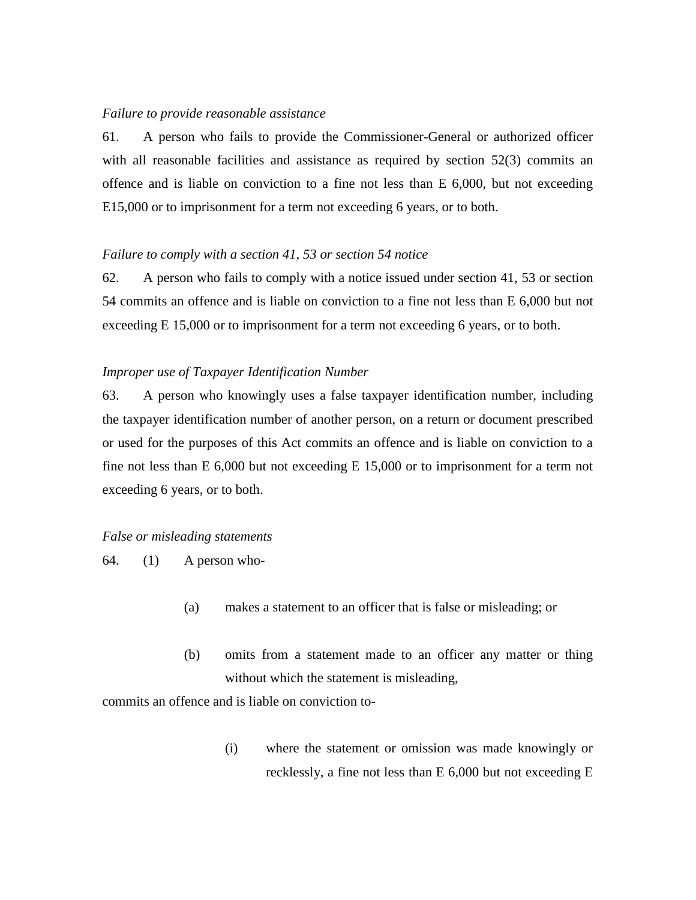#### *Failure to provide reasonable assistance*

61. A person who fails to provide the Commissioner-General or authorized officer with all reasonable facilities and assistance as required by section 52(3) commits an offence and is liable on conviction to a fine not less than E 6,000, but not exceeding E15,000 or to imprisonment for a term not exceeding 6 years, or to both.

#### *Failure to comply with a section 41, 53 or section 54 notice*

62. A person who fails to comply with a notice issued under section 41, 53 or section 54 commits an offence and is liable on conviction to a fine not less than E 6,000 but not exceeding E 15,000 or to imprisonment for a term not exceeding 6 years, or to both.

#### *Improper use of Taxpayer Identification Number*

63. A person who knowingly uses a false taxpayer identification number, including the taxpayer identification number of another person, on a return or document prescribed or used for the purposes of this Act commits an offence and is liable on conviction to a fine not less than E 6,000 but not exceeding E 15,000 or to imprisonment for a term not exceeding 6 years, or to both.

## *False or misleading statements*

 $64.$  (1) A person who-

- (a) makes a statement to an officer that is false or misleading; or
- (b) omits from a statement made to an officer any matter or thing without which the statement is misleading,

commits an offence and is liable on conviction to-

(i) where the statement or omission was made knowingly or recklessly, a fine not less than E 6,000 but not exceeding E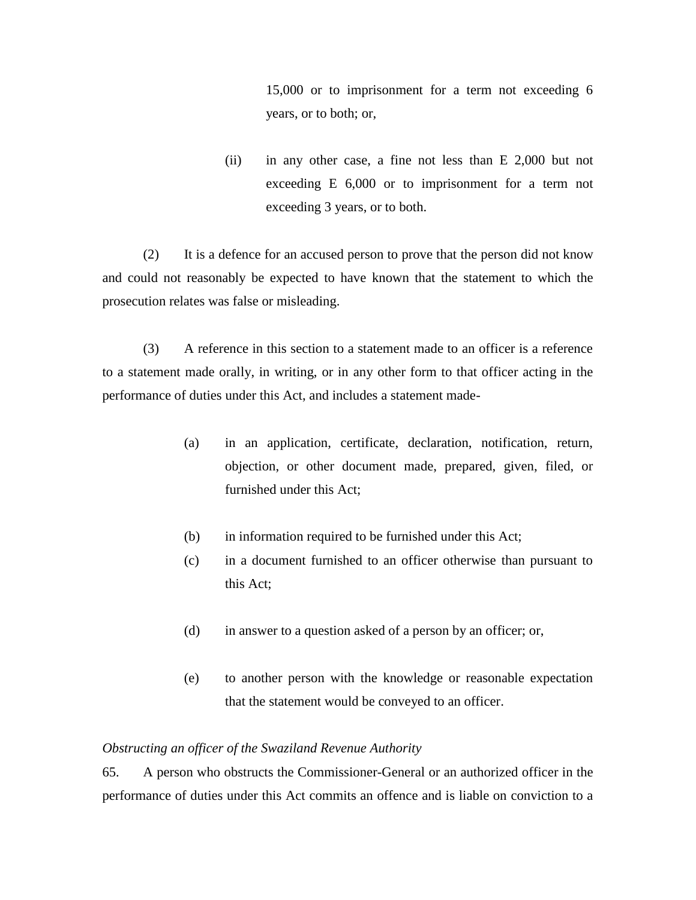15,000 or to imprisonment for a term not exceeding 6 years, or to both; or,

(ii) in any other case, a fine not less than E 2,000 but not exceeding E 6,000 or to imprisonment for a term not exceeding 3 years, or to both.

(2) It is a defence for an accused person to prove that the person did not know and could not reasonably be expected to have known that the statement to which the prosecution relates was false or misleading.

(3) A reference in this section to a statement made to an officer is a reference to a statement made orally, in writing, or in any other form to that officer acting in the performance of duties under this Act, and includes a statement made-

- (a) in an application, certificate, declaration, notification, return, objection, or other document made, prepared, given, filed, or furnished under this Act;
- (b) in information required to be furnished under this Act;
- (c) in a document furnished to an officer otherwise than pursuant to this Act;
- (d) in answer to a question asked of a person by an officer; or,
- (e) to another person with the knowledge or reasonable expectation that the statement would be conveyed to an officer.

#### *Obstructing an officer of the Swaziland Revenue Authority*

65. A person who obstructs the Commissioner-General or an authorized officer in the performance of duties under this Act commits an offence and is liable on conviction to a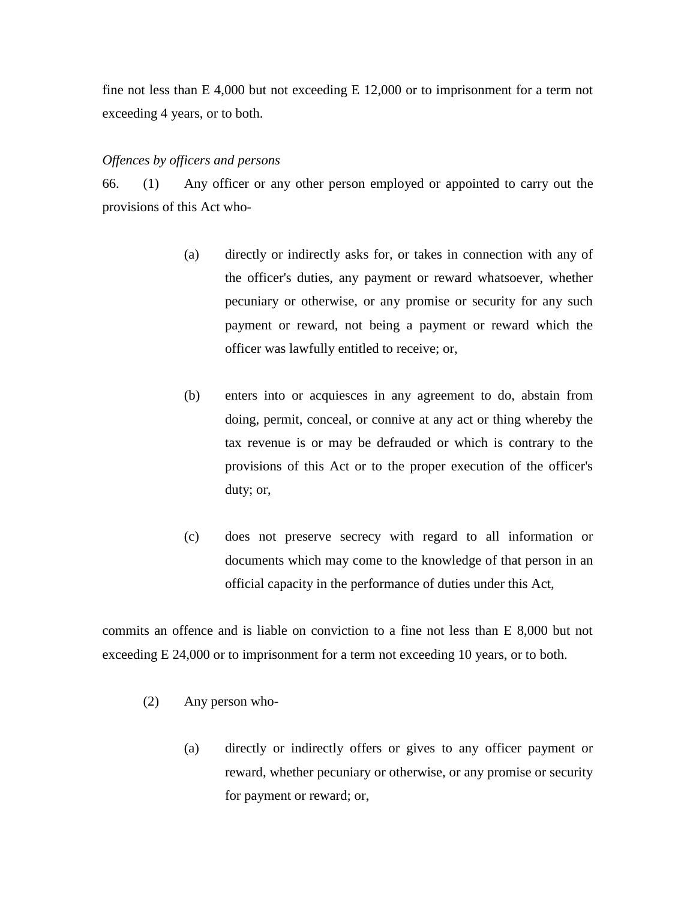fine not less than E 4,000 but not exceeding E 12,000 or to imprisonment for a term not exceeding 4 years, or to both.

#### *Offences by officers and persons*

66. (1) Any officer or any other person employed or appointed to carry out the provisions of this Act who-

- (a) directly or indirectly asks for, or takes in connection with any of the officer's duties, any payment or reward whatsoever, whether pecuniary or otherwise, or any promise or security for any such payment or reward, not being a payment or reward which the officer was lawfully entitled to receive; or,
- (b) enters into or acquiesces in any agreement to do, abstain from doing, permit, conceal, or connive at any act or thing whereby the tax revenue is or may be defrauded or which is contrary to the provisions of this Act or to the proper execution of the officer's duty; or,
- (c) does not preserve secrecy with regard to all information or documents which may come to the knowledge of that person in an official capacity in the performance of duties under this Act,

commits an offence and is liable on conviction to a fine not less than E 8,000 but not exceeding E 24,000 or to imprisonment for a term not exceeding 10 years, or to both.

- (2) Any person who-
	- (a) directly or indirectly offers or gives to any officer payment or reward, whether pecuniary or otherwise, or any promise or security for payment or reward; or,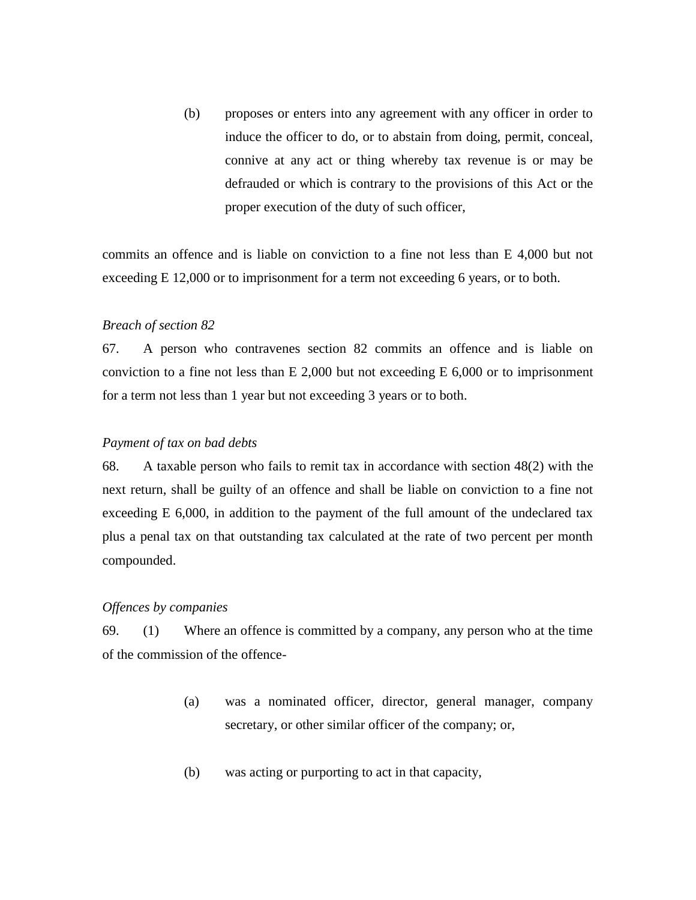(b) proposes or enters into any agreement with any officer in order to induce the officer to do, or to abstain from doing, permit, conceal, connive at any act or thing whereby tax revenue is or may be defrauded or which is contrary to the provisions of this Act or the proper execution of the duty of such officer,

commits an offence and is liable on conviction to a fine not less than E 4,000 but not exceeding E 12,000 or to imprisonment for a term not exceeding 6 years, or to both.

#### *Breach of section 82*

67. A person who contravenes section 82 commits an offence and is liable on conviction to a fine not less than  $E$  2,000 but not exceeding  $E$  6,000 or to imprisonment for a term not less than 1 year but not exceeding 3 years or to both.

#### *Payment of tax on bad debts*

68. A taxable person who fails to remit tax in accordance with section 48(2) with the next return, shall be guilty of an offence and shall be liable on conviction to a fine not exceeding E 6,000, in addition to the payment of the full amount of the undeclared tax plus a penal tax on that outstanding tax calculated at the rate of two percent per month compounded.

#### *Offences by companies*

69. (1) Where an offence is committed by a company, any person who at the time of the commission of the offence-

- (a) was a nominated officer, director, general manager, company secretary, or other similar officer of the company; or,
- (b) was acting or purporting to act in that capacity,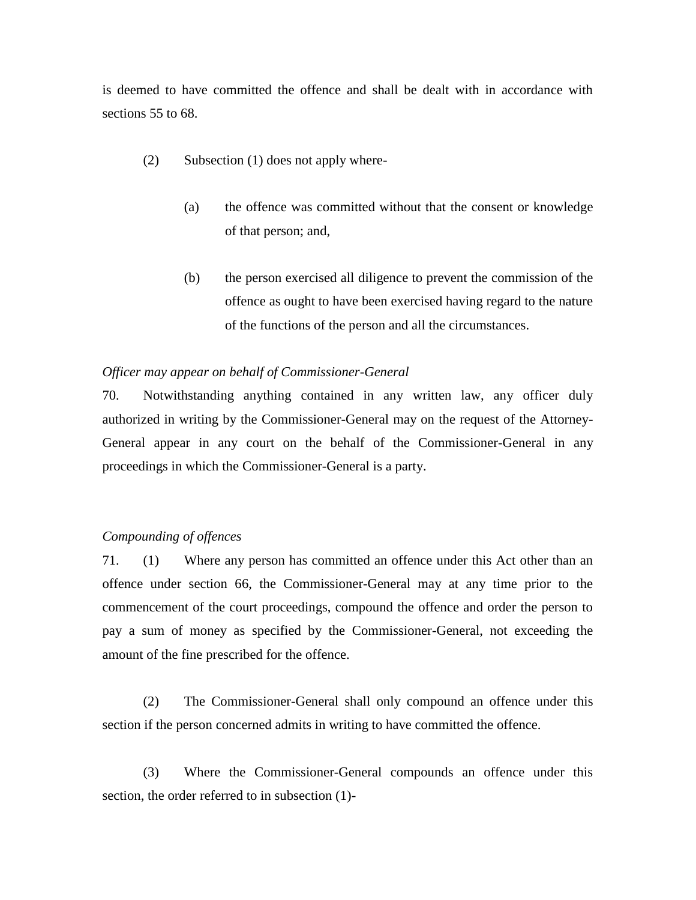is deemed to have committed the offence and shall be dealt with in accordance with sections 55 to 68.

- (2) Subsection (1) does not apply where-
	- (a) the offence was committed without that the consent or knowledge of that person; and,
	- (b) the person exercised all diligence to prevent the commission of the offence as ought to have been exercised having regard to the nature of the functions of the person and all the circumstances.

#### *Officer may appear on behalf of Commissioner-General*

70. Notwithstanding anything contained in any written law, any officer duly authorized in writing by the Commissioner-General may on the request of the Attorney-General appear in any court on the behalf of the Commissioner-General in any proceedings in which the Commissioner-General is a party.

## *Compounding of offences*

71. (1) Where any person has committed an offence under this Act other than an offence under section 66, the Commissioner-General may at any time prior to the commencement of the court proceedings, compound the offence and order the person to pay a sum of money as specified by the Commissioner-General, not exceeding the amount of the fine prescribed for the offence.

(2) The Commissioner-General shall only compound an offence under this section if the person concerned admits in writing to have committed the offence.

(3) Where the Commissioner-General compounds an offence under this section, the order referred to in subsection (1)-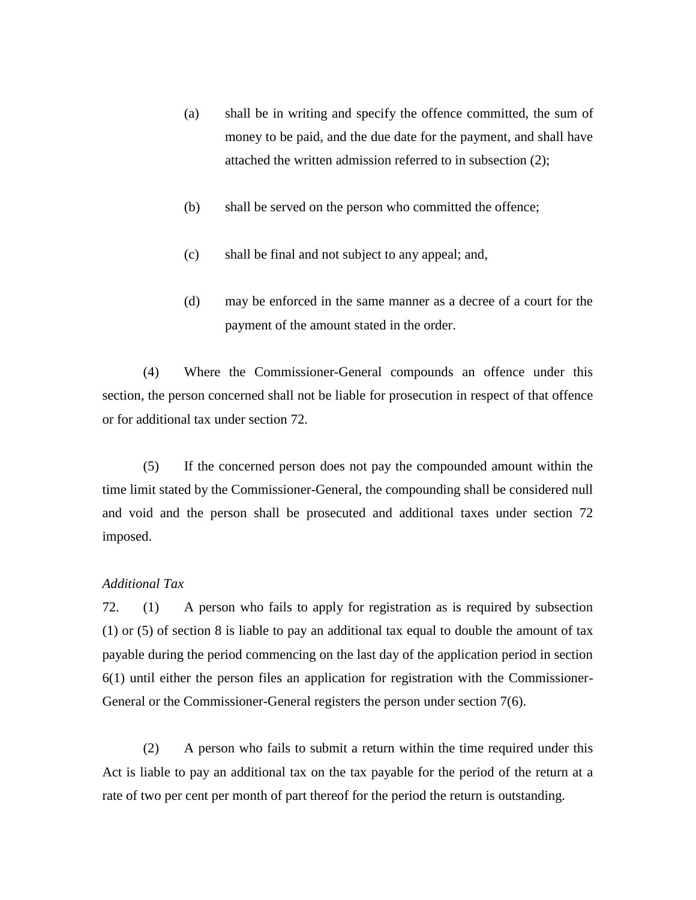- (a) shall be in writing and specify the offence committed, the sum of money to be paid, and the due date for the payment, and shall have attached the written admission referred to in subsection (2);
- (b) shall be served on the person who committed the offence;
- (c) shall be final and not subject to any appeal; and,
- (d) may be enforced in the same manner as a decree of a court for the payment of the amount stated in the order.

(4) Where the Commissioner-General compounds an offence under this section, the person concerned shall not be liable for prosecution in respect of that offence or for additional tax under section 72.

(5) If the concerned person does not pay the compounded amount within the time limit stated by the Commissioner-General, the compounding shall be considered null and void and the person shall be prosecuted and additional taxes under section 72 imposed.

## *Additional Tax*

72. (1) A person who fails to apply for registration as is required by subsection (1) or (5) of section 8 is liable to pay an additional tax equal to double the amount of tax payable during the period commencing on the last day of the application period in section 6(1) until either the person files an application for registration with the Commissioner-General or the Commissioner-General registers the person under section 7(6).

(2) A person who fails to submit a return within the time required under this Act is liable to pay an additional tax on the tax payable for the period of the return at a rate of two per cent per month of part thereof for the period the return is outstanding.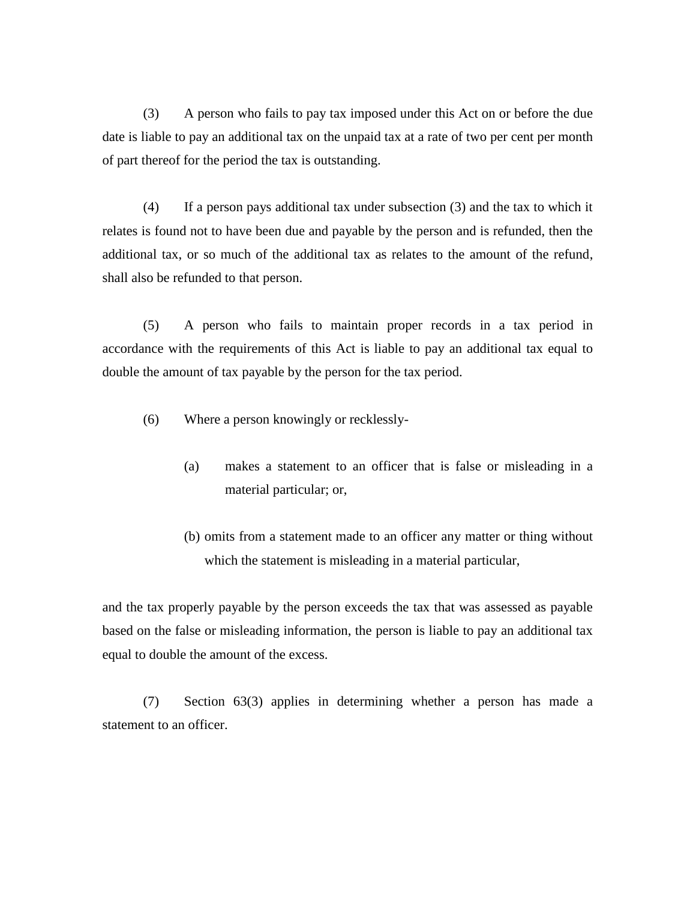(3) A person who fails to pay tax imposed under this Act on or before the due date is liable to pay an additional tax on the unpaid tax at a rate of two per cent per month of part thereof for the period the tax is outstanding.

(4) If a person pays additional tax under subsection (3) and the tax to which it relates is found not to have been due and payable by the person and is refunded, then the additional tax, or so much of the additional tax as relates to the amount of the refund, shall also be refunded to that person.

(5) A person who fails to maintain proper records in a tax period in accordance with the requirements of this Act is liable to pay an additional tax equal to double the amount of tax payable by the person for the tax period.

- (6) Where a person knowingly or recklessly-
	- (a) makes a statement to an officer that is false or misleading in a material particular; or,
	- (b) omits from a statement made to an officer any matter or thing without which the statement is misleading in a material particular,

and the tax properly payable by the person exceeds the tax that was assessed as payable based on the false or misleading information, the person is liable to pay an additional tax equal to double the amount of the excess.

(7) Section 63(3) applies in determining whether a person has made a statement to an officer.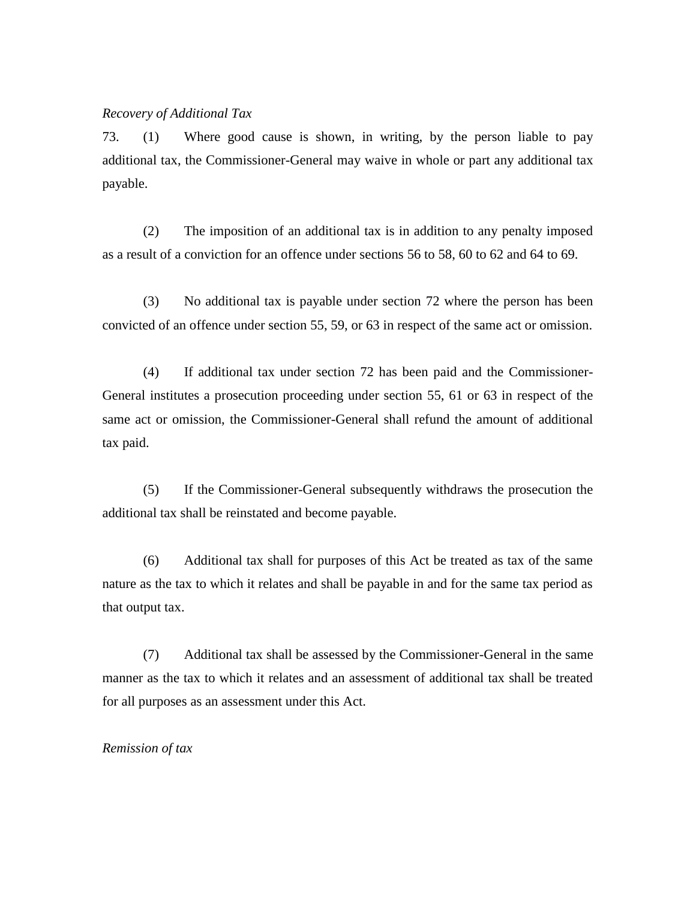### *Recovery of Additional Tax*

73. (1) Where good cause is shown, in writing, by the person liable to pay additional tax, the Commissioner-General may waive in whole or part any additional tax payable.

(2) The imposition of an additional tax is in addition to any penalty imposed as a result of a conviction for an offence under sections 56 to 58, 60 to 62 and 64 to 69.

(3) No additional tax is payable under section 72 where the person has been convicted of an offence under section 55, 59, or 63 in respect of the same act or omission.

(4) If additional tax under section 72 has been paid and the Commissioner-General institutes a prosecution proceeding under section 55, 61 or 63 in respect of the same act or omission, the Commissioner-General shall refund the amount of additional tax paid.

(5) If the Commissioner-General subsequently withdraws the prosecution the additional tax shall be reinstated and become payable.

(6) Additional tax shall for purposes of this Act be treated as tax of the same nature as the tax to which it relates and shall be payable in and for the same tax period as that output tax.

(7) Additional tax shall be assessed by the Commissioner-General in the same manner as the tax to which it relates and an assessment of additional tax shall be treated for all purposes as an assessment under this Act.

#### *Remission of tax*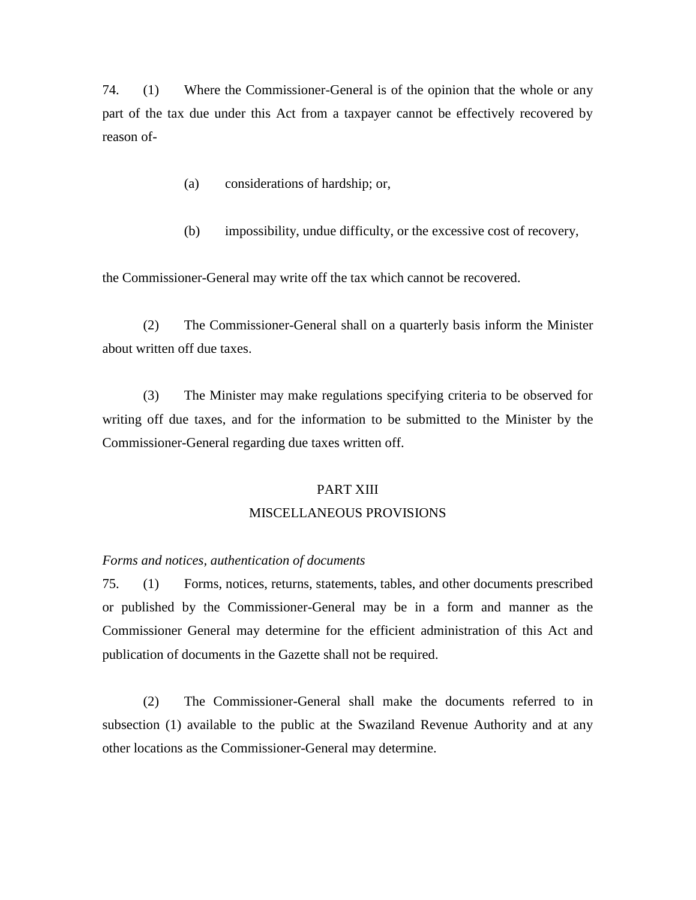74. (1) Where the Commissioner-General is of the opinion that the whole or any part of the tax due under this Act from a taxpayer cannot be effectively recovered by reason of-

- (a) considerations of hardship; or,
- (b) impossibility, undue difficulty, or the excessive cost of recovery,

the Commissioner-General may write off the tax which cannot be recovered.

(2) The Commissioner-General shall on a quarterly basis inform the Minister about written off due taxes.

(3) The Minister may make regulations specifying criteria to be observed for writing off due taxes, and for the information to be submitted to the Minister by the Commissioner-General regarding due taxes written off.

## PART XIII MISCELLANEOUS PROVISIONS

### *Forms and notices, authentication of documents*

75. (1) Forms, notices, returns, statements, tables, and other documents prescribed or published by the Commissioner-General may be in a form and manner as the Commissioner General may determine for the efficient administration of this Act and publication of documents in the Gazette shall not be required.

(2) The Commissioner-General shall make the documents referred to in subsection (1) available to the public at the Swaziland Revenue Authority and at any other locations as the Commissioner-General may determine.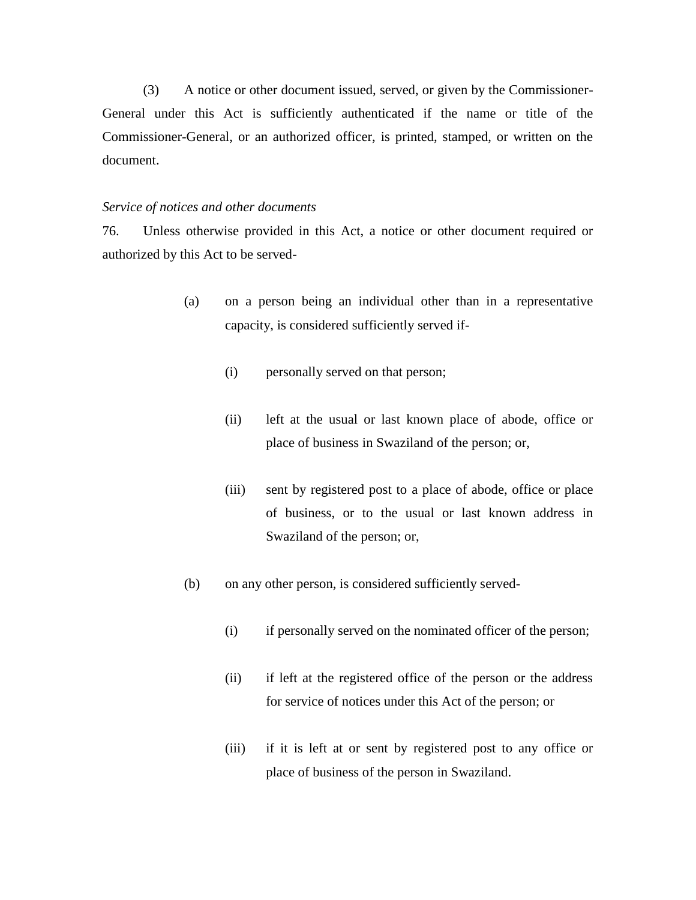(3) A notice or other document issued, served, or given by the Commissioner-General under this Act is sufficiently authenticated if the name or title of the Commissioner-General, or an authorized officer, is printed, stamped, or written on the document.

#### *Service of notices and other documents*

76. Unless otherwise provided in this Act, a notice or other document required or authorized by this Act to be served-

- (a) on a person being an individual other than in a representative capacity, is considered sufficiently served if-
	- (i) personally served on that person;
	- (ii) left at the usual or last known place of abode, office or place of business in Swaziland of the person; or,
	- (iii) sent by registered post to a place of abode, office or place of business, or to the usual or last known address in Swaziland of the person; or,
- (b) on any other person, is considered sufficiently served-
	- (i) if personally served on the nominated officer of the person;
	- (ii) if left at the registered office of the person or the address for service of notices under this Act of the person; or
	- (iii) if it is left at or sent by registered post to any office or place of business of the person in Swaziland.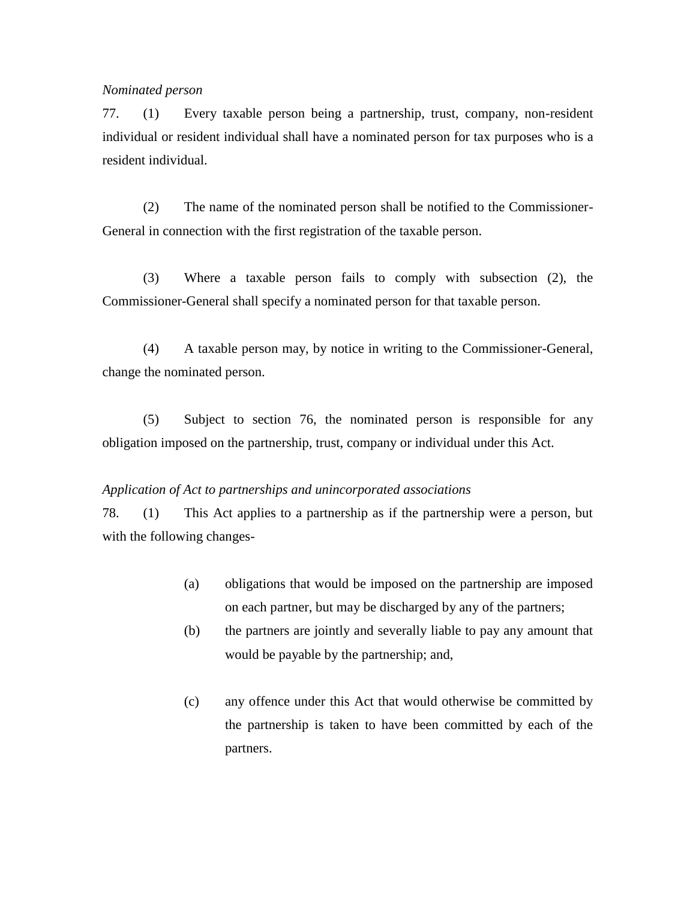## *Nominated person*

77. (1) Every taxable person being a partnership, trust, company, non-resident individual or resident individual shall have a nominated person for tax purposes who is a resident individual.

(2) The name of the nominated person shall be notified to the Commissioner-General in connection with the first registration of the taxable person.

(3) Where a taxable person fails to comply with subsection (2), the Commissioner-General shall specify a nominated person for that taxable person.

(4) A taxable person may, by notice in writing to the Commissioner-General, change the nominated person.

(5) Subject to section 76, the nominated person is responsible for any obligation imposed on the partnership, trust, company or individual under this Act.

#### *Application of Act to partnerships and unincorporated associations*

78. (1) This Act applies to a partnership as if the partnership were a person, but with the following changes-

- (a) obligations that would be imposed on the partnership are imposed on each partner, but may be discharged by any of the partners;
- (b) the partners are jointly and severally liable to pay any amount that would be payable by the partnership; and,
- (c) any offence under this Act that would otherwise be committed by the partnership is taken to have been committed by each of the partners.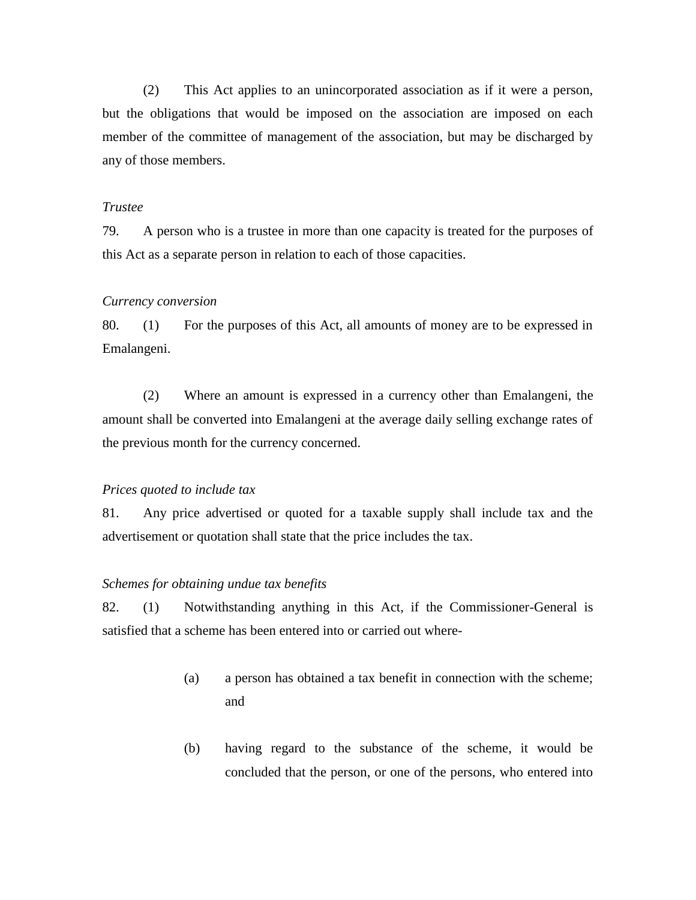(2) This Act applies to an unincorporated association as if it were a person, but the obligations that would be imposed on the association are imposed on each member of the committee of management of the association, but may be discharged by any of those members.

## *Trustee*

79. A person who is a trustee in more than one capacity is treated for the purposes of this Act as a separate person in relation to each of those capacities.

### *Currency conversion*

80. (1) For the purposes of this Act, all amounts of money are to be expressed in Emalangeni.

(2) Where an amount is expressed in a currency other than Emalangeni, the amount shall be converted into Emalangeni at the average daily selling exchange rates of the previous month for the currency concerned.

#### *Prices quoted to include tax*

81. Any price advertised or quoted for a taxable supply shall include tax and the advertisement or quotation shall state that the price includes the tax.

## *Schemes for obtaining undue tax benefits*

82. (1) Notwithstanding anything in this Act, if the Commissioner-General is satisfied that a scheme has been entered into or carried out where-

- (a) a person has obtained a tax benefit in connection with the scheme; and
- (b) having regard to the substance of the scheme, it would be concluded that the person, or one of the persons, who entered into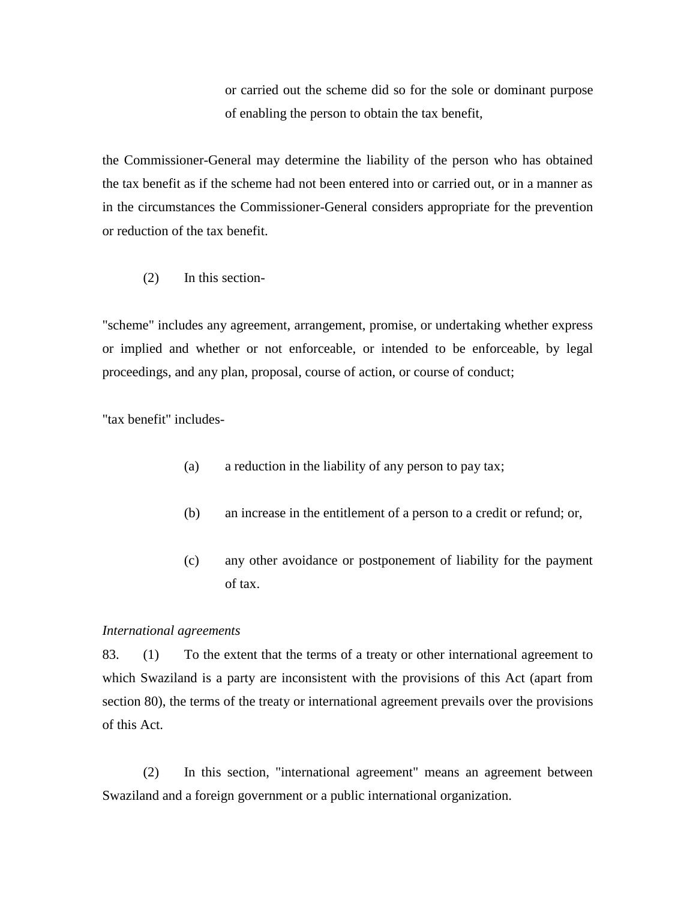or carried out the scheme did so for the sole or dominant purpose of enabling the person to obtain the tax benefit,

the Commissioner-General may determine the liability of the person who has obtained the tax benefit as if the scheme had not been entered into or carried out, or in a manner as in the circumstances the Commissioner-General considers appropriate for the prevention or reduction of the tax benefit.

(2) In this section-

"scheme" includes any agreement, arrangement, promise, or undertaking whether express or implied and whether or not enforceable, or intended to be enforceable, by legal proceedings, and any plan, proposal, course of action, or course of conduct;

"tax benefit" includes-

- (a) a reduction in the liability of any person to pay tax;
- (b) an increase in the entitlement of a person to a credit or refund; or,
- (c) any other avoidance or postponement of liability for the payment of tax.

## *International agreements*

83. (1) To the extent that the terms of a treaty or other international agreement to which Swaziland is a party are inconsistent with the provisions of this Act (apart from section 80), the terms of the treaty or international agreement prevails over the provisions of this Act.

(2) In this section, "international agreement" means an agreement between Swaziland and a foreign government or a public international organization.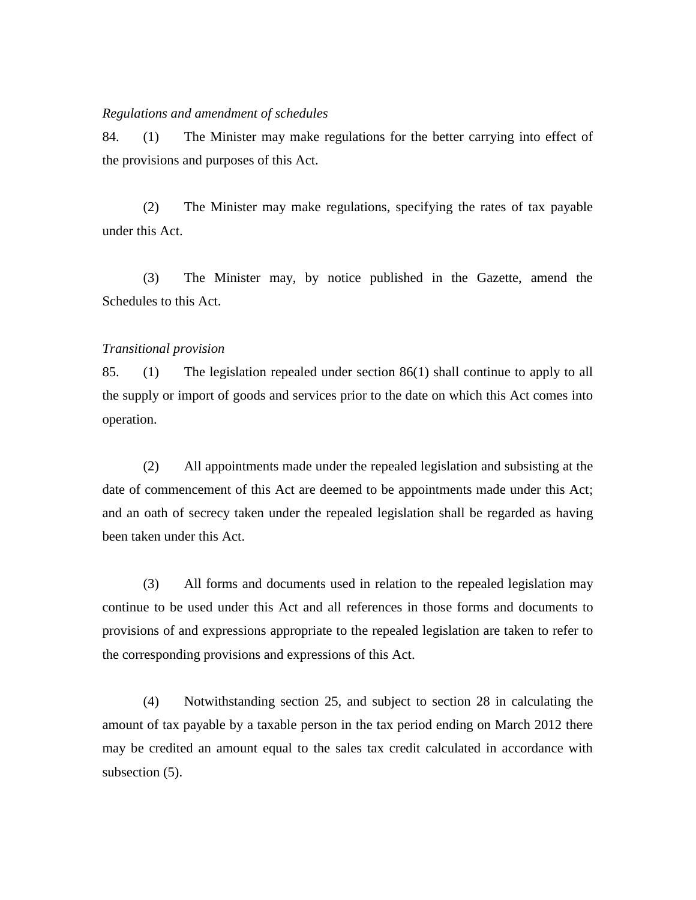#### *Regulations and amendment of schedules*

84. (1) The Minister may make regulations for the better carrying into effect of the provisions and purposes of this Act.

(2) The Minister may make regulations, specifying the rates of tax payable under this Act.

(3) The Minister may, by notice published in the Gazette, amend the Schedules to this Act.

#### *Transitional provision*

85. (1) The legislation repealed under section 86(1) shall continue to apply to all the supply or import of goods and services prior to the date on which this Act comes into operation.

(2) All appointments made under the repealed legislation and subsisting at the date of commencement of this Act are deemed to be appointments made under this Act; and an oath of secrecy taken under the repealed legislation shall be regarded as having been taken under this Act.

(3) All forms and documents used in relation to the repealed legislation may continue to be used under this Act and all references in those forms and documents to provisions of and expressions appropriate to the repealed legislation are taken to refer to the corresponding provisions and expressions of this Act.

(4) Notwithstanding section 25, and subject to section 28 in calculating the amount of tax payable by a taxable person in the tax period ending on March 2012 there may be credited an amount equal to the sales tax credit calculated in accordance with subsection  $(5)$ .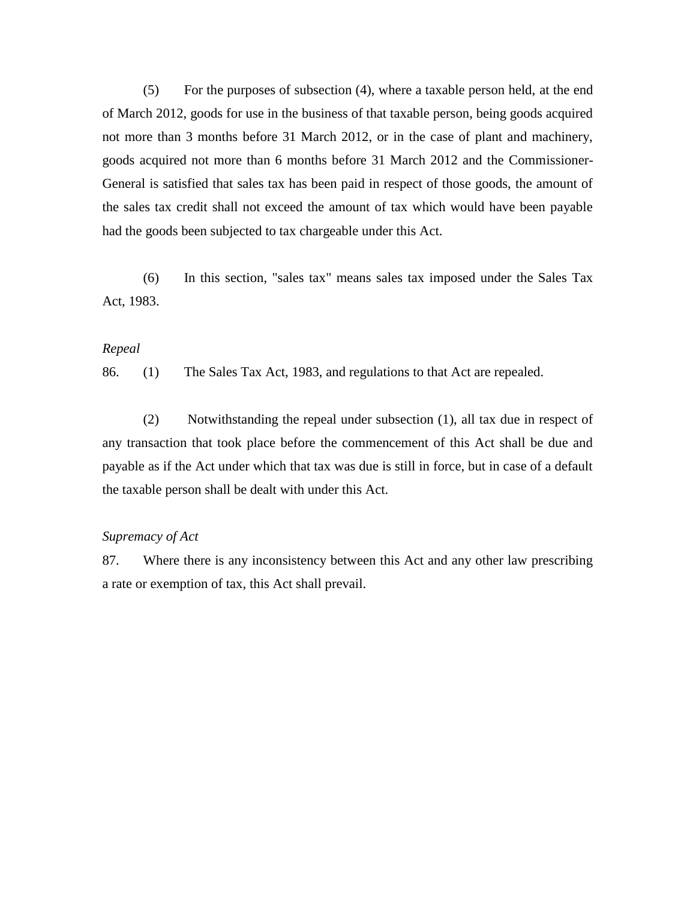(5) For the purposes of subsection (4), where a taxable person held, at the end of March 2012, goods for use in the business of that taxable person, being goods acquired not more than 3 months before 31 March 2012, or in the case of plant and machinery, goods acquired not more than 6 months before 31 March 2012 and the Commissioner-General is satisfied that sales tax has been paid in respect of those goods, the amount of the sales tax credit shall not exceed the amount of tax which would have been payable had the goods been subjected to tax chargeable under this Act.

(6) In this section, "sales tax" means sales tax imposed under the Sales Tax Act, 1983.

#### *Repeal*

86. (1) The Sales Tax Act, 1983, and regulations to that Act are repealed.

(2) Notwithstanding the repeal under subsection (1), all tax due in respect of any transaction that took place before the commencement of this Act shall be due and payable as if the Act under which that tax was due is still in force, but in case of a default the taxable person shall be dealt with under this Act.

## *Supremacy of Act*

87. Where there is any inconsistency between this Act and any other law prescribing a rate or exemption of tax, this Act shall prevail.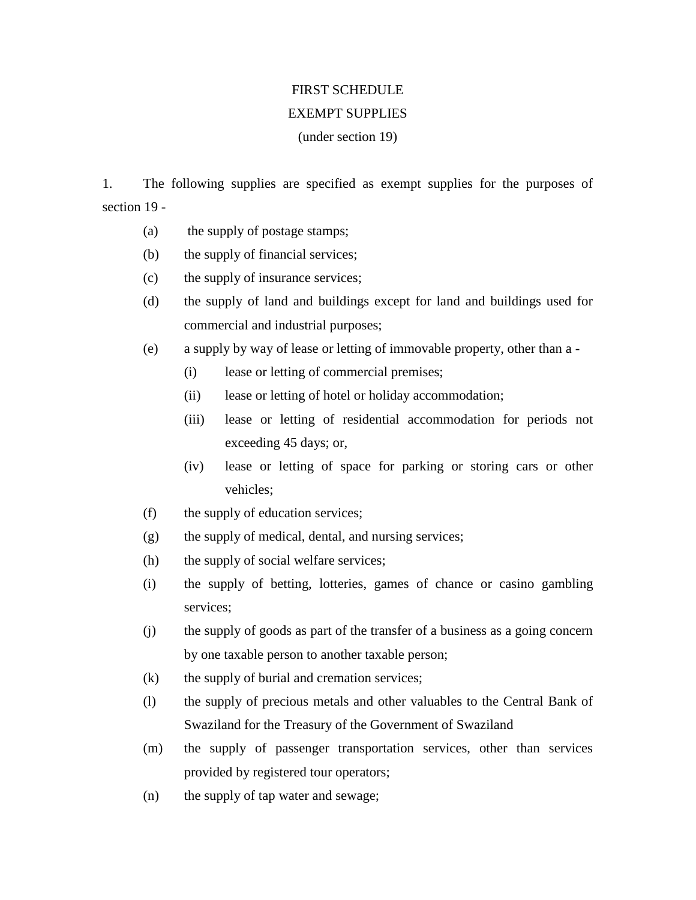# FIRST SCHEDULE

## EXEMPT SUPPLIES

## (under section 19)

1. The following supplies are specified as exempt supplies for the purposes of section 19 -

- (a) the supply of postage stamps;
- (b) the supply of financial services;
- (c) the supply of insurance services;
- (d) the supply of land and buildings except for land and buildings used for commercial and industrial purposes;
- (e) a supply by way of lease or letting of immovable property, other than a
	- (i) lease or letting of commercial premises;
	- (ii) lease or letting of hotel or holiday accommodation;
	- (iii) lease or letting of residential accommodation for periods not exceeding 45 days; or,
	- (iv) lease or letting of space for parking or storing cars or other vehicles;
- (f) the supply of education services;
- (g) the supply of medical, dental, and nursing services;
- (h) the supply of social welfare services;
- (i) the supply of betting, lotteries, games of chance or casino gambling services;
- (j) the supply of goods as part of the transfer of a business as a going concern by one taxable person to another taxable person;
- (k) the supply of burial and cremation services;
- (l) the supply of precious metals and other valuables to the Central Bank of Swaziland for the Treasury of the Government of Swaziland
- (m) the supply of passenger transportation services, other than services provided by registered tour operators;
- (n) the supply of tap water and sewage;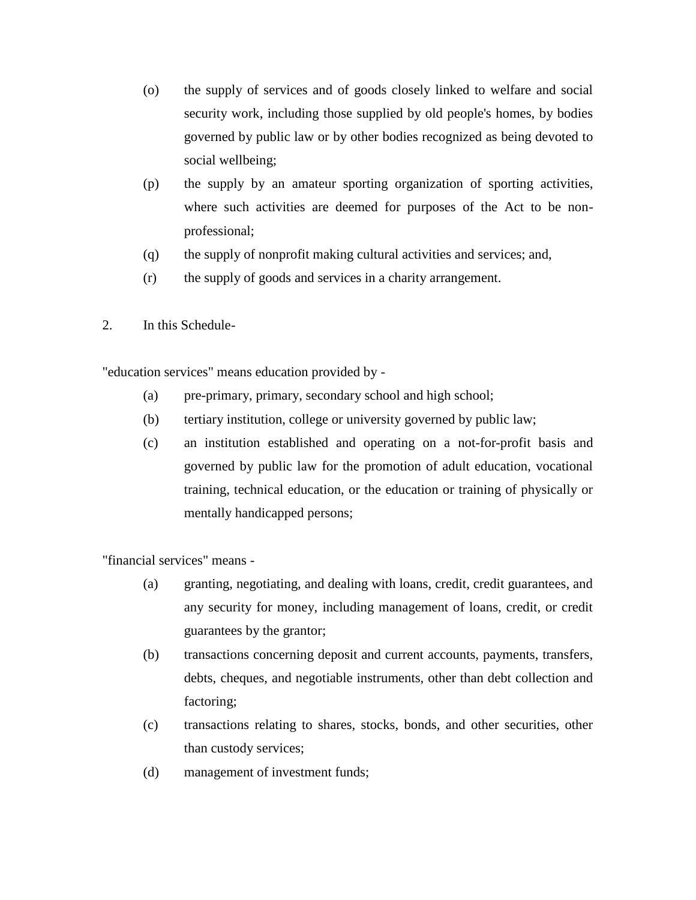- (o) the supply of services and of goods closely linked to welfare and social security work, including those supplied by old people's homes, by bodies governed by public law or by other bodies recognized as being devoted to social wellbeing;
- (p) the supply by an amateur sporting organization of sporting activities, where such activities are deemed for purposes of the Act to be nonprofessional;
- (q) the supply of nonprofit making cultural activities and services; and,
- (r) the supply of goods and services in a charity arrangement.
- 2. In this Schedule-

"education services" means education provided by -

- (a) pre-primary, primary, secondary school and high school;
- (b) tertiary institution, college or university governed by public law;
- (c) an institution established and operating on a not-for-profit basis and governed by public law for the promotion of adult education, vocational training, technical education, or the education or training of physically or mentally handicapped persons;

"financial services" means -

- (a) granting, negotiating, and dealing with loans, credit, credit guarantees, and any security for money, including management of loans, credit, or credit guarantees by the grantor;
- (b) transactions concerning deposit and current accounts, payments, transfers, debts, cheques, and negotiable instruments, other than debt collection and factoring;
- (c) transactions relating to shares, stocks, bonds, and other securities, other than custody services;
- (d) management of investment funds;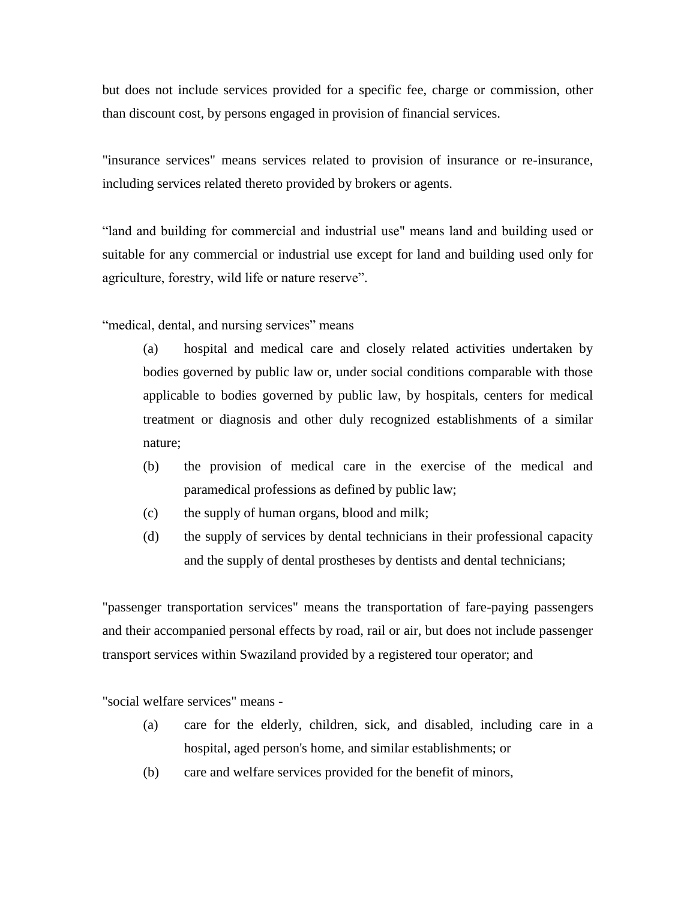but does not include services provided for a specific fee, charge or commission, other than discount cost, by persons engaged in provision of financial services.

"insurance services" means services related to provision of insurance or re-insurance, including services related thereto provided by brokers or agents.

"land and building for commercial and industrial use" means land and building used or suitable for any commercial or industrial use except for land and building used only for agriculture, forestry, wild life or nature reserve".

"medical, dental, and nursing services" means

(a) hospital and medical care and closely related activities undertaken by bodies governed by public law or, under social conditions comparable with those applicable to bodies governed by public law, by hospitals, centers for medical treatment or diagnosis and other duly recognized establishments of a similar nature;

- (b) the provision of medical care in the exercise of the medical and paramedical professions as defined by public law;
- (c) the supply of human organs, blood and milk;
- (d) the supply of services by dental technicians in their professional capacity and the supply of dental prostheses by dentists and dental technicians;

"passenger transportation services" means the transportation of fare-paying passengers and their accompanied personal effects by road, rail or air, but does not include passenger transport services within Swaziland provided by a registered tour operator; and

"social welfare services" means -

- (a) care for the elderly, children, sick, and disabled, including care in a hospital, aged person's home, and similar establishments; or
- (b) care and welfare services provided for the benefit of minors,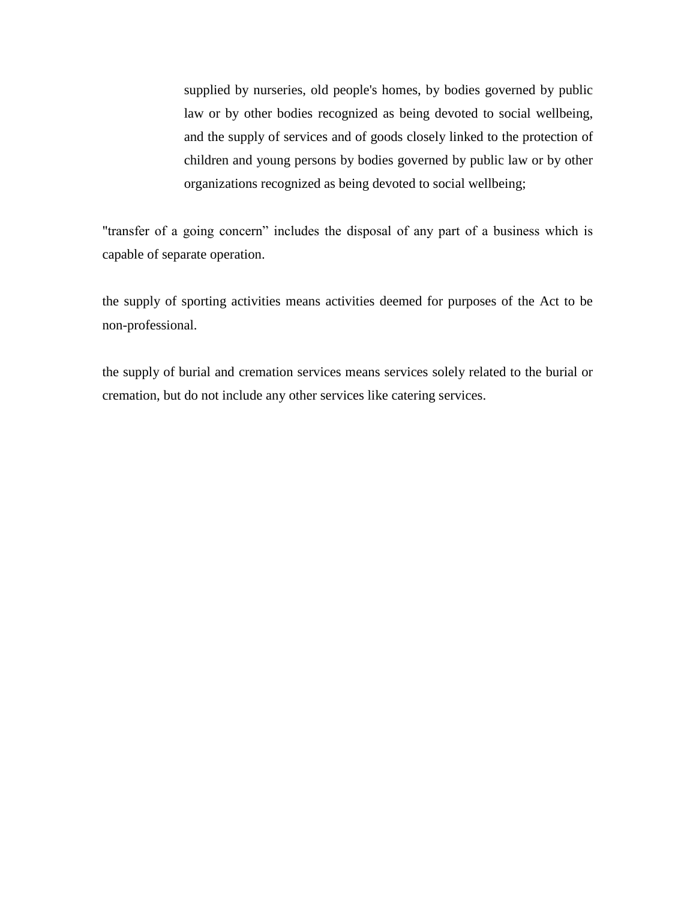supplied by nurseries, old people's homes, by bodies governed by public law or by other bodies recognized as being devoted to social wellbeing, and the supply of services and of goods closely linked to the protection of children and young persons by bodies governed by public law or by other organizations recognized as being devoted to social wellbeing;

"transfer of a going concern" includes the disposal of any part of a business which is capable of separate operation.

the supply of sporting activities means activities deemed for purposes of the Act to be non-professional.

the supply of burial and cremation services means services solely related to the burial or cremation, but do not include any other services like catering services.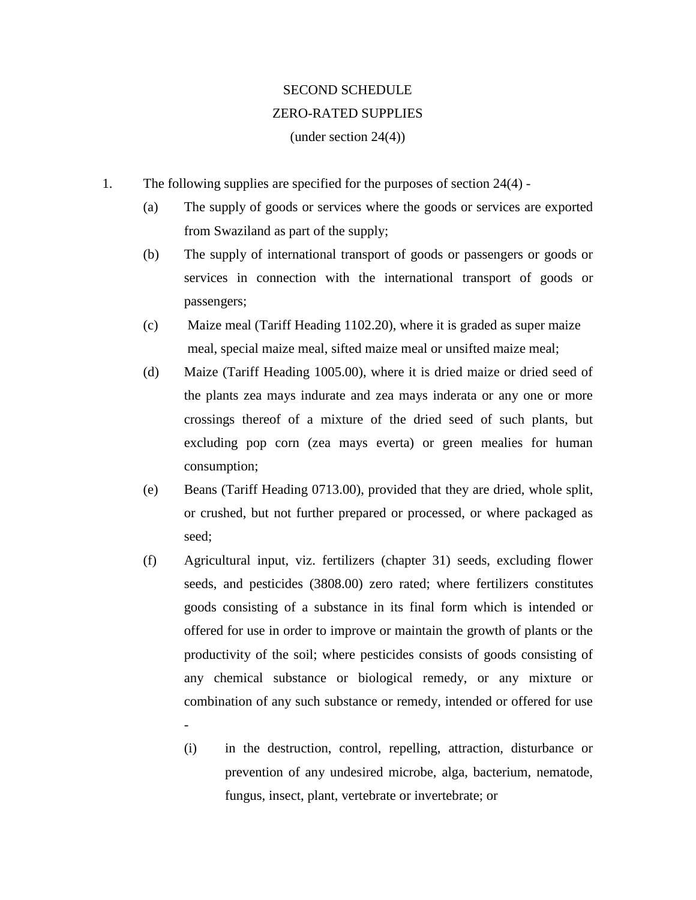# SECOND SCHEDULE ZERO-RATED SUPPLIES

(under section 24(4))

- 1. The following supplies are specified for the purposes of section 24(4)
	- (a) The supply of goods or services where the goods or services are exported from Swaziland as part of the supply;
	- (b) The supply of international transport of goods or passengers or goods or services in connection with the international transport of goods or passengers;
	- (c) Maize meal (Tariff Heading 1102.20), where it is graded as super maize meal, special maize meal, sifted maize meal or unsifted maize meal;
	- (d) Maize (Tariff Heading 1005.00), where it is dried maize or dried seed of the plants zea mays indurate and zea mays inderata or any one or more crossings thereof of a mixture of the dried seed of such plants, but excluding pop corn (zea mays everta) or green mealies for human consumption;
	- (e) Beans (Tariff Heading 0713.00), provided that they are dried, whole split, or crushed, but not further prepared or processed, or where packaged as seed;
	- (f) Agricultural input, viz. fertilizers (chapter 31) seeds, excluding flower seeds, and pesticides (3808.00) zero rated; where fertilizers constitutes goods consisting of a substance in its final form which is intended or offered for use in order to improve or maintain the growth of plants or the productivity of the soil; where pesticides consists of goods consisting of any chemical substance or biological remedy, or any mixture or combination of any such substance or remedy, intended or offered for use

-

(i) in the destruction, control, repelling, attraction, disturbance or prevention of any undesired microbe, alga, bacterium, nematode, fungus, insect, plant, vertebrate or invertebrate; or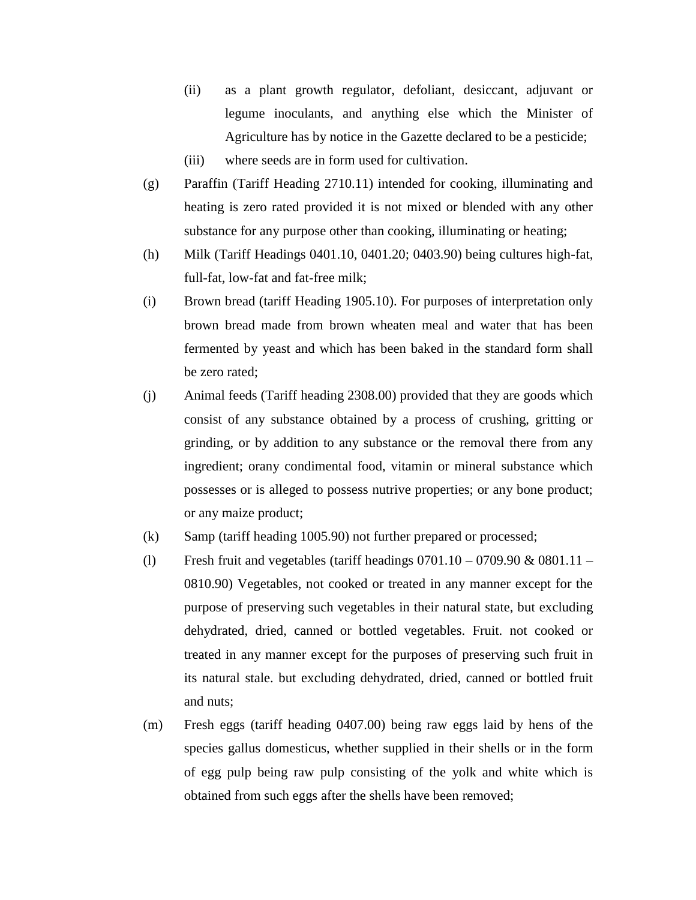- (ii) as a plant growth regulator, defoliant, desiccant, adjuvant or legume inoculants, and anything else which the Minister of Agriculture has by notice in the Gazette declared to be a pesticide;
- (iii) where seeds are in form used for cultivation.
- (g) Paraffin (Tariff Heading 2710.11) intended for cooking, illuminating and heating is zero rated provided it is not mixed or blended with any other substance for any purpose other than cooking, illuminating or heating;
- (h) Milk (Tariff Headings 0401.10, 0401.20; 0403.90) being cultures high-fat, full-fat, low-fat and fat-free milk;
- (i) Brown bread (tariff Heading 1905.10). For purposes of interpretation only brown bread made from brown wheaten meal and water that has been fermented by yeast and which has been baked in the standard form shall be zero rated;
- (j) Animal feeds (Tariff heading 2308.00) provided that they are goods which consist of any substance obtained by a process of crushing, gritting or grinding, or by addition to any substance or the removal there from any ingredient; orany condimental food, vitamin or mineral substance which possesses or is alleged to possess nutrive properties; or any bone product; or any maize product;
- (k) Samp (tariff heading 1005.90) not further prepared or processed;
- (1) Fresh fruit and vegetables (tariff headings  $0701.10 0709.90 \& 0801.11 -$ 0810.90) Vegetables, not cooked or treated in any manner except for the purpose of preserving such vegetables in their natural state, but excluding dehydrated, dried, canned or bottled vegetables. Fruit. not cooked or treated in any manner except for the purposes of preserving such fruit in its natural stale. but excluding dehydrated, dried, canned or bottled fruit and nuts;
- (m) Fresh eggs (tariff heading 0407.00) being raw eggs laid by hens of the species gallus domesticus, whether supplied in their shells or in the form of egg pulp being raw pulp consisting of the yolk and white which is obtained from such eggs after the shells have been removed;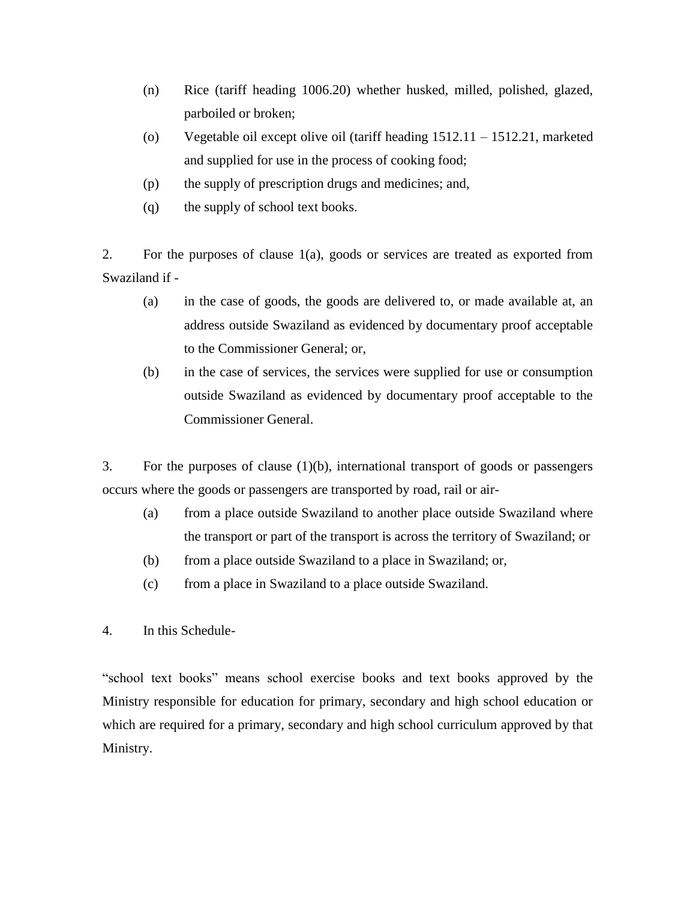- (n) Rice (tariff heading 1006.20) whether husked, milled, polished, glazed, parboiled or broken;
- (o) Vegetable oil except olive oil (tariff heading 1512.11 1512.21, marketed and supplied for use in the process of cooking food;
- (p) the supply of prescription drugs and medicines; and,
- (q) the supply of school text books.

2. For the purposes of clause 1(a), goods or services are treated as exported from Swaziland if -

- (a) in the case of goods, the goods are delivered to, or made available at, an address outside Swaziland as evidenced by documentary proof acceptable to the Commissioner General; or,
- (b) in the case of services, the services were supplied for use or consumption outside Swaziland as evidenced by documentary proof acceptable to the Commissioner General.

3. For the purposes of clause (1)(b), international transport of goods or passengers occurs where the goods or passengers are transported by road, rail or air-

- (a) from a place outside Swaziland to another place outside Swaziland where the transport or part of the transport is across the territory of Swaziland; or
- (b) from a place outside Swaziland to a place in Swaziland; or,
- (c) from a place in Swaziland to a place outside Swaziland.
- 4. In this Schedule-

"school text books" means school exercise books and text books approved by the Ministry responsible for education for primary, secondary and high school education or which are required for a primary, secondary and high school curriculum approved by that Ministry.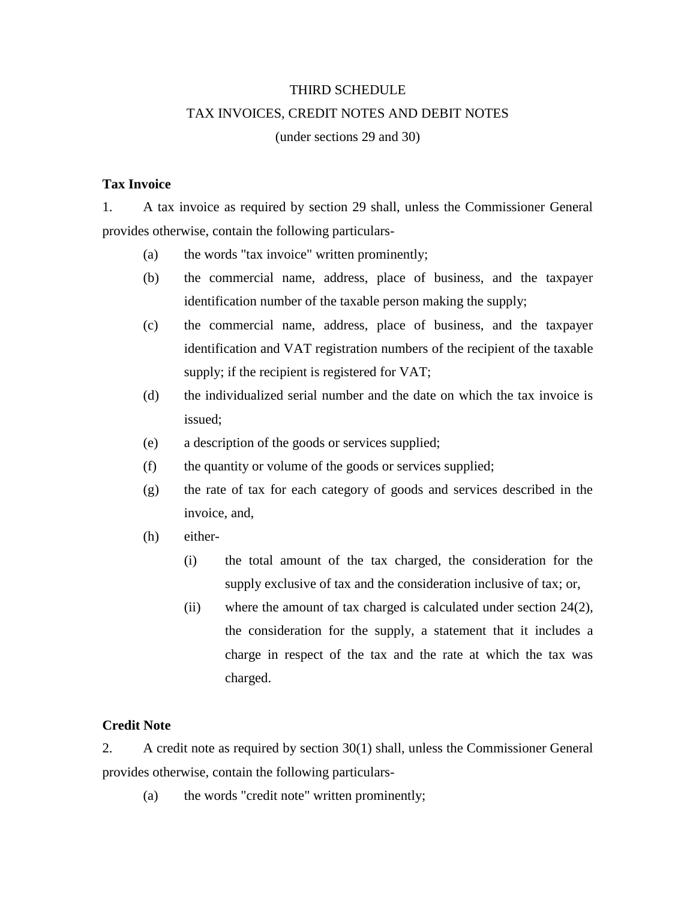## THIRD SCHEDULE

## TAX INVOICES, CREDIT NOTES AND DEBIT NOTES

(under sections 29 and 30)

## **Tax Invoice**

1. A tax invoice as required by section 29 shall, unless the Commissioner General provides otherwise, contain the following particulars-

- (a) the words "tax invoice" written prominently;
- (b) the commercial name, address, place of business, and the taxpayer identification number of the taxable person making the supply;
- (c) the commercial name, address, place of business, and the taxpayer identification and VAT registration numbers of the recipient of the taxable supply; if the recipient is registered for VAT;
- (d) the individualized serial number and the date on which the tax invoice is issued;
- (e) a description of the goods or services supplied;
- (f) the quantity or volume of the goods or services supplied;
- (g) the rate of tax for each category of goods and services described in the invoice, and,
- (h) either-
	- (i) the total amount of the tax charged, the consideration for the supply exclusive of tax and the consideration inclusive of tax; or,
	- (ii) where the amount of tax charged is calculated under section 24(2), the consideration for the supply, a statement that it includes a charge in respect of the tax and the rate at which the tax was charged.

## **Credit Note**

2. A credit note as required by section 30(1) shall, unless the Commissioner General provides otherwise, contain the following particulars-

(a) the words "credit note" written prominently;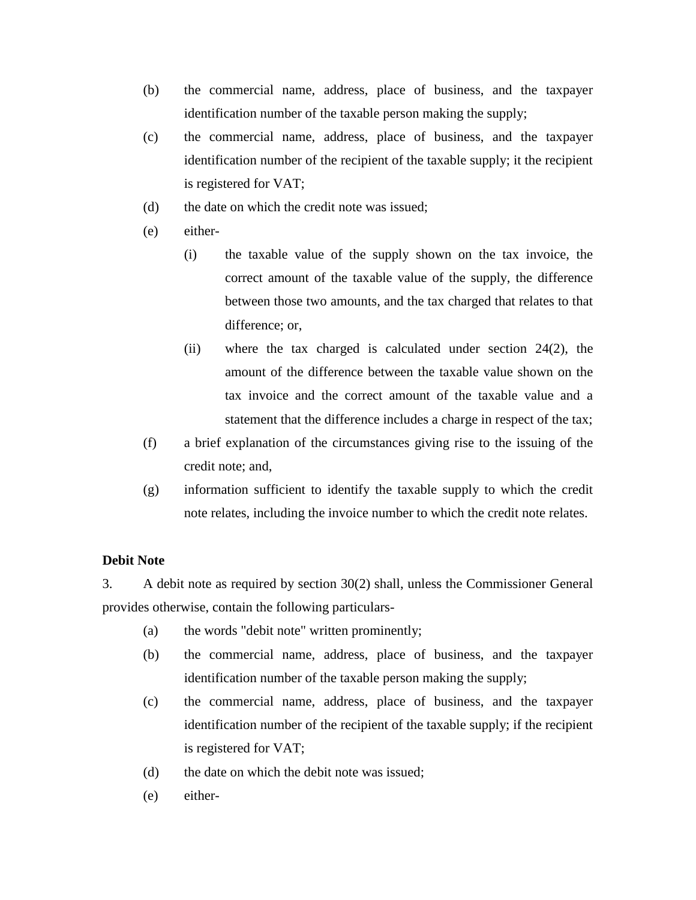- (b) the commercial name, address, place of business, and the taxpayer identification number of the taxable person making the supply;
- (c) the commercial name, address, place of business, and the taxpayer identification number of the recipient of the taxable supply; it the recipient is registered for VAT;
- (d) the date on which the credit note was issued;
- (e) either-
	- (i) the taxable value of the supply shown on the tax invoice, the correct amount of the taxable value of the supply, the difference between those two amounts, and the tax charged that relates to that difference; or,
	- (ii) where the tax charged is calculated under section 24(2), the amount of the difference between the taxable value shown on the tax invoice and the correct amount of the taxable value and a statement that the difference includes a charge in respect of the tax;
- (f) a brief explanation of the circumstances giving rise to the issuing of the credit note; and,
- (g) information sufficient to identify the taxable supply to which the credit note relates, including the invoice number to which the credit note relates.

## **Debit Note**

3. A debit note as required by section 30(2) shall, unless the Commissioner General provides otherwise, contain the following particulars-

- (a) the words "debit note" written prominently;
- (b) the commercial name, address, place of business, and the taxpayer identification number of the taxable person making the supply;
- (c) the commercial name, address, place of business, and the taxpayer identification number of the recipient of the taxable supply; if the recipient is registered for VAT;
- (d) the date on which the debit note was issued;
- (e) either-